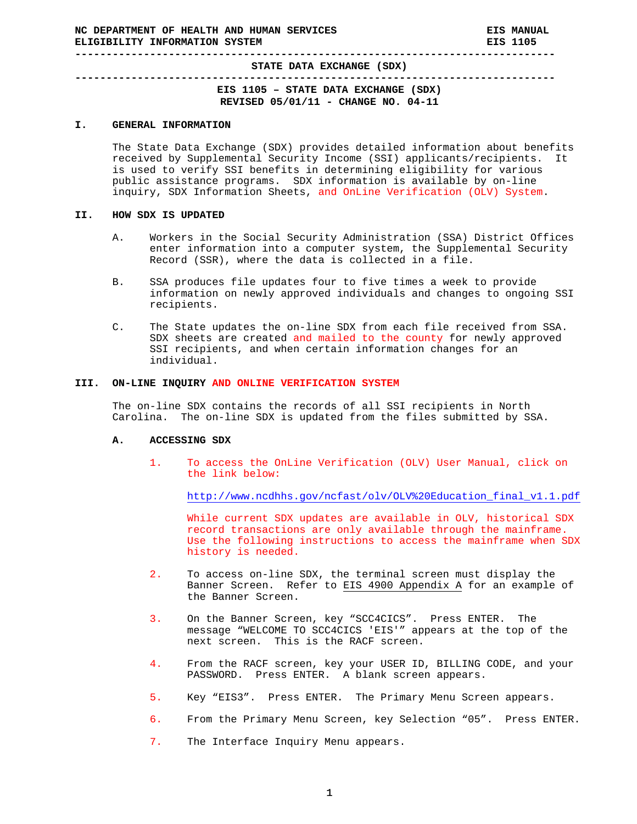**-----------------------------------------------------------------------------** 

**-----------------------------------------------------------------------------** 

**EIS 1105 – STATE DATA EXCHANGE (SDX) REVISED 05/01/11 - CHANGE NO. 04-11** 

#### **I. GENERAL INFORMATION**

The State Data Exchange (SDX) provides detailed information about benefits received by Supplemental Security Income (SSI) applicants/recipients. It is used to verify SSI benefits in determining eligibility for various public assistance programs. SDX information is available by on-line inquiry, SDX Information Sheets, and OnLine Verification (OLV) System.

#### **II. HOW SDX IS UPDATED**

- A. Workers in the Social Security Administration (SSA) District Offices enter information into a computer system, the Supplemental Security Record (SSR), where the data is collected in a file.
- B. SSA produces file updates four to five times a week to provide information on newly approved individuals and changes to ongoing SSI recipients.
- C. The State updates the on-line SDX from each file received from SSA. SDX sheets are created and mailed to the county for newly approved SSI recipients, and when certain information changes for an individual.

## **III. ON-LINE INQUIRY AND ONLINE VERIFICATION SYSTEM**

The on-line SDX contains the records of all SSI recipients in North Carolina. The on-line SDX is updated from the files submitted by SSA.

#### **A. ACCESSING SDX**

1. To access the OnLine Verification (OLV) User Manual, click on the link below:

[http://www.ncdhhs.gov/ncfast/olv/OLV%20Education\\_final\\_v1.1.pdf](http://www.ncdhhs.gov/ncfast/olv/OLV%20Education_final_v1.1.pdf)

 While current SDX updates are available in OLV, historical SDX record transactions are only available through the mainframe. Use the following instructions to access the mainframe when SDX history is needed.

- 2. To access on-line SDX, the terminal screen must display the Banner Screen. Refer to [EIS 4900 Appendix A](http://info.dhhs.state.nc.us/olm/manuals/dma/eis/man/Eis4900a.htm#P13_488) for an example of the Banner Screen.
- 3. On the Banner Screen, key "SCC4CICS". Press ENTER. The message "WELCOME TO SCC4CICS 'EIS'" appears at the top of the next screen. This is the RACF screen.
- 4. From the RACF screen, key your USER ID, BILLING CODE, and your PASSWORD. Press ENTER. A blank screen appears.
- 5. Key "EIS3". Press ENTER. The Primary Menu Screen appears.
- 6. From the Primary Menu Screen, key Selection "05". Press ENTER.
- 7. The Interface Inquiry Menu appears.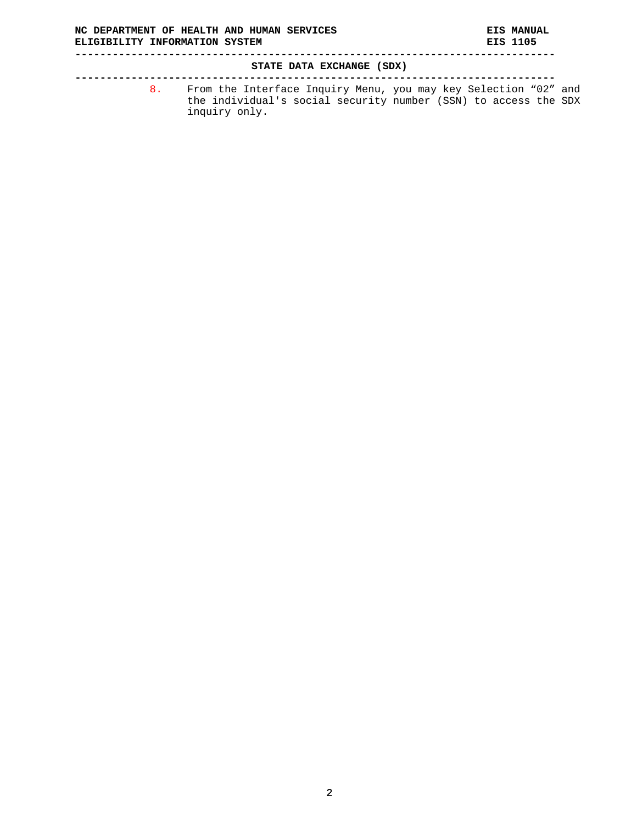**STATE DATA EXCHANGE (SDX)** 

**-----------------------------------------------------------------------------** 

8. From the Interface Inquiry Menu, you may key Selection "02" and the individual's social security number (SSN) to access the SDX inquiry only.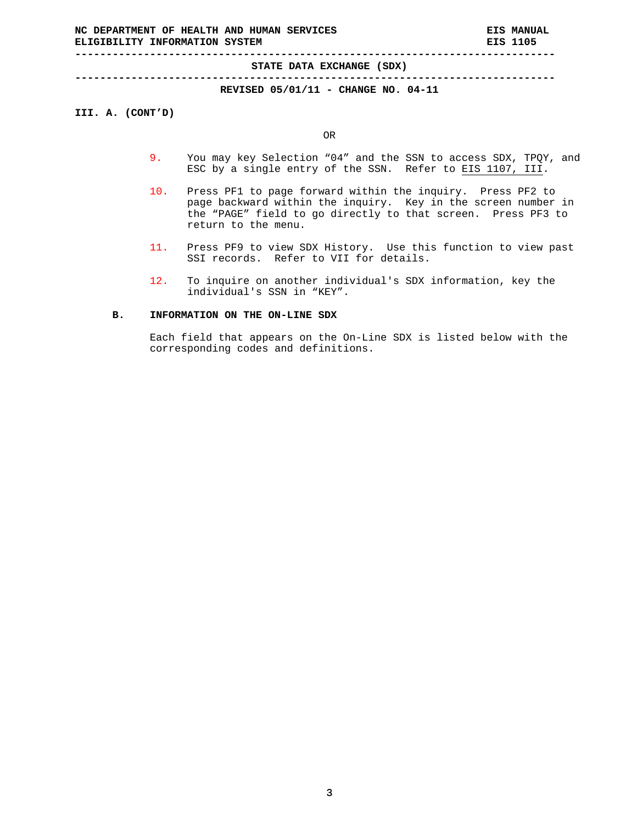**-----------------------------------------------------------------------------** 

**-----------------------------------------------------------------------------** 

#### **REVISED 05/01/11 - CHANGE NO. 04-11**

**III. A. (CONT'D)**

OR

- 9. You may key Selection "04" and the SSN to access SDX, TPQY, and ESC by a single entry of the SSN. Refer to [EIS 1107, III.](http://info.dhhs.state.nc.us/olm/manuals/dma/eis/man/Eis1107.htm#P58_2463)
- 10. Press PF1 to page forward within the inquiry. Press PF2 to page backward within the inquiry. Key in the screen number in the "PAGE" field to go directly to that screen. Press PF3 to return to the menu.
- 11. Press PF9 to view SDX History. Use this function to view past SSI records. Refer to VII for details.
- 12. To inquire on another individual's SDX information, key the individual's SSN in "KEY".

## **B. INFORMATION ON THE ON-LINE SDX**

Each field that appears on the On-Line SDX is listed below with the corresponding codes and definitions.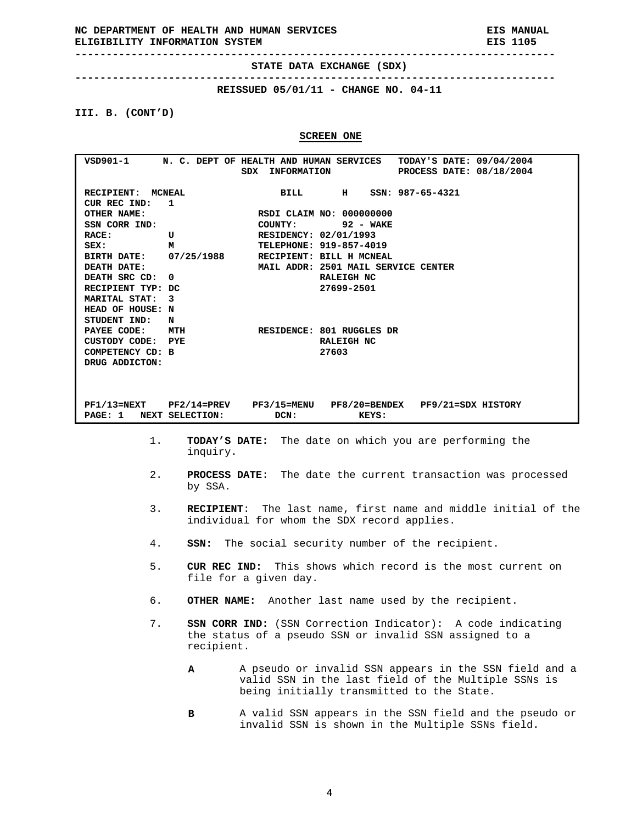**-----------------------------------------------------------------------------** 

**-----------------------------------------------------------------------------** 

**REISSUED 05/01/11 - CHANGE NO. 04-11** 

**III. B. (CONT'D)** 

**SCREEN ONE**

| VSD901-1 N. C. DEPT OF HEALTH AND HUMAN SERVICES                     |                |                           |                                     | TODAY'S DATE: 09/04/2004 |  |
|----------------------------------------------------------------------|----------------|---------------------------|-------------------------------------|--------------------------|--|
|                                                                      |                | SDX<br><b>INFORMATION</b> |                                     | PROCESS DATE: 08/18/2004 |  |
|                                                                      |                |                           |                                     |                          |  |
| RECIPIENT: MCNEAL                                                    |                |                           | BILL H SSN: 987-65-4321             |                          |  |
| CUR REC IND:                                                         | $\overline{1}$ |                           |                                     |                          |  |
| OTHER NAME:                                                          |                |                           | RSDI CLAIM NO: 000000000            |                          |  |
| SSN CORR IND:                                                        |                | <b>COUNTY:</b>            | 92 - WAKE                           |                          |  |
| RACE:                                                                | U              | RESIDENCY: 02/01/1993     |                                     |                          |  |
| SEX:                                                                 | м              | TELEPHONE: 919-857-4019   |                                     |                          |  |
| BIRTH DATE: 07/25/1988 RECIPIENT: BILL H MCNEAL                      |                |                           |                                     |                          |  |
| DEATH DATE:                                                          |                |                           | MAIL ADDR: 2501 MAIL SERVICE CENTER |                          |  |
| DEATH SRC CD: 0                                                      |                |                           | RALEIGH NC                          |                          |  |
| RECIPIENT TYP: DC                                                    |                |                           | 27699-2501                          |                          |  |
| MARITAL STAT:                                                        | - 3            |                           |                                     |                          |  |
| HEAD OF HOUSE: N                                                     |                |                           |                                     |                          |  |
| STUDENT IND:                                                         | N              |                           |                                     |                          |  |
| PAYEE CODE:                                                          | MTH            |                           | RESIDENCE: 801 RUGGLES DR           |                          |  |
| CUSTODY CODE: PYE                                                    |                |                           | RALEIGH NC                          |                          |  |
| COMPETENCY CD: B                                                     |                |                           | 27603                               |                          |  |
| DRUG ADDICTON:                                                       |                |                           |                                     |                          |  |
|                                                                      |                |                           |                                     |                          |  |
|                                                                      |                |                           |                                     |                          |  |
|                                                                      |                |                           |                                     |                          |  |
| PF1/13=NEXT PF2/14=PREV PF3/15=MENU PF8/20=BENDEX PF9/21=SDX HISTORY |                |                           |                                     |                          |  |
| PAGE: 1 NEXT SELECTION:                                              |                | DCN:                      | KEYS:                               |                          |  |

- 1. **TODAY'S DATE:** The date on which you are performing the inquiry.
- 2. **PROCESS DATE**: The date the current transaction was processed by SSA.
- 3. **RECIPIENT**: The last name, first name and middle initial of the individual for whom the SDX record applies.
- 4. **SSN:** The social security number of the recipient.
- 5. **CUR REC IND:** This shows which record is the most current on file for a given day.
- 6. **OTHER NAME:** Another last name used by the recipient.
- 7. **SSN CORR IND:** (SSN Correction Indicator): A code indicating the status of a pseudo SSN or invalid SSN assigned to a recipient.
	- **A** A pseudo or invalid SSN appears in the SSN field and a valid SSN in the last field of the Multiple SSNs is being initially transmitted to the State.
	- **B** A valid SSN appears in the SSN field and the pseudo or invalid SSN is shown in the Multiple SSNs field.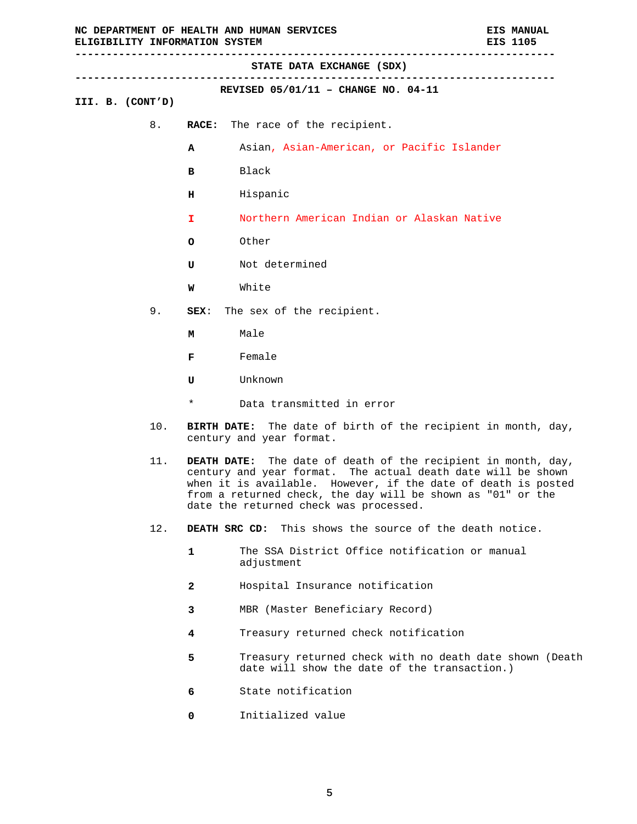| NC DEPARTMENT OF HEALTH AND HUMAN SERVICES<br>ELIGIBILITY INFORMATION SYSTEM | <b>EIS MANUAL</b><br>EIS 1105 |              |                                                                                                                                                                                                                                                                                             |  |
|------------------------------------------------------------------------------|-------------------------------|--------------|---------------------------------------------------------------------------------------------------------------------------------------------------------------------------------------------------------------------------------------------------------------------------------------------|--|
|                                                                              |                               |              | STATE DATA EXCHANGE (SDX)                                                                                                                                                                                                                                                                   |  |
|                                                                              |                               |              | REVISED $05/01/11$ - CHANGE NO. 04-11                                                                                                                                                                                                                                                       |  |
| III. B. (CONT'D)                                                             |                               |              |                                                                                                                                                                                                                                                                                             |  |
|                                                                              | 8.                            |              | RACE: The race of the recipient.                                                                                                                                                                                                                                                            |  |
|                                                                              |                               | A            | Asian, Asian-American, or Pacific Islander                                                                                                                                                                                                                                                  |  |
|                                                                              |                               | в            | Black                                                                                                                                                                                                                                                                                       |  |
|                                                                              |                               | н            | Hispanic                                                                                                                                                                                                                                                                                    |  |
|                                                                              |                               | I.           | Northern American Indian or Alaskan Native                                                                                                                                                                                                                                                  |  |
|                                                                              |                               | $\circ$      | Other                                                                                                                                                                                                                                                                                       |  |
|                                                                              |                               | U            | Not determined                                                                                                                                                                                                                                                                              |  |
|                                                                              |                               | W            | White                                                                                                                                                                                                                                                                                       |  |
|                                                                              | 9.                            | SEX:         | The sex of the recipient.                                                                                                                                                                                                                                                                   |  |
|                                                                              |                               | м            | Male                                                                                                                                                                                                                                                                                        |  |
|                                                                              |                               | F            | Female                                                                                                                                                                                                                                                                                      |  |
|                                                                              |                               | U            | Unknown                                                                                                                                                                                                                                                                                     |  |
|                                                                              |                               | $^\star$     | Data transmitted in error                                                                                                                                                                                                                                                                   |  |
|                                                                              | 10.                           |              | BIRTH DATE: The date of birth of the recipient in month, day,<br>century and year format.                                                                                                                                                                                                   |  |
|                                                                              | 11.                           | DEATH DATE:  | The date of death of the recipient in month, day,<br>century and year format. The actual death date will be shown<br>when it is available. However, if the date of death is posted<br>from a returned check, the day will be shown as "01" or the<br>date the returned check was processed. |  |
|                                                                              | 12.                           |              | <b>DEATH SRC CD:</b> This shows the source of the death notice.                                                                                                                                                                                                                             |  |
|                                                                              |                               | 1            | The SSA District Office notification or manual<br>adjustment                                                                                                                                                                                                                                |  |
|                                                                              |                               | $\mathbf{2}$ | Hospital Insurance notification                                                                                                                                                                                                                                                             |  |
|                                                                              |                               | 3            | MBR (Master Beneficiary Record)                                                                                                                                                                                                                                                             |  |
|                                                                              |                               | 4            | Treasury returned check notification                                                                                                                                                                                                                                                        |  |
|                                                                              |                               | 5            | Treasury returned check with no death date shown (Death<br>date will show the date of the transaction.)                                                                                                                                                                                     |  |
|                                                                              |                               | 6            | State notification                                                                                                                                                                                                                                                                          |  |
|                                                                              |                               | 0            | Initialized value                                                                                                                                                                                                                                                                           |  |
|                                                                              |                               |              |                                                                                                                                                                                                                                                                                             |  |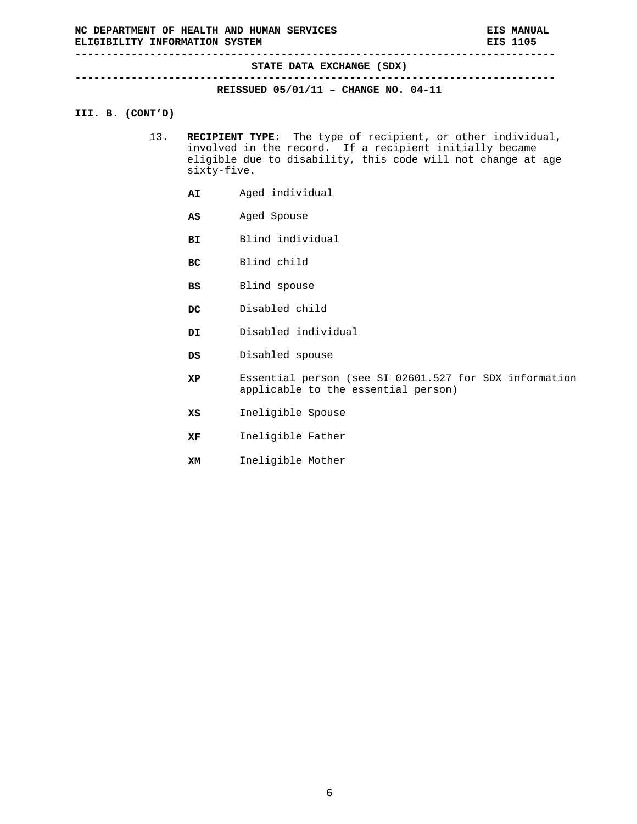**-----------------------------------------------------------------------------** 

**-----------------------------------------------------------------------------** 

## **REISSUED 05/01/11 – CHANGE NO. 04-11**

# **III. B. (CONT'D)**

- 13. **RECIPIENT TYPE:** The type of recipient, or other individual, involved in the record. If a recipient initially became eligible due to disability, this code will not change at age sixty-five.
	- **AI** Aged individual
	- **AS** Aged Spouse
	- **BI** Blind individual
	- **BC** Blind child
	- **BS** Blind spouse
	- **DC** Disabled child
	- **DI** Disabled individual
	- **DS** Disabled spouse
	- **XP** Essential person (see SI 02601.527 for SDX information applicable to the essential person)
	- **XS** Ineligible Spouse
	- **XF** Ineligible Father
	- **XM** Ineligible Mother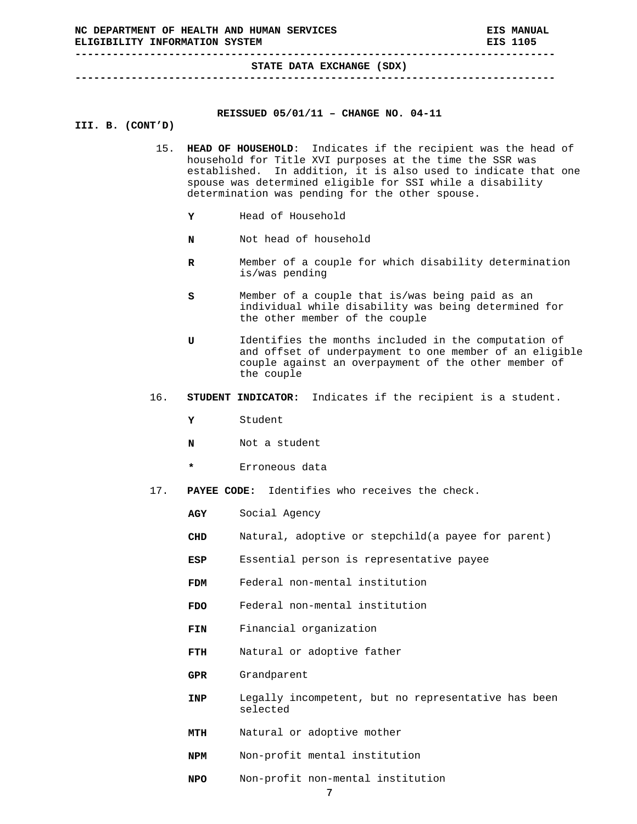**NC DEPARTMENT OF HEALTH AND HUMAN SERVICES EIS MANUAL ELIGIBILITY INFORMATION SYSTEM EIS 1105 ----------------------------------------------------------------------------- STATE DATA EXCHANGE (SDX) ----------------------------------------------------------------------------- REISSUED 05/01/11 – CHANGE NO. 04-11 III. B. (CONT'D)**  15. **HEAD OF HOUSEHOLD**: Indicates if the recipient was the head of household for Title XVI purposes at the time the SSR was established. In addition, it is also used to indicate that one spouse was determined eligible for SSI while a disability determination was pending for the other spouse. **Y** Head of Household **N** Not head of household **R** Member of a couple for which disability determination is/was pending **S** Member of a couple that is/was being paid as an individual while disability was being determined for the other member of the couple **U** Identifies the months included in the computation of and offset of underpayment to one member of an eligible couple against an overpayment of the other member of the couple

- 16. **STUDENT INDICATOR:** Indicates if the recipient is a student.
	- **Y** Student
	- **N** Not a student
	- **\*** Erroneous data
- 17. **PAYEE CODE:** Identifies who receives the check.
	- **AGY** Social Agency
	- **CHD** Natural, adoptive or stepchild(a payee for parent)
	- **ESP** Essential person is representative payee
	- **FDM** Federal non-mental institution
	- **FDO** Federal non-mental institution
	- **FIN** Financial organization
	- **FTH** Natural or adoptive father
	- **GPR** Grandparent
	- **INP** Legally incompetent, but no representative has been selected
	- **MTH** Natural or adoptive mother
	- **NPM** Non-profit mental institution
	- **NPO** Non-profit non-mental institution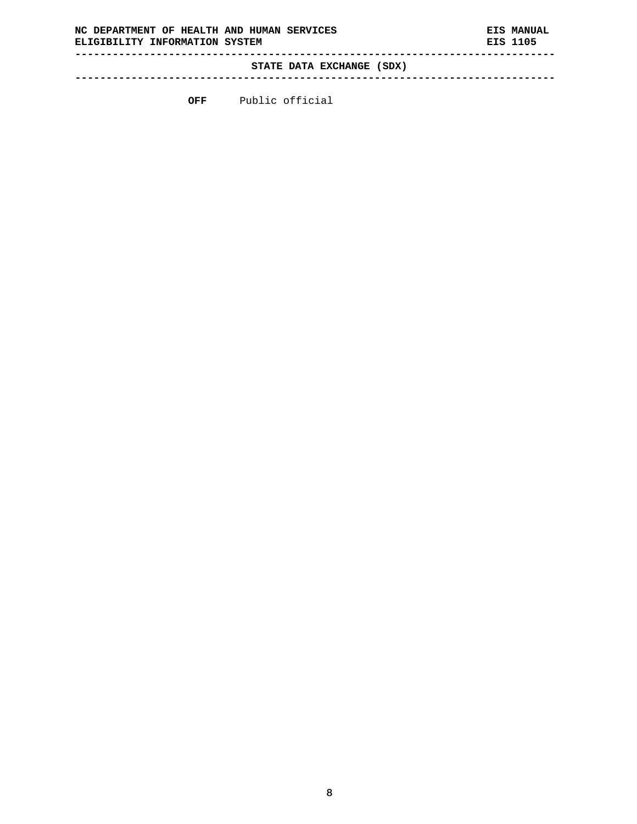**STATE DATA EXCHANGE (SDX) -----------------------------------------------------------------------------** 

**OFF** Public official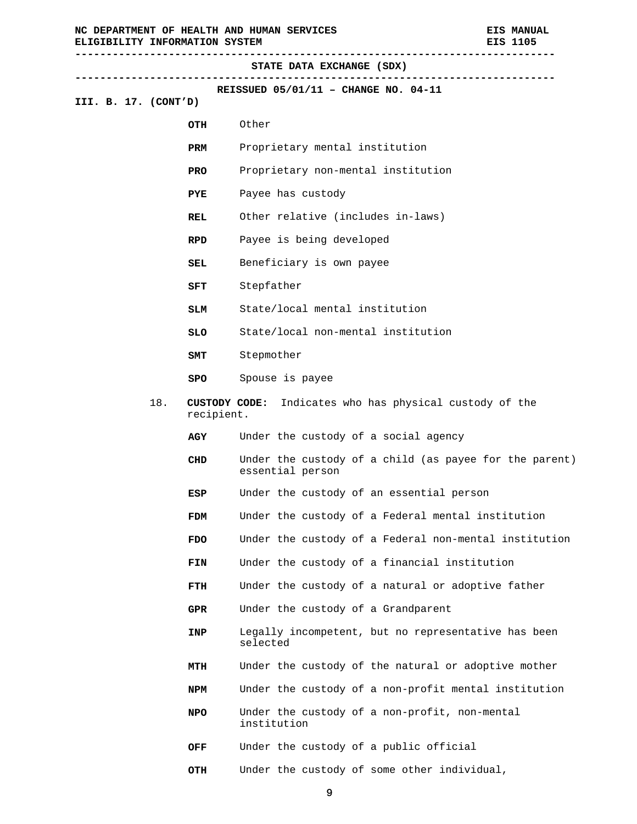**----------------------------------------------------------------------------- STATE DATA EXCHANGE (SDX) ----------------------------------------------------------------------------- REISSUED 05/01/11 – CHANGE NO. 04-11 III. B. 17. (CONT'D) OTH** Other **PRM** Proprietary mental institution **PRO** Proprietary non-mental institution **PYE** Payee has custody **REL** Other relative (includes in-laws) **RPD** Payee is being developed **SEL** Beneficiary is own payee **SFT** Stepfather **SLM** State/local mental institution **SLO** State/local non-mental institution **SMT** Stepmother **SPO** Spouse is payee 18. **CUSTODY CODE:** Indicates who has physical custody of the recipient. **AGY** Under the custody of a social agency **CHD** Under the custody of a child (as payee for the parent) essential person **ESP** Under the custody of an essential person **FDM** Under the custody of a Federal mental institution **FDO** Under the custody of a Federal non-mental institution **FIN** Under the custody of a financial institution **FTH** Under the custody of a natural or adoptive father **GPR** Under the custody of a Grandparent **INP** Legally incompetent, but no representative has been selected **MTH** Under the custody of the natural or adoptive mother **NPM** Under the custody of a non-profit mental institution **NPO** Under the custody of a non-profit, non-mental institution **OFF** Under the custody of a public official **OTH** Under the custody of some other individual,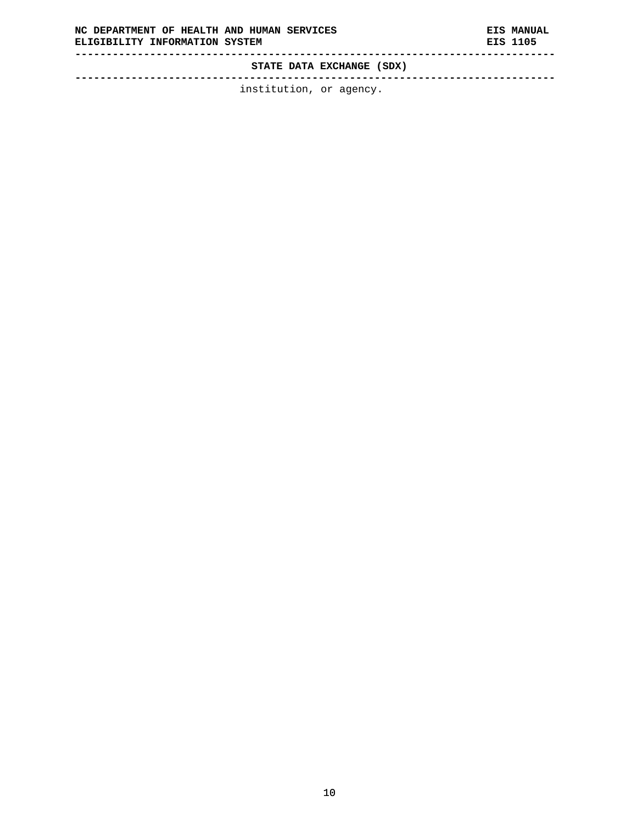**STATE DATA EXCHANGE (SDX)** 

**-----------------------------------------------------------------------------** 

institution, or agency.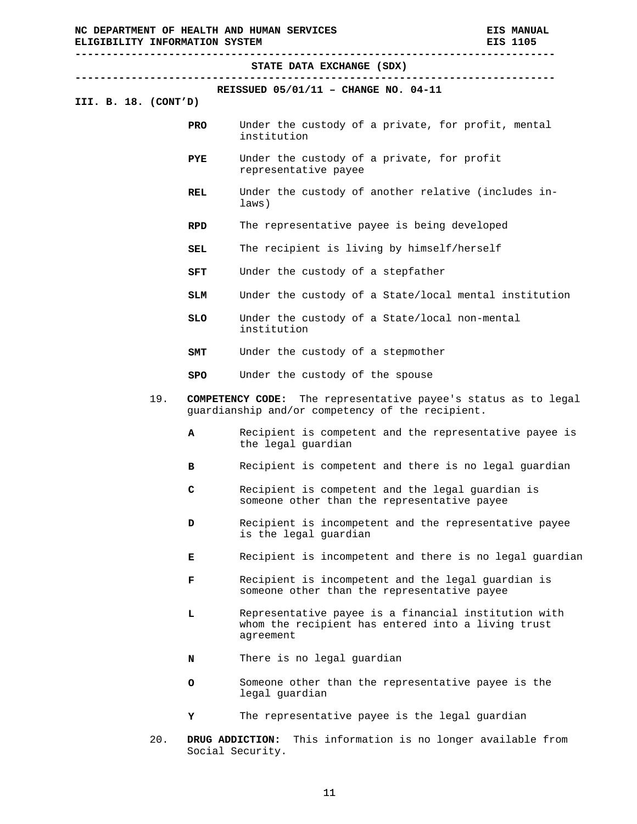| NC DEPARTMENT OF HEALTH AND HUMAN SERVICES<br>ELIGIBILITY INFORMATION SYSTEM |            |                                                                                                                           | <b>EIS MANUAL</b><br><b>EIS 1105</b> |
|------------------------------------------------------------------------------|------------|---------------------------------------------------------------------------------------------------------------------------|--------------------------------------|
|                                                                              |            | STATE DATA EXCHANGE (SDX)                                                                                                 |                                      |
|                                                                              |            | REISSUED $05/01/11$ - CHANGE NO. 04-11                                                                                    |                                      |
| III. B. 18. $(CONT'D)$                                                       |            |                                                                                                                           |                                      |
|                                                                              | PRO        | Under the custody of a private, for profit, mental<br>institution                                                         |                                      |
|                                                                              | <b>PYE</b> | Under the custody of a private, for profit<br>representative payee                                                        |                                      |
|                                                                              | REL        | Under the custody of another relative (includes in-<br>laws)                                                              |                                      |
|                                                                              | RPD        | The representative payee is being developed                                                                               |                                      |
|                                                                              | SEL        | The recipient is living by himself/herself                                                                                |                                      |
|                                                                              | SFT        | Under the custody of a stepfather                                                                                         |                                      |
|                                                                              | SLM        | Under the custody of a State/local mental institution                                                                     |                                      |
|                                                                              | SLO.       | Under the custody of a State/local non-mental<br>institution                                                              |                                      |
|                                                                              | SMT        | Under the custody of a stepmother                                                                                         |                                      |
|                                                                              | SPO.       | Under the custody of the spouse                                                                                           |                                      |
| 19.                                                                          |            | <b>COMPETENCY CODE:</b> The representative payee's status as to legal<br>guardianship and/or competency of the recipient. |                                      |
|                                                                              | A          | Recipient is competent and the representative payee is<br>the legal guardian                                              |                                      |
|                                                                              | в          | Recipient is competent and there is no legal guardian                                                                     |                                      |
|                                                                              | c          | Recipient is competent and the legal guardian is<br>someone other than the representative payee                           |                                      |
|                                                                              | D          | Recipient is incompetent and the representative payee<br>is the legal guardian                                            |                                      |
|                                                                              | Е          | Recipient is incompetent and there is no legal guardian                                                                   |                                      |
|                                                                              | F          | Recipient is incompetent and the legal guardian is<br>someone other than the representative payee                         |                                      |
|                                                                              | L          | Representative payee is a financial institution with<br>whom the recipient has entered into a living trust<br>agreement   |                                      |
|                                                                              | N          | There is no legal guardian                                                                                                |                                      |
|                                                                              | о          | Someone other than the representative payee is the<br>legal guardian                                                      |                                      |
|                                                                              | Y          | The representative payee is the legal guardian                                                                            |                                      |

20. **DRUG ADDICTION:** This information is no longer available from Social Security.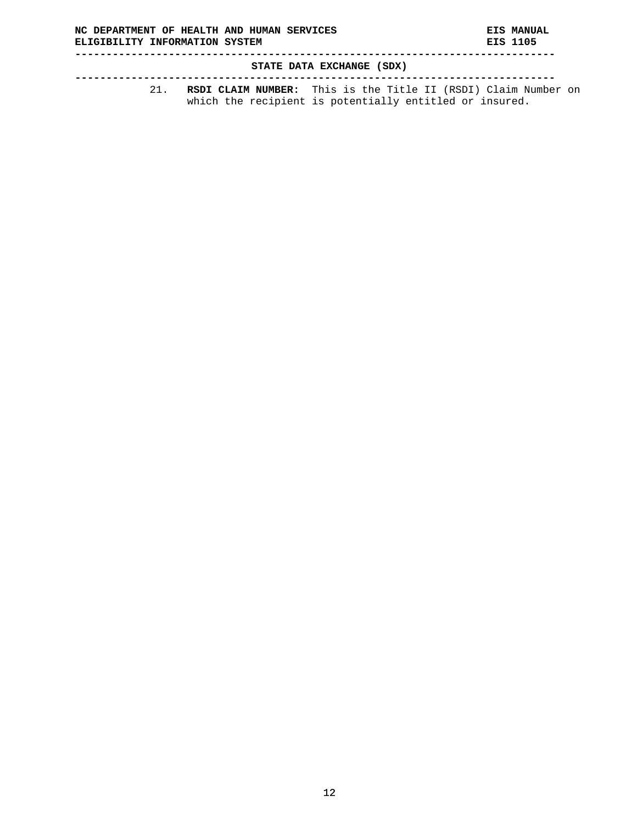**----------------------------------------------------------------------------- STATE DATA EXCHANGE (SDX) -----------------------------------------------------------------------------** 

21. **RSDI CLAIM NUMBER:** This is the Title II (RSDI) Claim Number on which the recipient is potentially entitled or insured.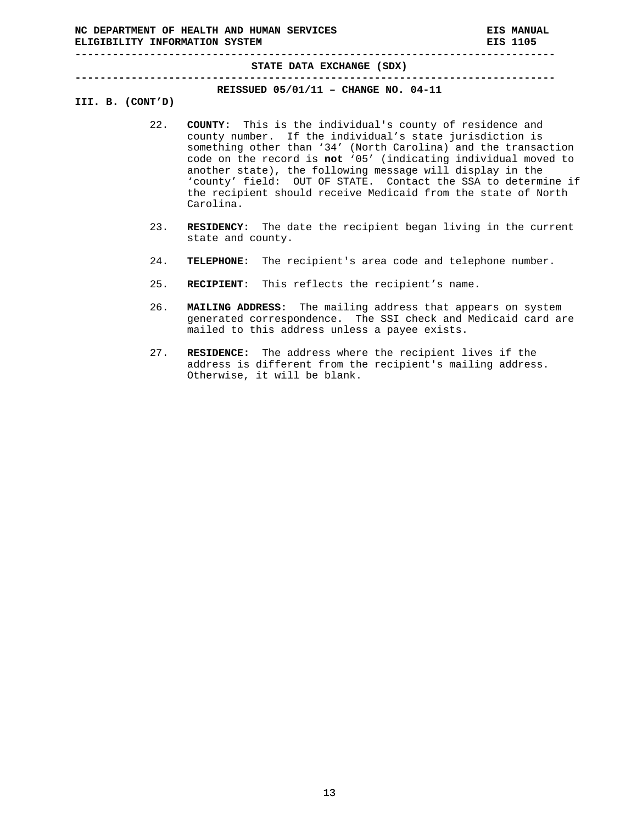**-----------------------------------------------------------------------------** 

**-----------------------------------------------------------------------------** 

**REISSUED 05/01/11 – CHANGE NO. 04-11** 

## **III. B. (CONT'D)**

- 22. **COUNTY:** This is the individual's county of residence and county number. If the individual's state jurisdiction is something other than '34' (North Carolina) and the transaction code on the record is **not** '05' (indicating individual moved to another state), the following message will display in the 'county' field: OUT OF STATE. Contact the SSA to determine if the recipient should receive Medicaid from the state of North Carolina.
- 23. **RESIDENCY:** The date the recipient began living in the current state and county.
- 24. **TELEPHONE:** The recipient's area code and telephone number.
- 25. **RECIPIENT:** This reflects the recipient's name.
- 26. **MAILING ADDRESS:** The mailing address that appears on system generated correspondence. The SSI check and Medicaid card are mailed to this address unless a payee exists.
- 27. **RESIDENCE:** The address where the recipient lives if the address is different from the recipient's mailing address. Otherwise, it will be blank.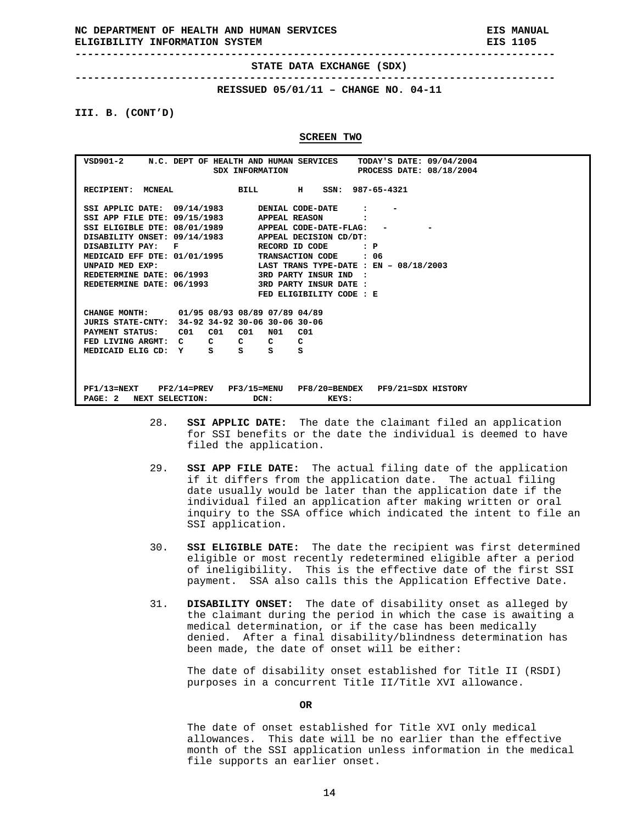**-----------------------------------------------------------------------------** 

**-----------------------------------------------------------------------------** 

**REISSUED 05/01/11 – CHANGE NO. 04-11** 

**III. B. (CONT'D)** 

**SCREEN TWO**

| $VSD901-2$                                          | N.C. DEPT OF HEALTH AND HUMAN SERVICES |                        |                          | TODAY'S DATE: 09/04/2004                 |
|-----------------------------------------------------|----------------------------------------|------------------------|--------------------------|------------------------------------------|
|                                                     |                                        | SDX INFORMATION        |                          | PROCESS DATE: 08/18/2004                 |
| <b>RECIPIENT:</b><br><b>MCNEAL</b>                  |                                        | BILL                   | H<br>SSN: 987-65-4321    |                                          |
|                                                     |                                        |                        |                          |                                          |
| SSI APPLIC DATE: 09/14/1983                         |                                        |                        | DENIAL CODE-DATE         |                                          |
| SSI APP FILE DTE: 09/15/1983 APPEAL REASON          |                                        |                        |                          |                                          |
| SSI ELIGIBLE DTE: 08/01/1989                        |                                        |                        | APPEAL CODE-DATE-FLAG: - |                                          |
| DISABILITY ONSET: 09/14/1983 APPEAL DECISION CD/DT: |                                        |                        |                          |                                          |
| DISABILITY PAY:                                     | F                                      | RECORD ID CODE         |                          | : P                                      |
| MEDICAID EFF DTE: 01/01/1995                        |                                        |                        | TRANSACTION CODE         | : 06                                     |
| UNPAID MED EXP:                                     |                                        |                        |                          | LAST TRANS TYPE-DATE : EN - $08/18/2003$ |
| REDETERMINE DATE: 06/1993 3RD PARTY INSUR IND       |                                        |                        | $\cdot$ .                |                                          |
| REDETERMINE DATE: 06/1993                           |                                        |                        | 3RD PARTY INSUR DATE :   |                                          |
|                                                     |                                        |                        | FED ELIGIBILITY CODE : E |                                          |
|                                                     |                                        |                        |                          |                                          |
| CHANGE MONTH: 01/95 08/93 08/89 07/89 04/89         |                                        |                        |                          |                                          |
| JURIS STATE-CNTY: 34-92 34-92 30-06 30-06 30-06     |                                        |                        |                          |                                          |
| PAYMENT STATUS:                                     | C <sub>01</sub><br>C <sub>01</sub>     | C <sub>01</sub><br>N01 | C <sub>01</sub>          |                                          |
| FED LIVING ARGMT: C                                 | C                                      | C<br>$\mathbf{C}$      | C                        |                                          |
| MEDICAID ELIG CD:                                   | s<br>$\mathbf{v}$                      | s<br>s                 | s                        |                                          |
|                                                     |                                        |                        |                          |                                          |
|                                                     |                                        |                        |                          |                                          |
|                                                     |                                        |                        |                          |                                          |
| $PF1/13 = NEXT$                                     | <b>PF2/14=PREV</b>                     | PF3/15=MENU            | PF8/20=BENDEX            | PF9/21=SDX HISTORY                       |
| PAGE: 2                                             | NEXT SELECTION:                        | DCN:                   | KEYS:                    |                                          |

- 28. **SSI APPLIC DATE:** The date the claimant filed an application for SSI benefits or the date the individual is deemed to have filed the application.
- 29. **SSI APP FILE DATE:** The actual filing date of the application if it differs from the application date. The actual filing date usually would be later than the application date if the individual filed an application after making written or oral inquiry to the SSA office which indicated the intent to file an SSI application.
- 30. **SSI ELIGIBLE DATE:** The date the recipient was first determined eligible or most recently redetermined eligible after a period of ineligibility. This is the effective date of the first SSI payment. SSA also calls this the Application Effective Date.
- 31. **DISABILITY ONSET:** The date of disability onset as alleged by the claimant during the period in which the case is awaiting a medical determination, or if the case has been medically denied. After a final disability/blindness determination has been made, the date of onset will be either:

The date of disability onset established for Title II (RSDI) purposes in a concurrent Title II/Title XVI allowance.

**OR** 

The date of onset established for Title XVI only medical allowances. This date will be no earlier than the effective month of the SSI application unless information in the medical file supports an earlier onset.

14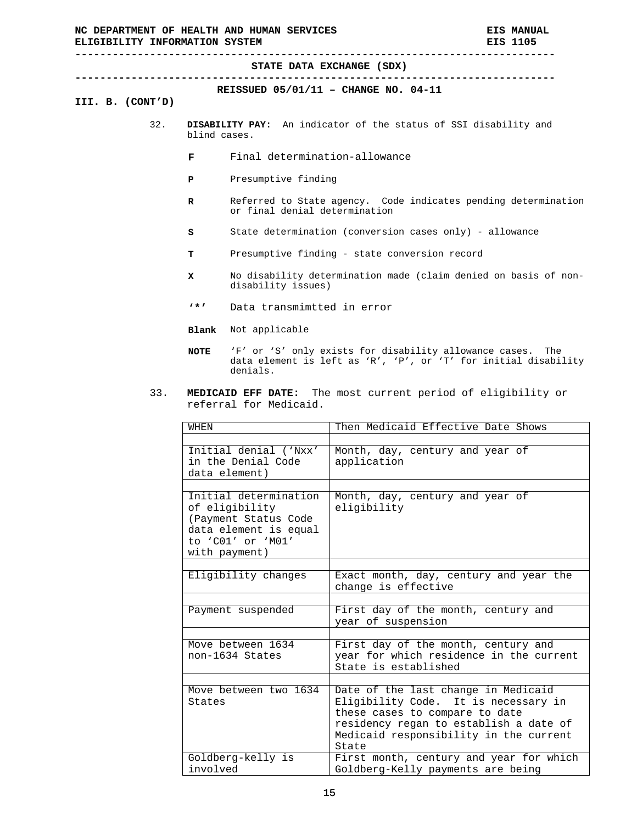**-----------------------------------------------------------------------------** 

**-----------------------------------------------------------------------------** 

**REISSUED 05/01/11 – CHANGE NO. 04-11** 

## **III. B. (CONT'D)**

- 32. **DISABILITY PAY:** An indicator of the status of SSI disability and blind cases.
	- **F** Final determination-allowance
	- **P** Presumptive finding
	- **R** Referred to State agency. Code indicates pending determination or final denial determination
	- **S** State determination (conversion cases only) allowance
	- **T** Presumptive finding state conversion record
	- **X** No disability determination made (claim denied on basis of nondisability issues)
	- **'\*'** Data transmimtted in error
	- **Blank** Not applicable
	- **NOTE** 'F' or 'S' only exists for disability allowance cases. The data element is left as 'R', 'P', or 'T' for initial disability denials.
- 33. **MEDICAID EFF DATE:** The most current period of eligibility or referral for Medicaid.

| WHEN                                                                                                                           | Then Medicaid Effective Date Shows                                                                                                                                                                         |  |  |
|--------------------------------------------------------------------------------------------------------------------------------|------------------------------------------------------------------------------------------------------------------------------------------------------------------------------------------------------------|--|--|
|                                                                                                                                |                                                                                                                                                                                                            |  |  |
| Initial denial ('Nxx'<br>in the Denial Code<br>data element)                                                                   | Month, day, century and year of<br>application                                                                                                                                                             |  |  |
|                                                                                                                                |                                                                                                                                                                                                            |  |  |
| Initial determination<br>of eligibility<br>(Payment Status Code<br>data element is equal<br>to 'CO1' or 'MO1'<br>with payment) | Month, day, century and year of<br>eligibility                                                                                                                                                             |  |  |
|                                                                                                                                |                                                                                                                                                                                                            |  |  |
| Eligibility changes                                                                                                            | Exact month, day, century and year the<br>change is effective                                                                                                                                              |  |  |
|                                                                                                                                |                                                                                                                                                                                                            |  |  |
| Payment suspended                                                                                                              | First day of the month, century and<br>year of suspension                                                                                                                                                  |  |  |
|                                                                                                                                |                                                                                                                                                                                                            |  |  |
| Move between 1634<br>non-1634 States                                                                                           | First day of the month, century and<br>year for which residence in the current<br>State is established                                                                                                     |  |  |
|                                                                                                                                |                                                                                                                                                                                                            |  |  |
| Move between two 1634<br>States                                                                                                | Date of the last change in Medicaid<br>Eligibility Code. It is necessary in<br>these cases to compare to date<br>residency regan to establish a date of<br>Medicaid responsibility in the current<br>State |  |  |
| Goldberg-kelly is<br>involved                                                                                                  | First month, century and year for which<br>Goldberg-Kelly payments are being                                                                                                                               |  |  |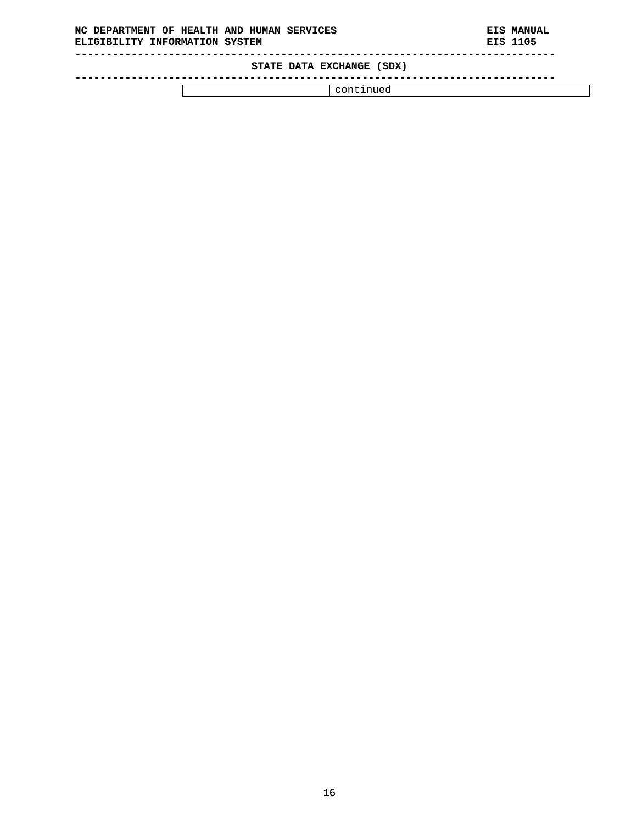## **STATE DATA EXCHANGE (SDX)**

#### **-----------------------------------------------------------------------------**

continued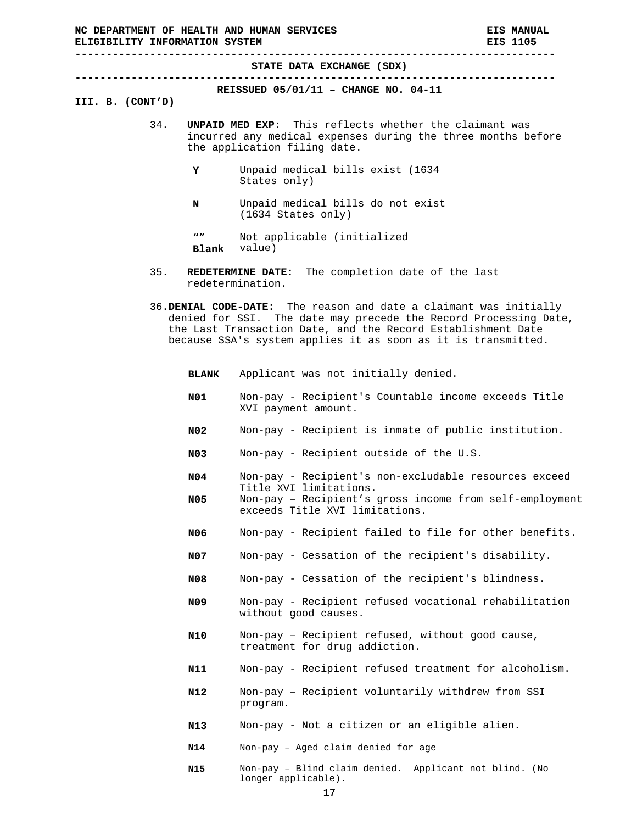**STATE DATA EXCHANGE (SDX)** 

# **----------------------------------------------------------------------------- REISSUED 05/01/11 – CHANGE NO. 04-11**

#### **III. B. (CONT'D)**

- 34. **UNPAID MED EXP:** This reflects whether the claimant was incurred any medical expenses during the three months before the application filing date.
	- **Y** Unpaid medical bills exist (1634 States only)
	- **N** Unpaid medical bills do not exist (1634 States only)
	- **"" Blank** Not applicable (initialized value)
- 35. **REDETERMINE DATE:** The completion date of the last redetermination.
- 36.**DENIAL CODE-DATE:** The reason and date a claimant was initially denied for SSI. The date may precede the Record Processing Date, the Last Transaction Date, and the Record Establishment Date because SSA's system applies it as soon as it is transmitted.
	- **BLANK** Applicant was not initially denied.
	- **N01** Non-pay Recipient's Countable income exceeds Title XVI payment amount.
	- **N02** Non-pay Recipient is inmate of public institution.
	- **N03** Non-pay Recipient outside of the U.S.
	- **N04** Non-pay Recipient's non-excludable resources exceed Title XVI limitations.
	- **N05** Non-pay Recipient's gross income from self-employment exceeds Title XVI limitations.
	- **N06** Non-pay Recipient failed to file for other benefits.
	- **N07** Non-pay Cessation of the recipient's disability.
	- **N08** Non-pay Cessation of the recipient's blindness.
	- **N09** Non-pay Recipient refused vocational rehabilitation without good causes.
	- **N10** Non-pay Recipient refused, without good cause, treatment for drug addiction.
	- **N11** Non-pay Recipient refused treatment for alcoholism.
	- **N12** Non-pay Recipient voluntarily withdrew from SSI program.
	- **N13** Non-pay Not a citizen or an eligible alien.
		- **N14** Non-pay Aged claim denied for age
	- **N15** Non-pay Blind claim denied. Applicant not blind. (No longer applicable).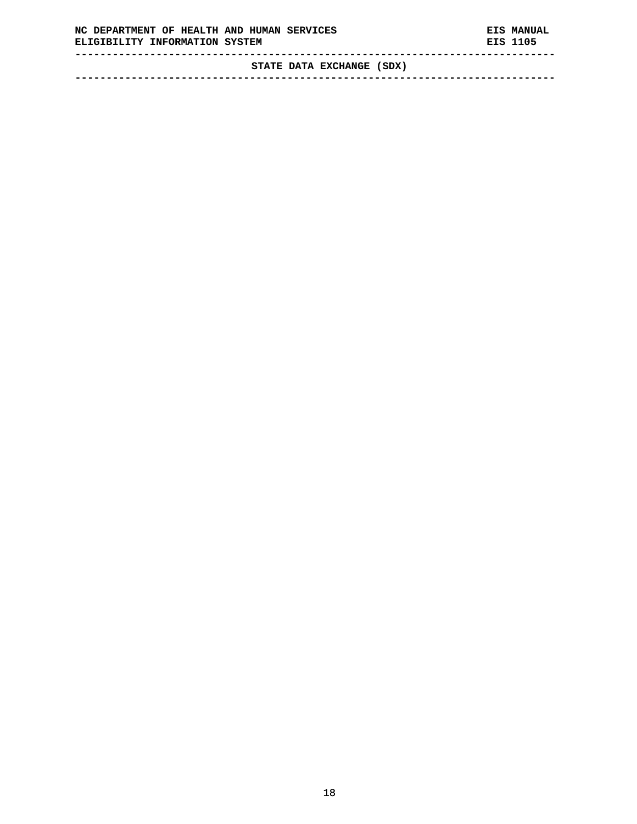**STATE DATA EXCHANGE (SDX) -----------------------------------------------------------------------------**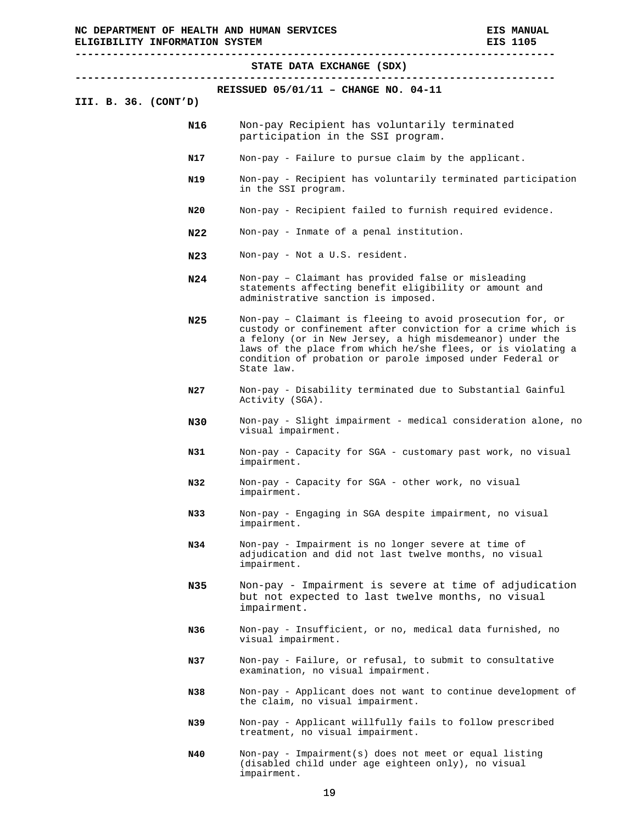**----------------------------------------------------------------------------- STATE DATA EXCHANGE (SDX) ----------------------------------------------------------------------------- REISSUED 05/01/11 – CHANGE NO. 04-11 III. B. 36. (CONT'D) N16** Non-pay Recipient has voluntarily terminated participation in the SSI program. **N17** Non-pay - Failure to pursue claim by the applicant. **N19** Non-pay - Recipient has voluntarily terminated participation in the SSI program. **N20** Non-pay - Recipient failed to furnish required evidence. **N22** Non-pay - Inmate of a penal institution. **N23** Non-pay - Not a U.S. resident. **N24** Non-pay – Claimant has provided false or misleading statements affecting benefit eligibility or amount and administrative sanction is imposed. **N25** Non-pay – Claimant is fleeing to avoid prosecution for, or custody or confinement after conviction for a crime which is a felony (or in New Jersey, a high misdemeanor) under the laws of the place from which he/she flees, or is violating a condition of probation or parole imposed under Federal or State law. **N27** Non-pay - Disability terminated due to Substantial Gainful Activity (SGA). **N30** Non-pay - Slight impairment - medical consideration alone, no visual impairment. **N31** Non-pay - Capacity for SGA - customary past work, no visual impairment. **N32** Non-pay - Capacity for SGA - other work, no visual impairment. **N33** Non-pay - Engaging in SGA despite impairment, no visual impairment. **N34** Non-pay - Impairment is no longer severe at time of adjudication and did not last twelve months, no visual impairment. **N35** Non-pay - Impairment is severe at time of adjudication but not expected to last twelve months, no visual impairment. **N36** Non-pay - Insufficient, or no, medical data furnished, no visual impairment. **N37** Non-pay - Failure, or refusal, to submit to consultative examination, no visual impairment. **N38** Non-pay - Applicant does not want to continue development of the claim, no visual impairment.

- **N39** Non-pay Applicant willfully fails to follow prescribed treatment, no visual impairment.
- **N40** Non-pay Impairment(s) does not meet or equal listing (disabled child under age eighteen only), no visual impairment.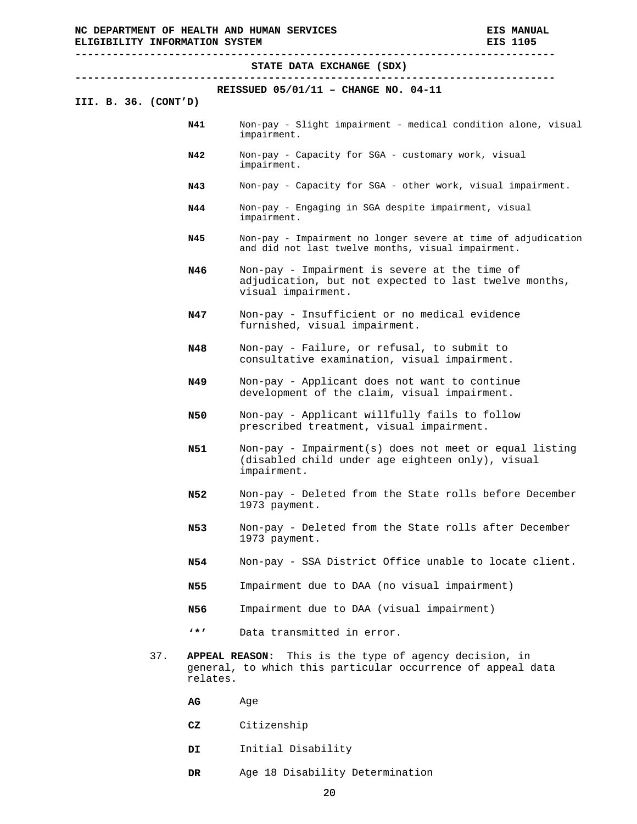|                        | STATE DATA EXCHANGE (SDX)                                                                                                       |
|------------------------|---------------------------------------------------------------------------------------------------------------------------------|
|                        | REISSUED $05/01/11$ - CHANGE NO. 04-11                                                                                          |
| III. B. $36.$ (CONT'D) |                                                                                                                                 |
| N41                    | Non-pay - Slight impairment - medical condition alone, visual<br>impairment.                                                    |
| N42                    | Non-pay - Capacity for SGA - customary work, visual<br>impairment.                                                              |
| N43                    | Non-pay - Capacity for SGA - other work, visual impairment.                                                                     |
| N44                    | Non-pay - Engaging in SGA despite impairment, visual<br>impairment.                                                             |
| N45                    | Non-pay - Impairment no longer severe at time of adjudication<br>and did not last twelve months, visual impairment.             |
| N46                    | Non-pay - Impairment is severe at the time of<br>adjudication, but not expected to last twelve months,<br>visual impairment.    |
| N47                    | Non-pay - Insufficient or no medical evidence<br>furnished, visual impairment.                                                  |
| N48                    | Non-pay - Failure, or refusal, to submit to<br>consultative examination, visual impairment.                                     |
| N49                    | Non-pay - Applicant does not want to continue<br>development of the claim, visual impairment.                                   |
| N50                    | Non-pay - Applicant willfully fails to follow<br>prescribed treatment, visual impairment.                                       |
| N51                    | Non-pay - Impairment(s) does not meet or equal listing<br>(disabled child under age eighteen only), visual<br>impairment.       |
| N52                    | Non-pay - Deleted from the State rolls before December<br>1973 payment.                                                         |
| N53                    | Non-pay - Deleted from the State rolls after December<br>1973 payment.                                                          |
| N54                    | Non-pay - SSA District Office unable to locate client.                                                                          |
| N55                    | Impairment due to DAA (no visual impairment)                                                                                    |
| N56                    | Impairment due to DAA (visual impairment)                                                                                       |
| $\sqrt{1 + 1}$         | Data transmitted in error.                                                                                                      |
| 37.<br>relates.        | This is the type of agency decision, in<br><b>APPEAL REASON:</b><br>general, to which this particular occurrence of appeal data |
| AG                     | Age                                                                                                                             |
| CZ                     | Citizenship                                                                                                                     |

- **DI** Initial Disability
- DR Age 18 Disability Determination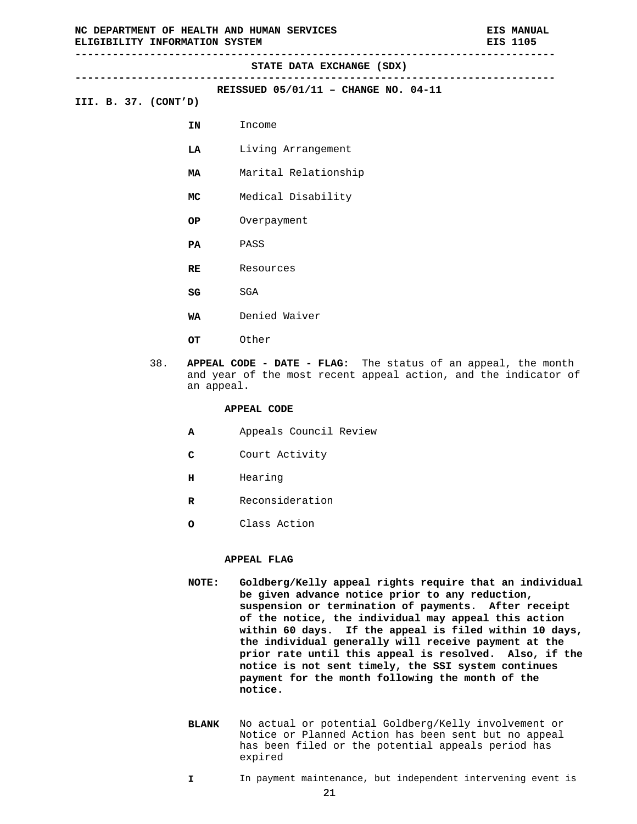**----------------------------------------------------------------------------- STATE DATA EXCHANGE (SDX) ----------------------------------------------------------------------------- REISSUED 05/01/11 – CHANGE NO. 04-11 III. B. 37. (CONT'D) IN** Income **LA** Living Arrangement **MA** Marital Relationship **MC** Medical Disability **OP** Overpayment **PA** PASS **RE** Resources **SG** SGA

- **WA** Denied Waiver
- **OT** Other
- 38. **APPEAL CODE DATE FLAG:** The status of an appeal, the month and year of the most recent appeal action, and the indicator of an appeal.

#### **APPEAL CODE**

- **A** Appeals Council Review
- **C** Court Activity
- **H** Hearing
- **R** Reconsideration
- **O** Class Action

## **APPEAL FLAG**

- **NOTE: Goldberg/Kelly appeal rights require that an individual be given advance notice prior to any reduction, suspension or termination of payments. After receipt of the notice, the individual may appeal this action within 60 days. If the appeal is filed within 10 days, the individual generally will receive payment at the prior rate until this appeal is resolved. Also, if the notice is not sent timely, the SSI system continues payment for the month following the month of the notice.**
- **BLANK** No actual or potential Goldberg/Kelly involvement or Notice or Planned Action has been sent but no appeal has been filed or the potential appeals period has expired
- **I** In payment maintenance, but independent intervening event is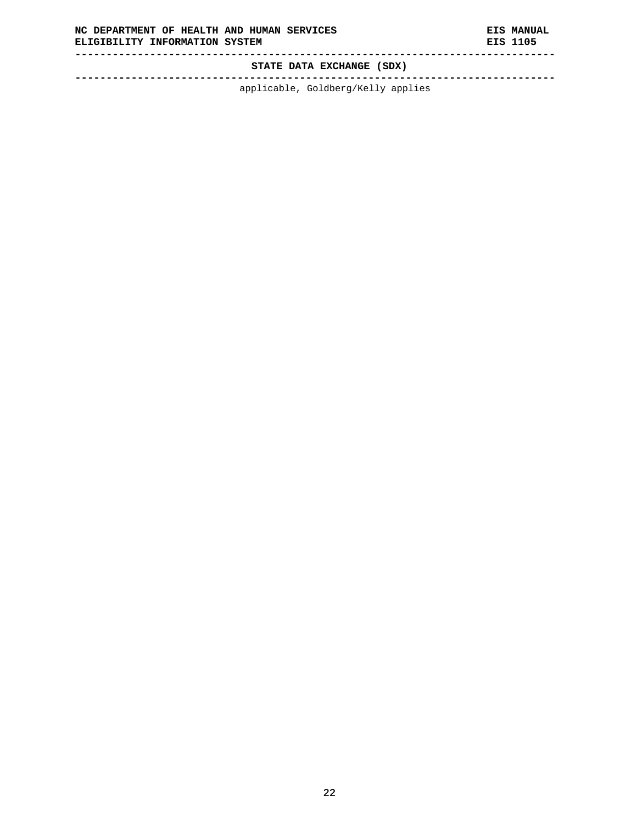**STATE DATA EXCHANGE (SDX)** 

**----------------------------------------------------------------------------**  applicable, Goldberg/Kelly applies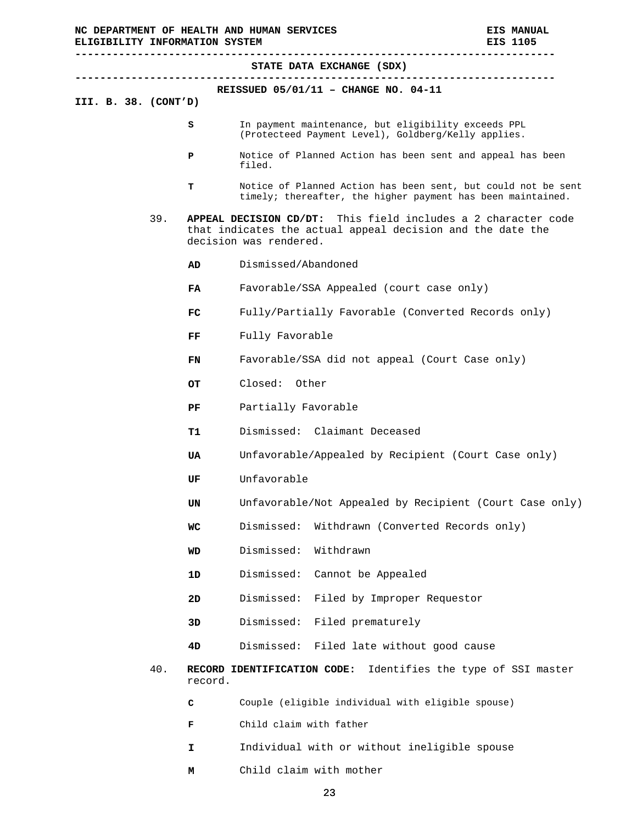| STATE DATA EXCHANGE (SDX) |  |                      |         |                                                                                                                                                          |  |
|---------------------------|--|----------------------|---------|----------------------------------------------------------------------------------------------------------------------------------------------------------|--|
|                           |  |                      |         | REISSUED $05/01/11$ - CHANGE NO. 04-11                                                                                                                   |  |
|                           |  | III. B. 38. (CONT'D) |         |                                                                                                                                                          |  |
|                           |  |                      | s       | In payment maintenance, but eligibility exceeds PPL<br>(Protecteed Payment Level), Goldberg/Kelly applies.                                               |  |
|                           |  |                      | P       | Notice of Planned Action has been sent and appeal has been<br>filed.                                                                                     |  |
|                           |  |                      | т       | Notice of Planned Action has been sent, but could not be sent<br>timely; thereafter, the higher payment has been maintained.                             |  |
|                           |  | 39.                  |         | APPEAL DECISION CD/DT:<br>This field includes a 2 character code<br>that indicates the actual appeal decision and the date the<br>decision was rendered. |  |
|                           |  |                      | AD      | Dismissed/Abandoned                                                                                                                                      |  |
|                           |  |                      | FA.     | Favorable/SSA Appealed (court case only)                                                                                                                 |  |
|                           |  |                      | FC.     | Fully/Partially Favorable (Converted Records only)                                                                                                       |  |
|                           |  |                      | FF      | Fully Favorable                                                                                                                                          |  |
|                           |  |                      | FN      | Favorable/SSA did not appeal (Court Case only)                                                                                                           |  |
|                           |  |                      | OТ      | Other<br>Closed:                                                                                                                                         |  |
|                           |  |                      | PF      | Partially Favorable                                                                                                                                      |  |
|                           |  |                      | т1      | Dismissed:<br>Claimant Deceased                                                                                                                          |  |
|                           |  |                      | UA      | Unfavorable/Appealed by Recipient (Court Case only)                                                                                                      |  |
|                           |  |                      | UF      | Unfavorable                                                                                                                                              |  |
|                           |  |                      | UN      | Unfavorable/Not Appealed by Recipient (Court Case only)                                                                                                  |  |
|                           |  |                      | WC      | Dismissed:<br>Withdrawn (Converted Records only)                                                                                                         |  |
|                           |  |                      | WD      | Dismissed:<br>Withdrawn                                                                                                                                  |  |
|                           |  |                      | 1D      | Dismissed:<br>Cannot be Appealed                                                                                                                         |  |
|                           |  |                      | 2D      | Dismissed:<br>Filed by Improper Requestor                                                                                                                |  |
|                           |  |                      | 3D      | Dismissed:<br>Filed prematurely                                                                                                                          |  |
|                           |  |                      | 4D      | Dismissed:<br>Filed late without good cause                                                                                                              |  |
|                           |  | 40.                  | record. | Identifies the type of SSI master<br>RECORD IDENTIFICATION CODE:                                                                                         |  |
|                           |  |                      | с       | Couple (eligible individual with eligible spouse)                                                                                                        |  |
|                           |  |                      | F       | Child claim with father                                                                                                                                  |  |

- **I** Individual with or without ineligible spouse
- **M** Child claim with mother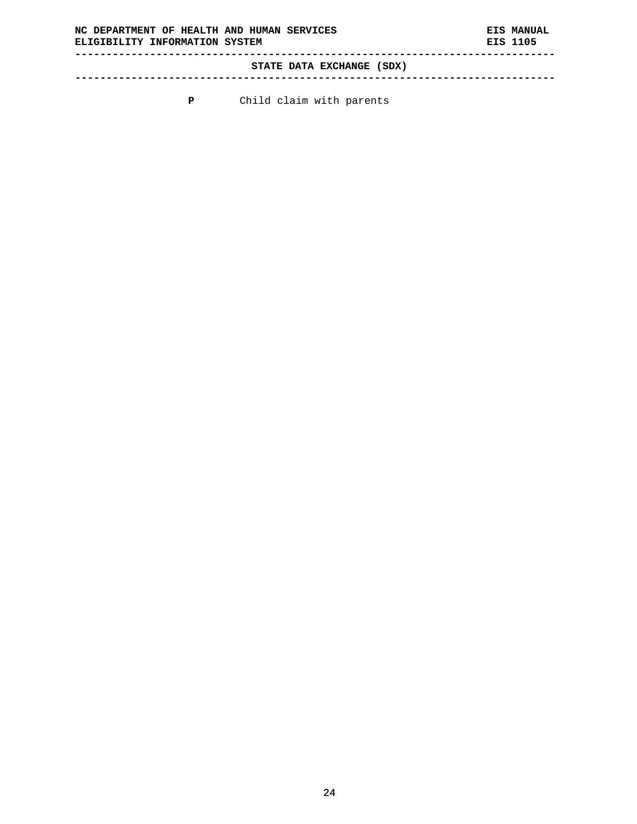**P** Child claim with parents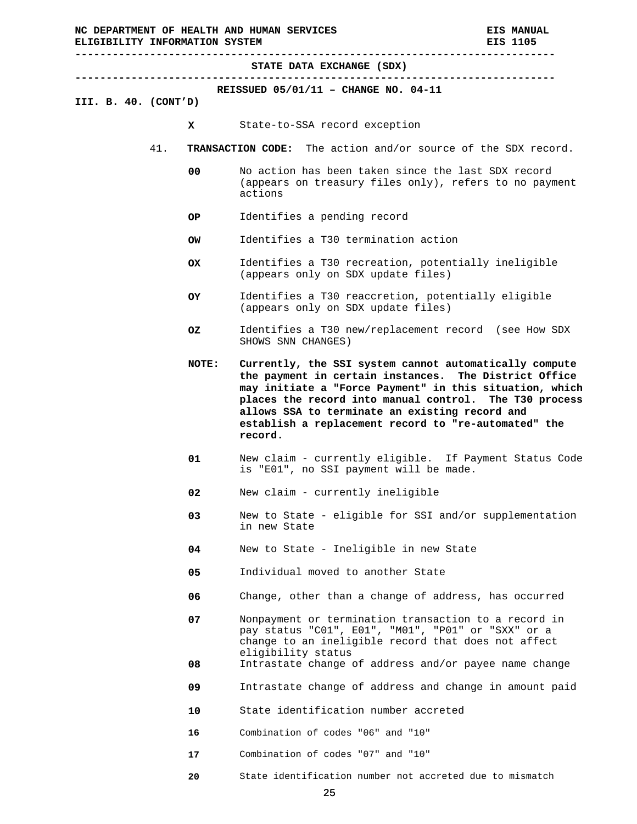| NC DEPARTMENT OF HEALTH AND HUMAN SERVICES<br>ELIGIBILITY INFORMATION SYSTEM | <b>EIS MANUAL</b><br>EIS 1105 |           |                                                                                                                                                                                                                                                                                                                                       |                     |
|------------------------------------------------------------------------------|-------------------------------|-----------|---------------------------------------------------------------------------------------------------------------------------------------------------------------------------------------------------------------------------------------------------------------------------------------------------------------------------------------|---------------------|
|                                                                              |                               |           | STATE DATA EXCHANGE (SDX)                                                                                                                                                                                                                                                                                                             |                     |
| III. B. 40. (CONT'D)                                                         |                               |           | REISSUED $05/01/11$ - CHANGE NO. 04-11                                                                                                                                                                                                                                                                                                |                     |
|                                                                              |                               | x         | State-to-SSA record exception                                                                                                                                                                                                                                                                                                         |                     |
|                                                                              | 41.                           |           | <b>TRANSACTION CODE:</b> The action and/or source of the SDX record.                                                                                                                                                                                                                                                                  |                     |
|                                                                              |                               | 00        | No action has been taken since the last SDX record<br>(appears on treasury files only), refers to no payment<br>actions                                                                                                                                                                                                               |                     |
|                                                                              |                               | OP.       | Identifies a pending record                                                                                                                                                                                                                                                                                                           |                     |
|                                                                              |                               | <b>OW</b> | Identifies a T30 termination action                                                                                                                                                                                                                                                                                                   |                     |
|                                                                              |                               | OX.       | Identifies a T30 recreation, potentially ineligible<br>(appears only on SDX update files)                                                                                                                                                                                                                                             |                     |
|                                                                              |                               | OY.       | Identifies a T30 reaccretion, potentially eligible<br>(appears only on SDX update files)                                                                                                                                                                                                                                              |                     |
|                                                                              |                               | 0Z        | Identifies a T30 new/replacement record (see How SDX<br>SHOWS SNN CHANGES)                                                                                                                                                                                                                                                            |                     |
|                                                                              |                               | NOTE:     | Currently, the SSI system cannot automatically compute<br>the payment in certain instances.<br>may initiate a "Force Payment" in this situation, which<br>places the record into manual control. The T30 process<br>allows SSA to terminate an existing record and<br>establish a replacement record to "re-automated" the<br>record. | The District Office |
|                                                                              |                               | 01        | New claim - currently eligible. If Payment Status Code<br>is "E01", no SSI payment will be made.                                                                                                                                                                                                                                      |                     |
|                                                                              |                               | 02        | New claim - currently ineligible                                                                                                                                                                                                                                                                                                      |                     |
|                                                                              |                               | 03        | New to State - eligible for SSI and/or supplementation<br>in new State                                                                                                                                                                                                                                                                |                     |
|                                                                              |                               | 04        | New to State - Ineligible in new State                                                                                                                                                                                                                                                                                                |                     |
|                                                                              |                               | 05        | Individual moved to another State                                                                                                                                                                                                                                                                                                     |                     |
|                                                                              |                               | 06        | Change, other than a change of address, has occurred                                                                                                                                                                                                                                                                                  |                     |
|                                                                              |                               | 07        | Nonpayment or termination transaction to a record in<br>pay status "CO1", EO1", "MO1", "PO1" or "SXX" or a<br>change to an ineligible record that does not affect<br>eligibility status                                                                                                                                               |                     |
|                                                                              |                               | 08        | Intrastate change of address and/or payee name change                                                                                                                                                                                                                                                                                 |                     |
|                                                                              |                               | 09        | Intrastate change of address and change in amount paid                                                                                                                                                                                                                                                                                |                     |
|                                                                              |                               | 10        | State identification number accreted                                                                                                                                                                                                                                                                                                  |                     |
|                                                                              |                               | 16        | Combination of codes "06" and "10"                                                                                                                                                                                                                                                                                                    |                     |
|                                                                              |                               | 17        | Combination of codes "07" and "10"                                                                                                                                                                                                                                                                                                    |                     |

25

**20** State identification number not accreted due to mismatch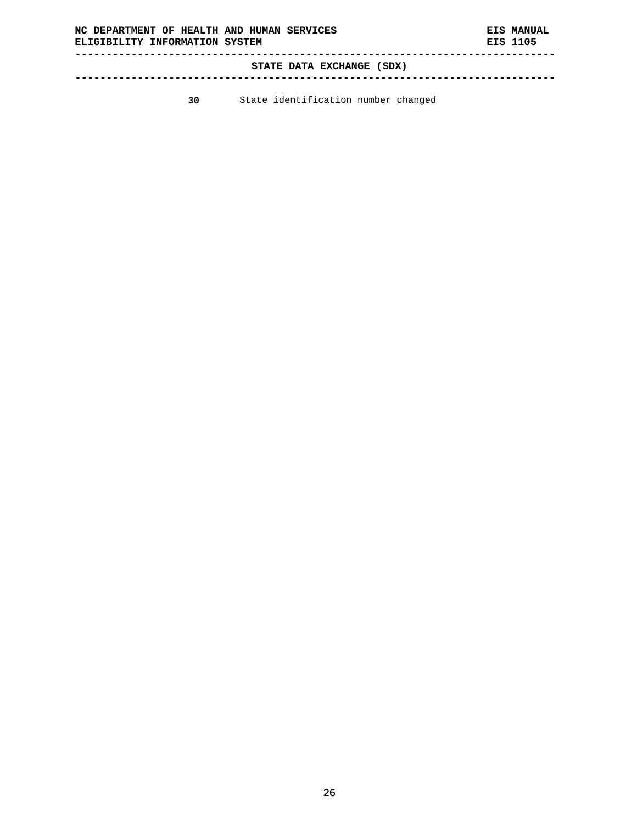**STATE DATA EXCHANGE (SDX)** 

**-----------------------------------------------------------------------------** 

**30** State identification number changed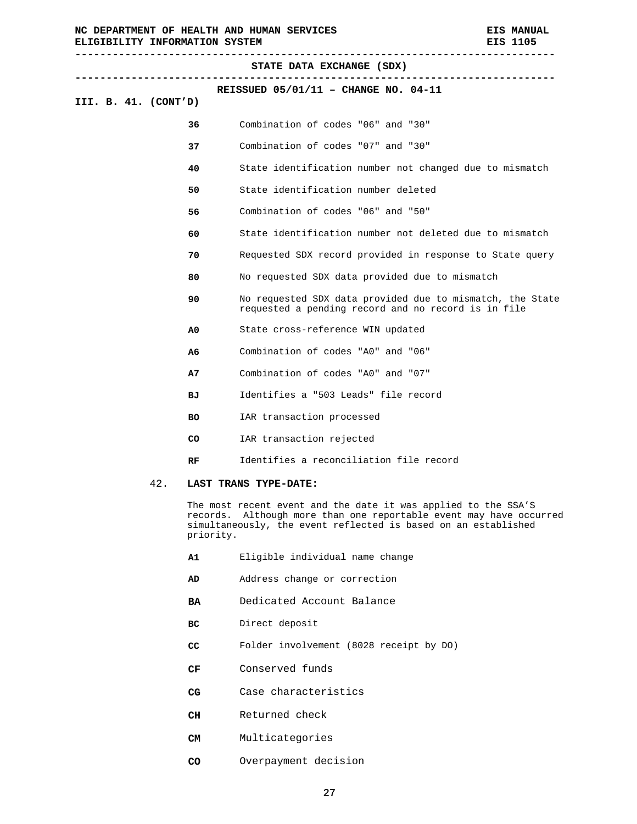|                      | STATE DATA EXCHANGE (SDX)                                                                                        |
|----------------------|------------------------------------------------------------------------------------------------------------------|
| III. B. 41. (CONT'D) | REISSUED $05/01/11$ - CHANGE NO. 04-11                                                                           |
| 36                   | Combination of codes "06" and "30"                                                                               |
| 37                   | Combination of codes "07" and "30"                                                                               |
| 40                   | State identification number not changed due to mismatch                                                          |
| 50                   | State identification number deleted                                                                              |
| 56                   | Combination of codes "06" and "50"                                                                               |
| 60                   | State identification number not deleted due to mismatch                                                          |
| 70                   | Requested SDX record provided in response to State query                                                         |
| 80                   | No requested SDX data provided due to mismatch                                                                   |
| 90                   | No requested SDX data provided due to mismatch, the State<br>requested a pending record and no record is in file |
| A0                   | State cross-reference WIN updated                                                                                |
| А6                   | Combination of codes "A0" and "06"                                                                               |
| Α7                   | Combination of codes "A0" and "07"                                                                               |
| вJ                   | Identifies a "503 Leads" file record                                                                             |
| BO.                  | IAR transaction processed                                                                                        |
| CO                   | IAR transaction rejected                                                                                         |
| RF                   | Identifies a reconciliation file record                                                                          |

### 42. **LAST TRANS TYPE-DATE:**

The most recent event and the date it was applied to the SSA'S records. Although more than one reportable event may have occurred simultaneously, the event reflected is based on an established priority.

- **A1** Eligible individual name change
- **AD** Address change or correction
- **BA** Dedicated Account Balance
- **BC** Direct deposit
- **CC** Folder involvement (8028 receipt by DO)
- **CF** Conserved funds
- **CG** Case characteristics
- **CH** Returned check
- **CM** Multicategories
- **CO** Overpayment decision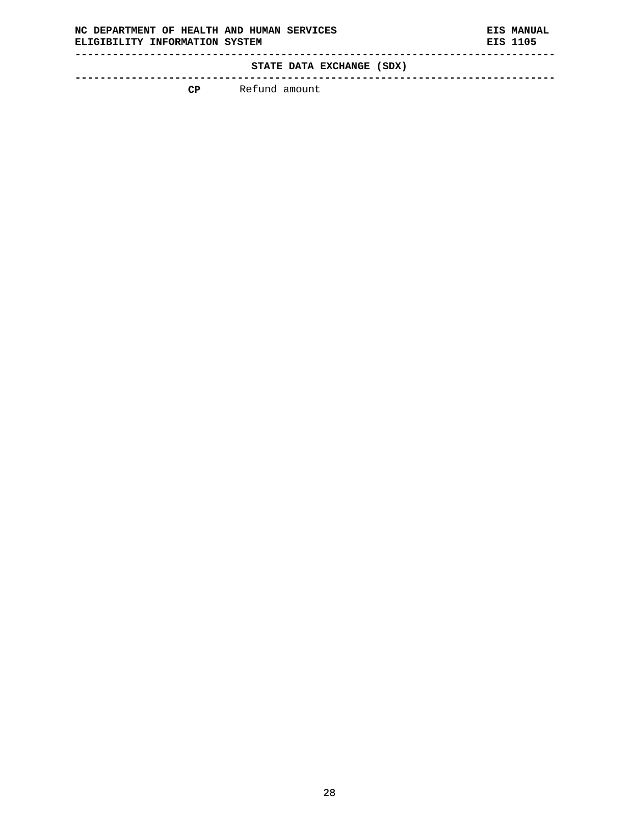**STATE DATA EXCHANGE (SDX)** 

**----------------------------------------------------------------------------- CP** Refund amount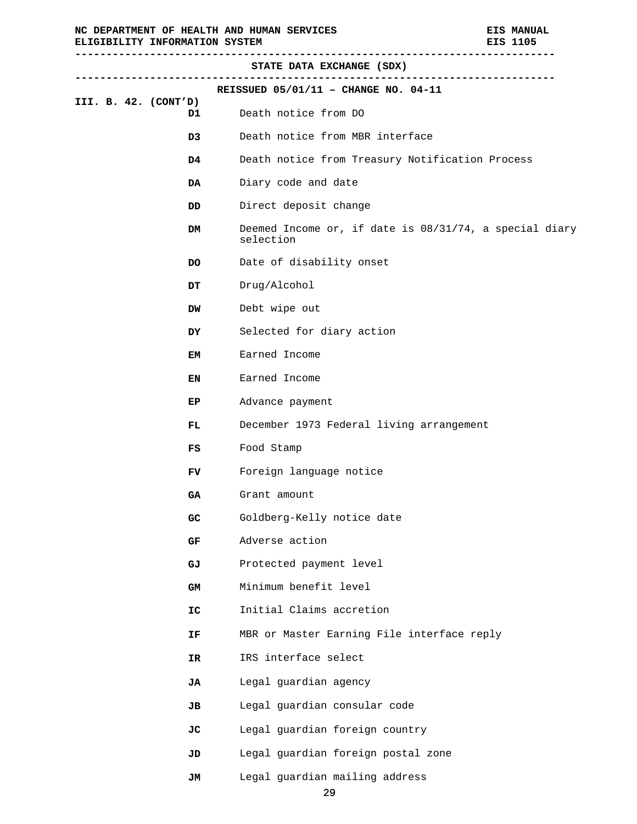**----------------------------------------------------------------------------- STATE DATA EXCHANGE (SDX) ----------------------------------------------------------------------------- REISSUED 05/01/11 – CHANGE NO. 04-11 III. B. 42. (CONT'D) D1** Death notice from DO **D3** Death notice from MBR interface **D4** Death notice from Treasury Notification Process **DA** Diary code and date **DD** Direct deposit change **DM** Deemed Income or, if date is 08/31/74, a special diary selection **DO** Date of disability onset **DT** Drug/Alcohol **DW** Debt wipe out **DY** Selected for diary action **EM** Earned Income **EN** Earned Income **EP** Advance payment **FL** December 1973 Federal living arrangement **FS** Food Stamp **FV** Foreign language notice **GA** Grant amount GC Goldberg-Kelly notice date **GF** Adverse action GJ **Protected payment level GM** Minimum benefit level **IC** Initial Claims accretion **IF** MBR or Master Earning File interface reply **IR** IRS interface select **JA** Legal guardian agency **JB** Legal guardian consular code **JC** Legal guardian foreign country **JD** Legal guardian foreign postal zone

JM Legal guardian mailing address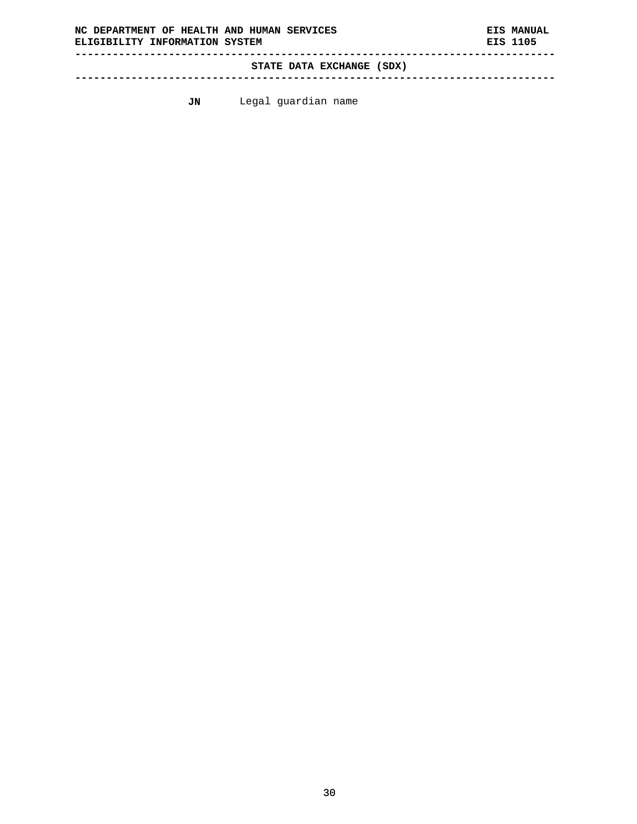**----------------------------------------------------------------------------- STATE DATA EXCHANGE (SDX)** 

**-----------------------------------------------------------------------------** 

**JN** Legal guardian name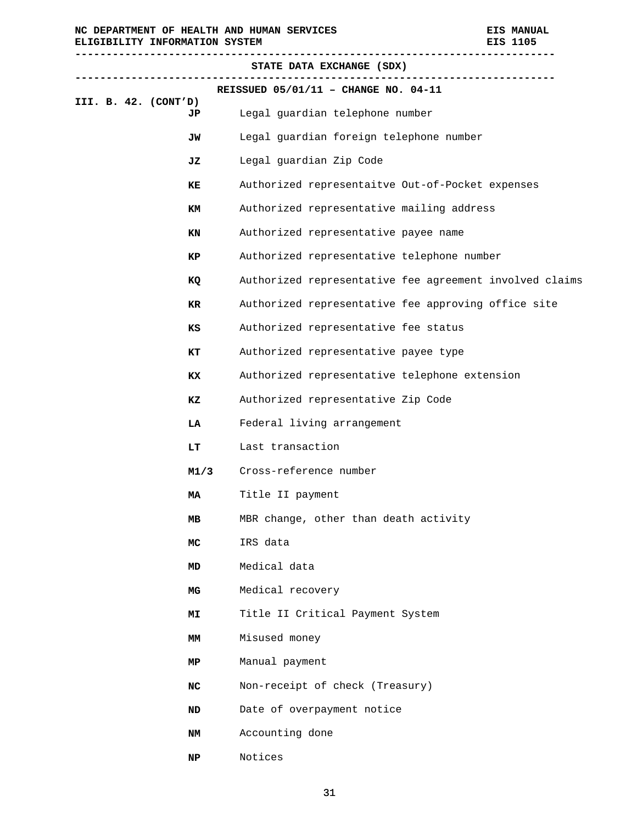|                      | STATE DATA EXCHANGE (SDX)              |    |                                 |                                                         |  |  |  |
|----------------------|----------------------------------------|----|---------------------------------|---------------------------------------------------------|--|--|--|
|                      | REISSUED $05/01/11$ - CHANGE NO. 04-11 |    |                                 |                                                         |  |  |  |
| III. B. 42. (CONT'D) |                                        | JP | Legal guardian telephone number |                                                         |  |  |  |
|                      |                                        |    | JW                              | Legal guardian foreign telephone number                 |  |  |  |
|                      |                                        |    | JZ                              | Legal guardian Zip Code                                 |  |  |  |
|                      |                                        |    | ΚE                              | Authorized representaitve Out-of-Pocket expenses        |  |  |  |
|                      |                                        |    | КM                              | Authorized representative mailing address               |  |  |  |
|                      |                                        |    | KN                              | Authorized representative payee name                    |  |  |  |
|                      |                                        |    | KP.                             | Authorized representative telephone number              |  |  |  |
|                      |                                        |    | кQ                              | Authorized representative fee agreement involved claims |  |  |  |
|                      |                                        |    | KR                              | Authorized representative fee approving office site     |  |  |  |
|                      |                                        |    | κs                              | Authorized representative fee status                    |  |  |  |
|                      |                                        |    | КT                              | Authorized representative payee type                    |  |  |  |
|                      |                                        |    | КX                              | Authorized representative telephone extension           |  |  |  |
|                      |                                        |    | ΚZ                              | Authorized representative Zip Code                      |  |  |  |
|                      |                                        |    | LA                              | Federal living arrangement                              |  |  |  |
|                      |                                        |    | LT                              | Last transaction                                        |  |  |  |
|                      |                                        |    | M1/3                            | Cross-reference number                                  |  |  |  |
|                      |                                        |    | МA                              | Title II payment                                        |  |  |  |
|                      |                                        |    | MВ                              | MBR change, other than death activity                   |  |  |  |
|                      |                                        |    | MC                              | IRS data                                                |  |  |  |
|                      |                                        |    | MD                              | Medical data                                            |  |  |  |
|                      |                                        |    | MG                              | Medical recovery                                        |  |  |  |
|                      |                                        |    | MΙ                              | Title II Critical Payment System                        |  |  |  |
|                      |                                        |    | MМ                              | Misused money                                           |  |  |  |
|                      |                                        |    | МP                              | Manual payment                                          |  |  |  |
|                      |                                        |    | NC.                             | Non-receipt of check (Treasury)                         |  |  |  |
|                      |                                        |    | ND                              | Date of overpayment notice                              |  |  |  |
|                      |                                        |    | NM                              | Accounting done                                         |  |  |  |
|                      |                                        |    |                                 |                                                         |  |  |  |

**NP** Notices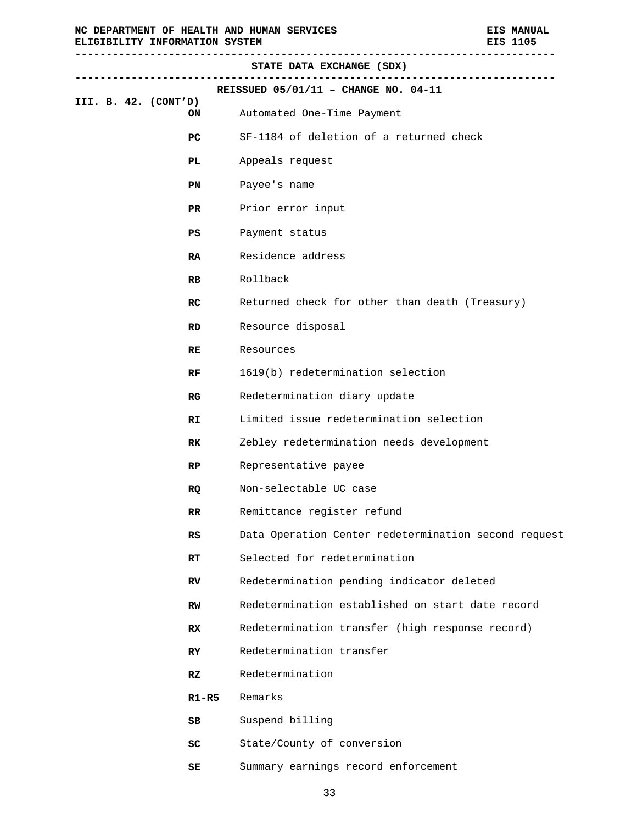|                              | STATE DATA EXCHANGE (SDX)                            |
|------------------------------|------------------------------------------------------|
|                              | REISSUED $05/01/11$ - CHANGE NO. 04-11               |
| III. B. $42.$ (CONT'D)<br>ON | Automated One-Time Payment                           |
| $_{\rm PC}$                  | SF-1184 of deletion of a returned check              |
| PL.                          | Appeals request                                      |
|                              |                                                      |
| PN                           | Payee's name                                         |
| PR                           | Prior error input                                    |
| PS                           | Payment status                                       |
| RA.                          | Residence address                                    |
| RB.                          | Rollback                                             |
| RC                           | Returned check for other than death (Treasury)       |
| RD                           | Resource disposal                                    |
| RE                           | Resources                                            |
| RF.                          | 1619(b) redetermination selection                    |
| RG                           | Redetermination diary update                         |
| RI.                          | Limited issue redetermination selection              |
| RK                           | Zebley redetermination needs development             |
| RP                           | Representative payee                                 |
| RQ.                          | Non-selectable UC case                               |
| RR.                          | Remittance register refund                           |
| RS                           | Data Operation Center redetermination second request |
| RT                           | Selected for redetermination                         |
| RV.                          | Redetermination pending indicator deleted            |
| RW                           | Redetermination established on start date record     |
| RX                           | Redetermination transfer (high response record)      |
| RY                           | Redetermination transfer                             |
| RZ                           | Redetermination                                      |
| R1-R5                        | Remarks                                              |
| SB                           | Suspend billing                                      |
| SC                           | State/County of conversion                           |
| SE                           | Summary earnings record enforcement                  |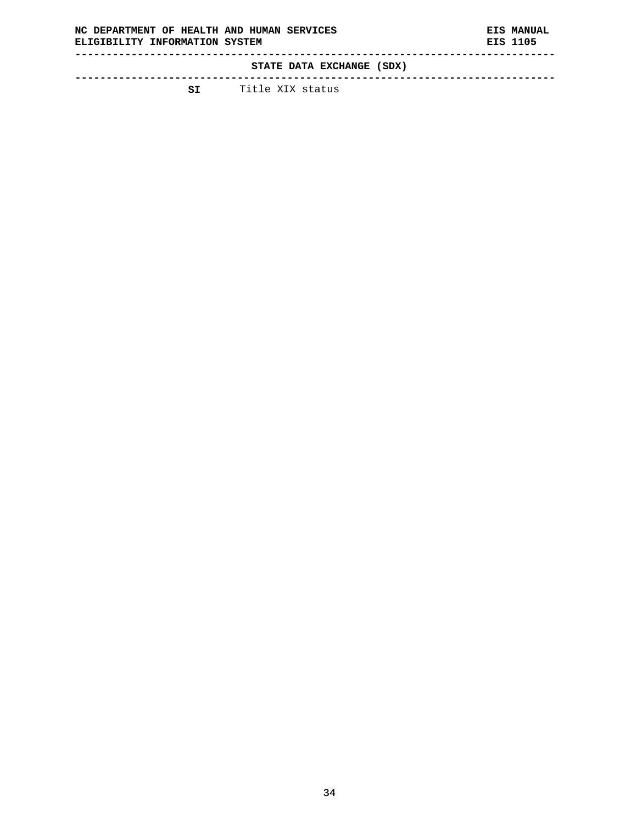**STATE DATA EXCHANGE (SDX)** 

**-----------------------------------------------------------------------------** 

**SI** Title XIX status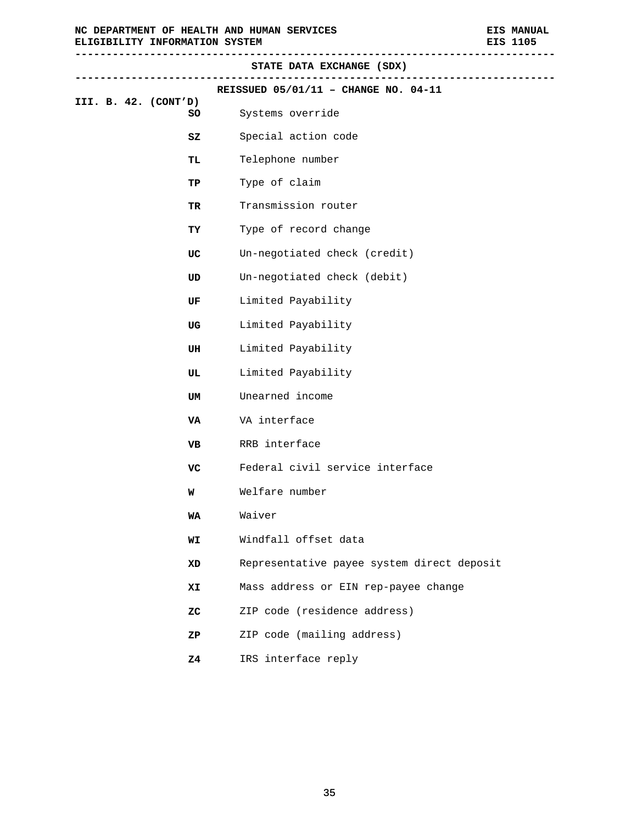**----------------------------------------------------------------------------- STATE DATA EXCHANGE (SDX) ----------------------------------------------------------------------------- REISSUED 05/01/11 – CHANGE NO. 04-11 III. B. 42. (CONT'D) SO** Systems override **SZ** Special action code TL Telephone number **TP** Type of claim **TR** Transmission router **TY** Type of record change **UC** Un-negotiated check (credit) **UD** Un-negotiated check (debit) **UF** Limited Payability **UG** Limited Payability **UH** Limited Payability **UL** Limited Payability **UM** Unearned income **VA** VA interface **VB** RRB interface **VC** Federal civil service interface **W** Welfare number **WA** Waiver **WI** Windfall offset data **XD** Representative payee system direct deposit **XI** Mass address or EIN rep-payee change **ZC** ZIP code (residence address) **ZP** ZIP code (mailing address) **Z4** IRS interface reply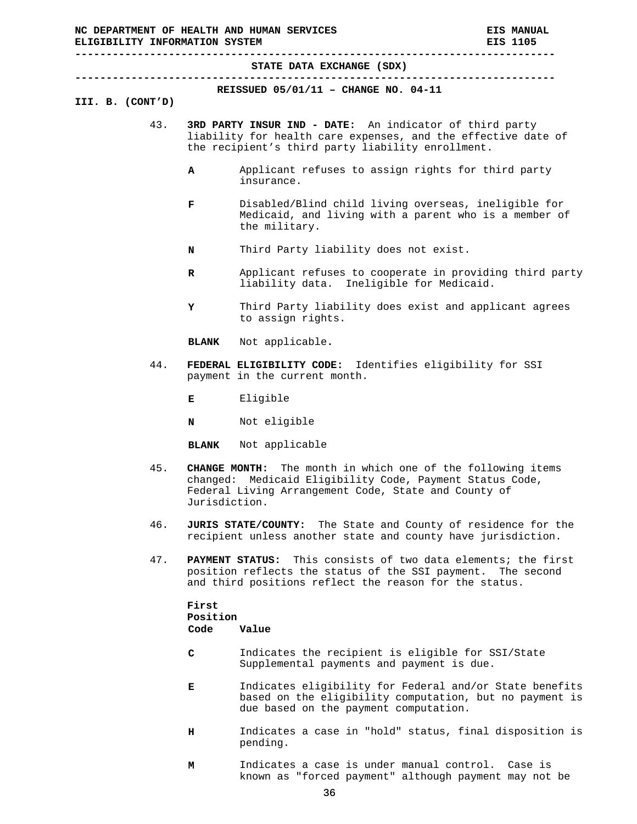| ELIGIBILITY INFORMATION SYSTEM |     |                                | NC DEPARTMENT OF HEALTH AND HUMAN SERVICES                                                                                                                                    | <b>EIS MANUAL</b><br>EIS 1105                               |
|--------------------------------|-----|--------------------------------|-------------------------------------------------------------------------------------------------------------------------------------------------------------------------------|-------------------------------------------------------------|
|                                |     |                                | STATE DATA EXCHANGE (SDX)                                                                                                                                                     |                                                             |
| III. B. (CONT'D)               |     |                                | REISSUED $05/01/11$ - CHANGE NO. 04-11                                                                                                                                        |                                                             |
|                                | 43. |                                | 3RD PARTY INSUR IND - DATE: An indicator of third party<br>liability for health care expenses, and the effective date of<br>the recipient's third party liability enrollment. |                                                             |
|                                |     | А                              | Applicant refuses to assign rights for third party<br>insurance.                                                                                                              |                                                             |
|                                |     | F                              | Disabled/Blind child living overseas, ineligible for<br>Medicaid, and living with a parent who is a member of<br>the military.                                                |                                                             |
|                                |     | N                              | Third Party liability does not exist.                                                                                                                                         |                                                             |
|                                |     | R                              | Applicant refuses to cooperate in providing third party<br>liability data. Ineligible for Medicaid.                                                                           |                                                             |
|                                |     | Y                              | Third Party liability does exist and applicant agrees<br>to assign rights.                                                                                                    |                                                             |
|                                |     | <b>BLANK</b>                   | Not applicable.                                                                                                                                                               |                                                             |
|                                | 44. |                                | FEDERAL ELIGIBILITY CODE: Identifies eligibility for SSI<br>payment in the current month.                                                                                     |                                                             |
|                                |     | Е                              | Eligible                                                                                                                                                                      |                                                             |
|                                |     | N                              | Not eligible                                                                                                                                                                  |                                                             |
|                                |     | <b>BLANK</b>                   | Not applicable                                                                                                                                                                |                                                             |
|                                | 45. | CHANGE MONTH:<br>Jurisdiction. | changed: Medicaid Eligibility Code, Payment Status Code,<br>Federal Living Arrangement Code, State and County of                                                              | The month in which one of the following items               |
|                                | 46. |                                | <b>JURIS STATE/COUNTY:</b><br>recipient unless another state and county have jurisdiction.                                                                                    | The State and County of residence for the                   |
|                                | 47. |                                | PAYMENT STATUS:<br>position reflects the status of the SSI payment.<br>and third positions reflect the reason for the status.                                                 | This consists of two data elements; the first<br>The second |
|                                |     | First<br>Position<br>Code      | Value                                                                                                                                                                         |                                                             |
|                                |     | C                              | Indicates the recipient is eligible for SSI/State<br>Supplemental payments and payment is due.                                                                                |                                                             |
|                                |     | Е                              | Indicates eligibility for Federal and/or State benefits<br>based on the eligibility computation, but no payment is<br>due based on the payment computation.                   |                                                             |

- **H** Indicates a case in "hold" status, final disposition is pending.
- **M** Indicates a case is under manual control. Case is known as "forced payment" although payment may not be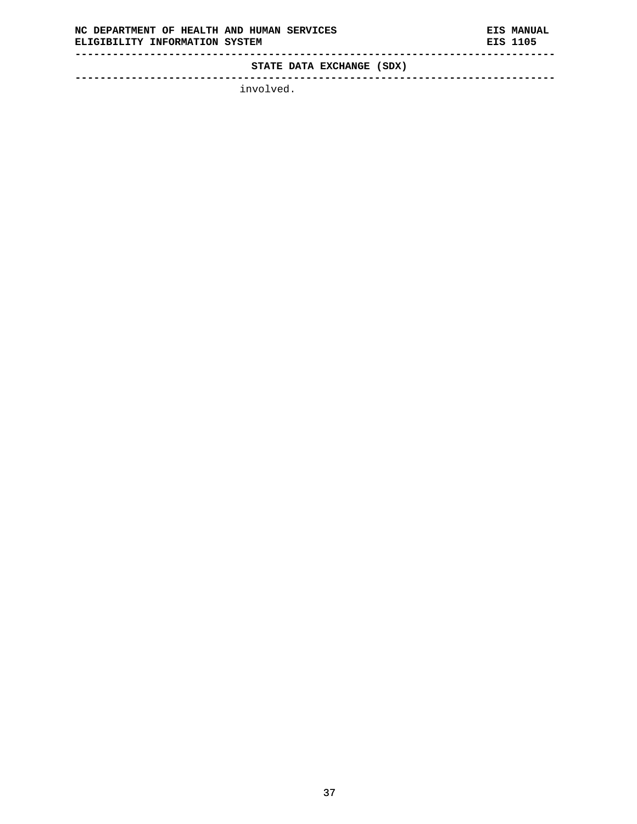**STATE DATA EXCHANGE (SDX)** 

**-----------------------------------------------------------------------------** 

involved.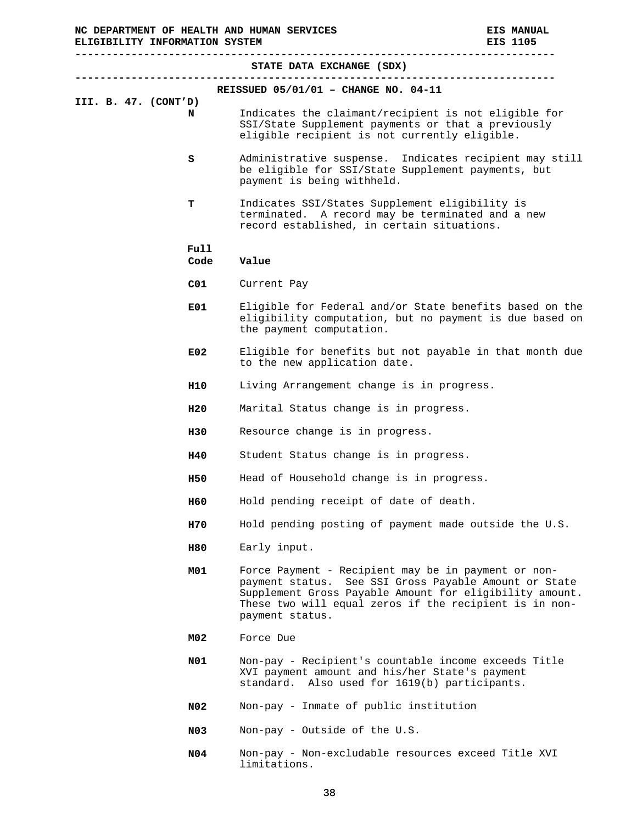**----------------------------------------------------------------------------- STATE DATA EXCHANGE (SDX) ----------------------------------------------------------------------------- REISSUED 05/01/01 – CHANGE NO. 04-11 III. B. 47. (CONT'D) N** Indicates the claimant/recipient is not eligible for SSI/State Supplement payments or that a previously eligible recipient is not currently eligible. **S** Administrative suspense. Indicates recipient may still be eligible for SSI/State Supplement payments, but payment is being withheld. **T** Indicates SSI/States Supplement eligibility is terminated. A record may be terminated and a new record established, in certain situations. **Full Code Value C01** Current Pay **E01** Eligible for Federal and/or State benefits based on the eligibility computation, but no payment is due based on the payment computation. **E02** Eligible for benefits but not payable in that month due to the new application date. **H10** Living Arrangement change is in progress. **H20** Marital Status change is in progress. **H30** Resource change is in progress. **H40** Student Status change is in progress. **H50** Head of Household change is in progress. **H60** Hold pending receipt of date of death. **H70** Hold pending posting of payment made outside the U.S. **H80** Early input. **M01** Force Payment - Recipient may be in payment or nonpayment status. See SSI Gross Payable Amount or State Supplement Gross Payable Amount for eligibility amount. These two will equal zeros if the recipient is in nonpayment status. **M02** Force Due **N01** Non-pay - Recipient's countable income exceeds Title XVI payment amount and his/her State's payment standard. Also used for 1619(b) participants. **N02** Non-pay - Inmate of public institution

- **N03** Non-pay Outside of the U.S.
- **N04** Non-pay Non-excludable resources exceed Title XVI limitations.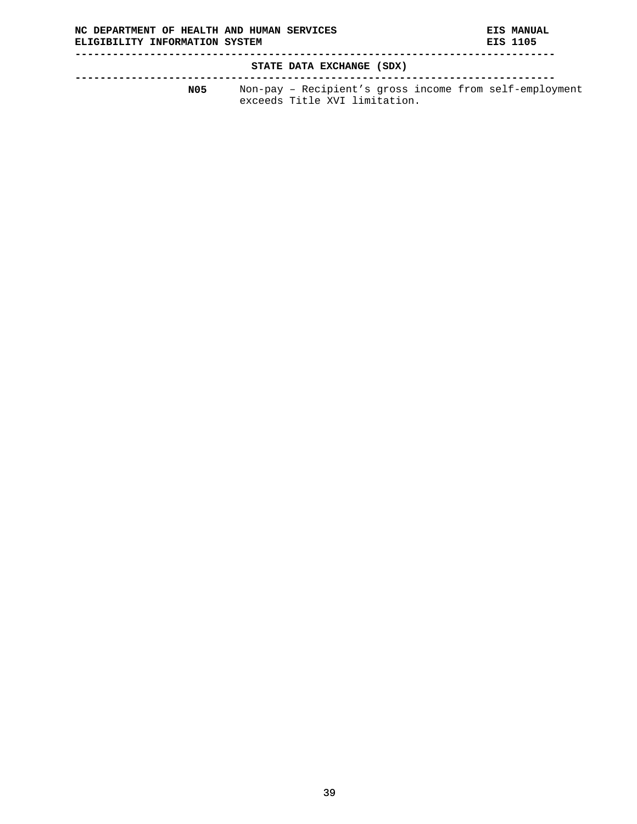**STATE DATA EXCHANGE (SDX)** 

**-----------------------------------------------------------------------------** 

**N05** Non-pay – Recipient's gross income from self-employment exceeds Title XVI limitation.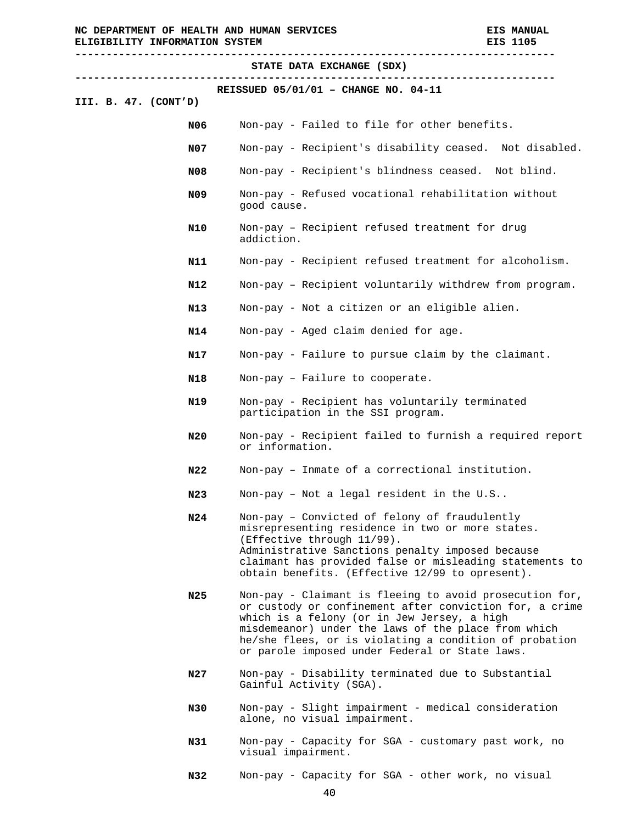| NC DEPARTMENT OF HEALTH AND HUMAN SERVICES<br>ELIGIBILITY INFORMATION SYSTEM |                            |                                                                                                                                                                                                                                                                                                                                      | <b>EIS MANUAL</b><br>EIS 1105 |
|------------------------------------------------------------------------------|----------------------------|--------------------------------------------------------------------------------------------------------------------------------------------------------------------------------------------------------------------------------------------------------------------------------------------------------------------------------------|-------------------------------|
|                                                                              |                            | STATE DATA EXCHANGE (SDX)                                                                                                                                                                                                                                                                                                            |                               |
|                                                                              |                            | REISSUED $05/01/01$ - CHANGE NO. 04-11                                                                                                                                                                                                                                                                                               |                               |
| III. B. $47. (CONT'D)$                                                       |                            |                                                                                                                                                                                                                                                                                                                                      |                               |
| N06                                                                          |                            | Non-pay - Failed to file for other benefits.                                                                                                                                                                                                                                                                                         |                               |
| N07                                                                          |                            | Non-pay - Recipient's disability ceased. Not disabled.                                                                                                                                                                                                                                                                               |                               |
| N08                                                                          |                            | Non-pay - Recipient's blindness ceased. Not blind.                                                                                                                                                                                                                                                                                   |                               |
| N09                                                                          | good cause.                | Non-pay - Refused vocational rehabilitation without                                                                                                                                                                                                                                                                                  |                               |
| N10                                                                          | addiction.                 | Non-pay - Recipient refused treatment for drug                                                                                                                                                                                                                                                                                       |                               |
| N11                                                                          |                            | Non-pay - Recipient refused treatment for alcoholism.                                                                                                                                                                                                                                                                                |                               |
| N12                                                                          |                            | Non-pay - Recipient voluntarily withdrew from program.                                                                                                                                                                                                                                                                               |                               |
| N13                                                                          |                            | Non-pay - Not a citizen or an eligible alien.                                                                                                                                                                                                                                                                                        |                               |
| N14                                                                          |                            | Non-pay - Aged claim denied for age.                                                                                                                                                                                                                                                                                                 |                               |
| N17                                                                          |                            | Non-pay - Failure to pursue claim by the claimant.                                                                                                                                                                                                                                                                                   |                               |
| N18                                                                          |                            | Non-pay - Failure to cooperate.                                                                                                                                                                                                                                                                                                      |                               |
| N19                                                                          |                            | Non-pay - Recipient has voluntarily terminated<br>participation in the SSI program.                                                                                                                                                                                                                                                  |                               |
| N20                                                                          | or information.            | Non-pay - Recipient failed to furnish a required report                                                                                                                                                                                                                                                                              |                               |
| N22                                                                          |                            | Non-pay - Inmate of a correctional institution.                                                                                                                                                                                                                                                                                      |                               |
| N23                                                                          |                            | Non-pay - Not a legal resident in the U.S                                                                                                                                                                                                                                                                                            |                               |
| N24                                                                          | (Effective through 11/99). | Non-pay - Convicted of felony of fraudulently<br>misrepresenting residence in two or more states.<br>Administrative Sanctions penalty imposed because<br>claimant has provided false or misleading statements to<br>obtain benefits. (Effective 12/99 to opresent).                                                                  |                               |
| N25                                                                          |                            | Non-pay - Claimant is fleeing to avoid prosecution for,<br>or custody or confinement after conviction for, a crime<br>which is a felony (or in Jew Jersey, a high<br>misdemeanor) under the laws of the place from which<br>he/she flees, or is violating a condition of probation<br>or parole imposed under Federal or State laws. |                               |
| N27                                                                          | Gainful Activity (SGA).    | Non-pay - Disability terminated due to Substantial                                                                                                                                                                                                                                                                                   |                               |
| N30                                                                          |                            | Non-pay - Slight impairment - medical consideration<br>alone, no visual impairment.                                                                                                                                                                                                                                                  |                               |
| N31                                                                          | visual impairment.         | Non-pay - Capacity for SGA - customary past work, no                                                                                                                                                                                                                                                                                 |                               |

**N32** Non-pay - Capacity for SGA - other work, no visual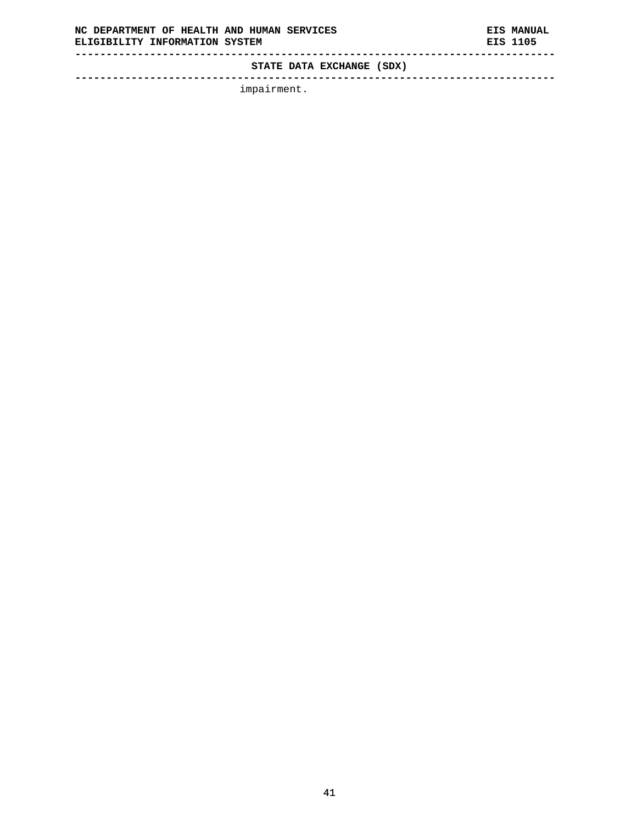**STATE DATA EXCHANGE (SDX)** 

**-----------------------------------------------------------------------------** 

impairment.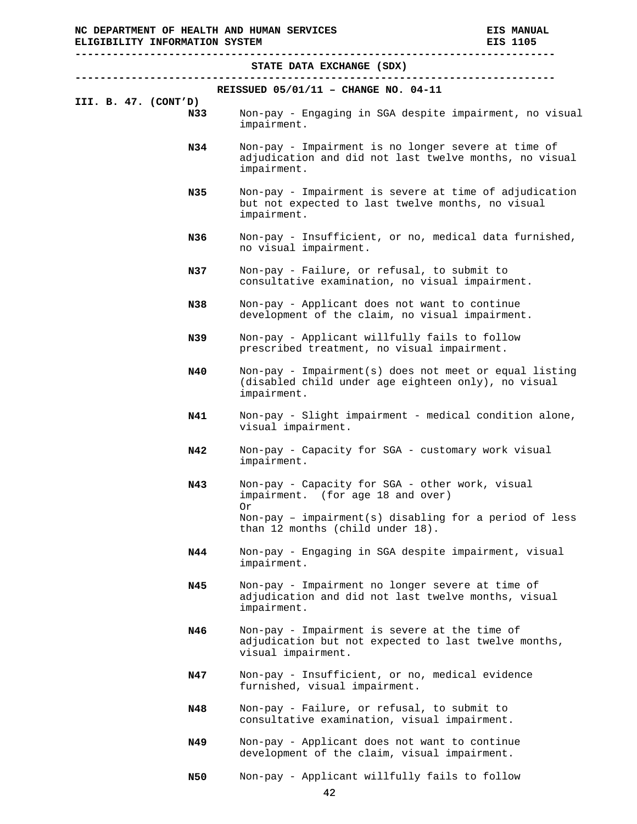**----------------------------------------------------------------------------- STATE DATA EXCHANGE (SDX) ----------------------------------------------------------------------------- REISSUED 05/01/11 – CHANGE NO. 04-11 III. B. 47. (CONT'D) N33** Non-pay - Engaging in SGA despite impairment, no visual impairment. **N34** Non-pay - Impairment is no longer severe at time of adjudication and did not last twelve months, no visual impairment. **N35** Non-pay - Impairment is severe at time of adjudication but not expected to last twelve months, no visual impairment. **N36** Non-pay - Insufficient, or no, medical data furnished, no visual impairment. **N37** Non-pay - Failure, or refusal, to submit to consultative examination, no visual impairment. **N38** Non-pay - Applicant does not want to continue development of the claim, no visual impairment. **N39** Non-pay - Applicant willfully fails to follow prescribed treatment, no visual impairment. **N40** Non-pay - Impairment(s) does not meet or equal listing (disabled child under age eighteen only), no visual impairment. **N41** Non-pay - Slight impairment - medical condition alone, visual impairment. **N42** Non-pay - Capacity for SGA - customary work visual impairment. **N43** Non-pay - Capacity for SGA - other work, visual impairment. (for age 18 and over) Or Non-pay – impairment(s) disabling for a period of less than 12 months (child under 18). **N44** Non-pay - Engaging in SGA despite impairment, visual impairment. **N45** Non-pay - Impairment no longer severe at time of adjudication and did not last twelve months, visual impairment. **N46** Non-pay - Impairment is severe at the time of adjudication but not expected to last twelve months, visual impairment. **N47** Non-pay - Insufficient, or no, medical evidence furnished, visual impairment. **N48** Non-pay - Failure, or refusal, to submit to consultative examination, visual impairment. **N49** Non-pay - Applicant does not want to continue development of the claim, visual impairment.

**N50** Non-pay - Applicant willfully fails to follow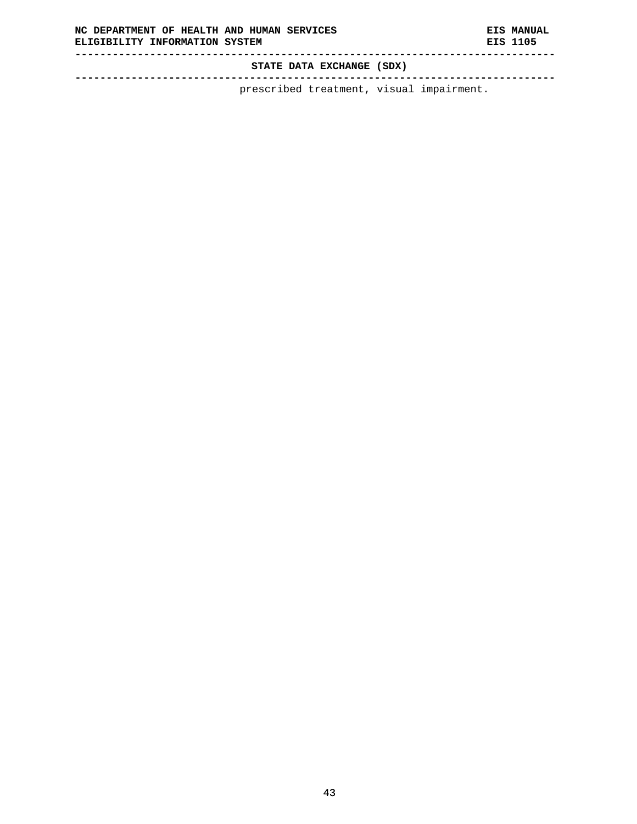**STATE DATA EXCHANGE (SDX)** 

**----------------------------------------------------------------------------**  prescribed treatment, visual impairment.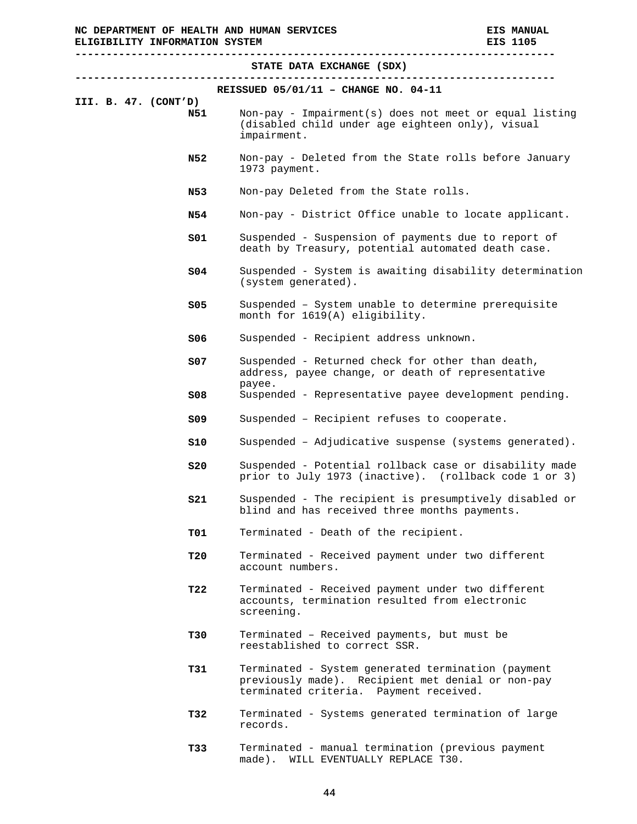|                        | STATE DATA EXCHANGE (SDX)                                                                                                                         |
|------------------------|---------------------------------------------------------------------------------------------------------------------------------------------------|
|                        |                                                                                                                                                   |
| III. B. $47. (CONT'D)$ | REISSUED $05/01/11$ - CHANGE NO. 04-11                                                                                                            |
| N51                    | Non-pay - Impairment(s) does not meet or equal listing<br>(disabled child under age eighteen only), visual<br>impairment.                         |
| N52                    | Non-pay - Deleted from the State rolls before January<br>1973 payment.                                                                            |
| N53                    | Non-pay Deleted from the State rolls.                                                                                                             |
| N54                    | Non-pay - District Office unable to locate applicant.                                                                                             |
| SO1                    | Suspended - Suspension of payments due to report of<br>death by Treasury, potential automated death case.                                         |
| SO <sub>4</sub>        | Suspended - System is awaiting disability determination<br>(system generated).                                                                    |
| S05                    | Suspended - System unable to determine prerequisite<br>month for 1619(A) eligibility.                                                             |
| S06                    | Suspended - Recipient address unknown.                                                                                                            |
| S07                    | Suspended - Returned check for other than death,<br>address, payee change, or death of representative<br>payee.                                   |
| 508                    | Suspended - Representative payee development pending.                                                                                             |
| S09                    | Suspended - Recipient refuses to cooperate.                                                                                                       |
| S10                    | Suspended - Adjudicative suspense (systems generated).                                                                                            |
| \$20                   | Suspended - Potential rollback case or disability made<br>prior to July 1973 (inactive). (rollback code 1 or 3)                                   |
| S21                    | Suspended - The recipient is presumptively disabled or<br>blind and has received three months payments.                                           |
| T01                    | Terminated - Death of the recipient.                                                                                                              |
| <b>T20</b>             | Terminated - Received payment under two different<br>account numbers.                                                                             |
| T22                    | Terminated - Received payment under two different<br>accounts, termination resulted from electronic<br>screening.                                 |
| T30                    | Terminated - Received payments, but must be<br>reestablished to correct SSR.                                                                      |
| T31.                   | Terminated - System generated termination (payment<br>previously made). Recipient met denial or non-pay<br>terminated criteria. Payment received. |
| T32                    | Terminated - Systems generated termination of large<br>records.                                                                                   |

**T33** Terminated - manual termination (previous payment made). WILL EVENTUALLY REPLACE T30.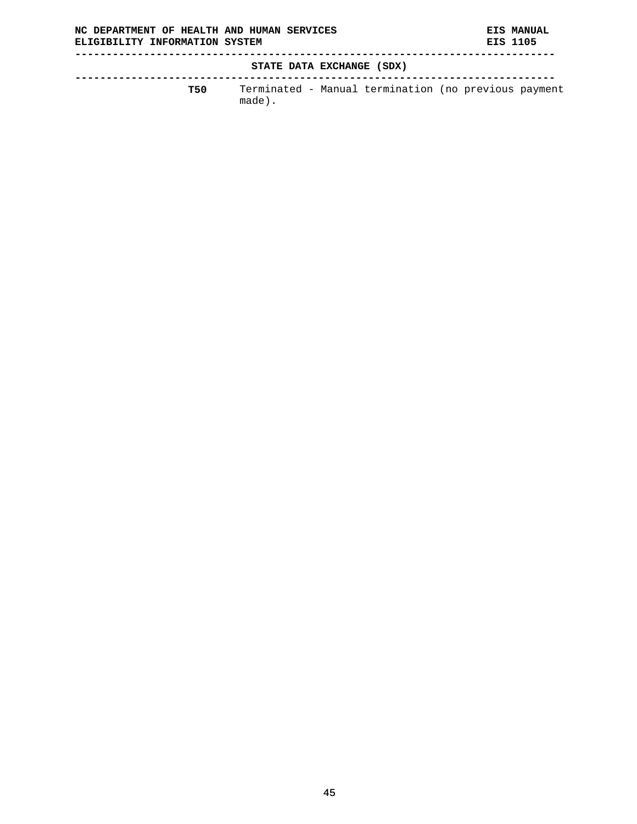**STATE DATA EXCHANGE (SDX)** 

**----------------------------------------------------------------------------- T50** Terminated - Manual termination (no previous payment made).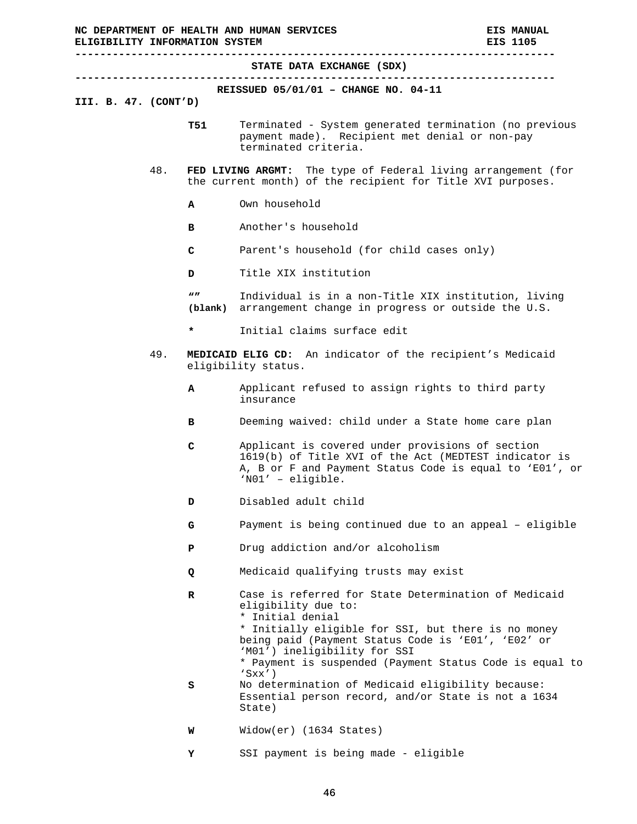### **STATE DATA EXCHANGE (SDX)**

**-----------------------------------------------------------------------------** 

# **REISSUED 05/01/01 – CHANGE NO. 04-11 III. B. 47. (CONT'D)**

- **T51** Terminated System generated termination (no previous payment made). Recipient met denial or non-pay terminated criteria.
- 48. **FED LIVING ARGMT:** The type of Federal living arrangement (for the current month) of the recipient for Title XVI purposes.
	- **A** Own household
	- **B** Another's household
	- **C** Parent's household (for child cases only)
	- **D** Title XIX institution
	- **w**  $\boldsymbol{m}$ **(blank)** arrangement change in progress or outside the U.S. Individual is in a non-Title XIX institution, living
	- Initial claims surface edit
- 49. **MEDICAID ELIG CD:** An indicator of the recipient's Medicaid eligibility status.
	- **A** Applicant refused to assign rights to third party insurance
	- **B** Deeming waived: child under a State home care plan
	- **C** Applicant is covered under provisions of section 1619(b) of Title XVI of the Act (MEDTEST indicator is A, B or F and Payment Status Code is equal to 'E01', or 'N01' – eligible.
	- **D** Disabled adult child
	- **G** Payment is being continued due to an appeal eligible
	- **P** Drug addiction and/or alcoholism
	- **Q** Medicaid qualifying trusts may exist
	- **R** Case is referred for State Determination of Medicaid eligibility due to: \* Initial denial \* Initially eligible for SSI, but there is no money being paid (Payment Status Code is 'E01', 'E02' or 'M01') ineligibility for SSI \* Payment is suspended (Payment Status Code is equal to 'Sxx') **S** No determination of Medicaid eligibility because: Essential person record, and/or State is not a 1634 State)
	- **W** Widow(er) (1634 States)
	- **Y** SSI payment is being made eligible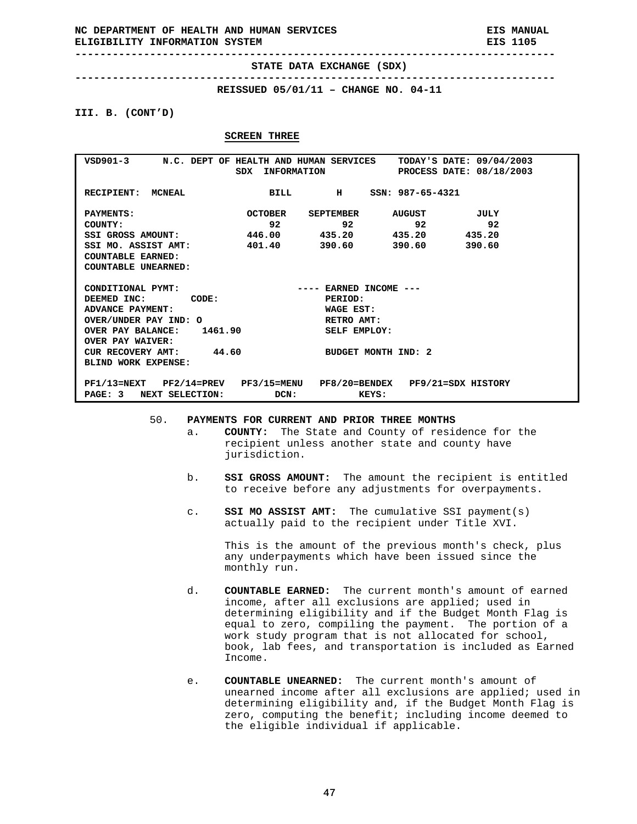**-----------------------------------------------------------------------------** 

**-----------------------------------------------------------------------------** 

**REISSUED 05/01/11 – CHANGE NO. 04-11** 

### **III. B. (CONT'D)**

#### **SCREEN THREE**

| VSD901-3 N.C. DEPT OF HEALTH AND HUMAN SERVICES                                                                                                                                        | SDX                                                                          | TODAY'S DATE: 09/04/2003<br>INFORMATION PROCESS DATE: 08/18/2003                               |
|----------------------------------------------------------------------------------------------------------------------------------------------------------------------------------------|------------------------------------------------------------------------------|------------------------------------------------------------------------------------------------|
| RECIPIENT: MCNEAL                                                                                                                                                                      | BILL H                                                                       | SSN: 987-65-4321                                                                               |
| PAYMENTS:<br>COUNTY:<br>SSI GROSS AMOUNT:<br>SSI MO. ASSIST AMT: 401.40<br><b>COUNTABLE EARNED:</b><br><b>COUNTABLE UNEARNED:</b>                                                      | OCTOBER<br>92<br>92                                                          | JULY<br>SEPTEMBER AUGUST<br>92<br>92<br>446.00 435.20 435.20 435.20<br>390.60 390.60<br>390.60 |
| CONDITIONAL PYMT:<br>DEEMED INC: CODE:<br>ADVANCE PAYMENT:<br>OVER/UNDER PAY IND: O<br>OVER PAY BALANCE: 1461.90<br>OVER PAY WAIVER:<br>CUR RECOVERY AMT: 44.60<br>BLIND WORK EXPENSE: | ---- EARNED INCOME ---<br>PERIOD:<br>WAGE EST:<br>RETRO AMT:<br>SELF EMPLOY: | BUDGET MONTH IND: 2                                                                            |
| PAGE: 3 NEXT SELECTION: DCN:                                                                                                                                                           |                                                                              | PF1/13=NEXT PF2/14=PREV PF3/15=MENU PF8/20=BENDEX PF9/21=SDX HISTORY<br>KEYS:                  |

#### 50. **PAYMENTS FOR CURRENT AND PRIOR THREE MONTHS**

- a. **COUNTY:** The State and County of residence for the recipient unless another state and county have jurisdiction.
- b. **SSI GROSS AMOUNT:** The amount the recipient is entitled to receive before any adjustments for overpayments.
- c. **SSI MO ASSIST AMT:** The cumulative SSI payment(s) actually paid to the recipient under Title XVI.

This is the amount of the previous month's check, plus any underpayments which have been issued since the monthly run.

- d. **COUNTABLE EARNED:** The current month's amount of earned income, after all exclusions are applied; used in determining eligibility and if the Budget Month Flag is equal to zero, compiling the payment. The portion of a work study program that is not allocated for school, book, lab fees, and transportation is included as Earned Income.
- e. **COUNTABLE UNEARNED:** The current month's amount of unearned income after all exclusions are applied; used in determining eligibility and, if the Budget Month Flag is zero, computing the benefit; including income deemed to the eligible individual if applicable.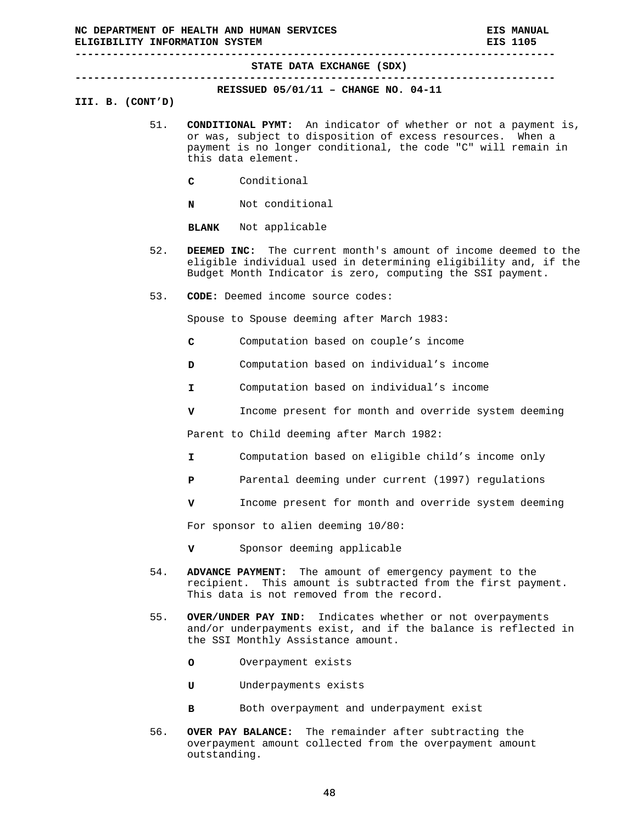**-----------------------------------------------------------------------------** 

**-----------------------------------------------------------------------------** 

**REISSUED 05/01/11 – CHANGE NO. 04-11** 

### **III. B. (CONT'D)**

- 51. **CONDITIONAL PYMT:** An indicator of whether or not a payment is, or was, subject to disposition of excess resources. When a payment is no longer conditional, the code "C" will remain in this data element.
	- **C** Conditional
	- **N** Not conditional

**BLANK** Not applicable

- 52. **DEEMED INC:** The current month's amount of income deemed to the eligible individual used in determining eligibility and, if the Budget Month Indicator is zero, computing the SSI payment.
- 53. **CODE:** Deemed income source codes:

Spouse to Spouse deeming after March 1983:

- **C** Computation based on couple's income
- **D** Computation based on individual's income
- **I** Computation based on individual's income
- **V** Income present for month and override system deeming

Parent to Child deeming after March 1982:

- **I** Computation based on eligible child's income only
- **P** Parental deeming under current (1997) regulations
- **V** Income present for month and override system deeming

For sponsor to alien deeming 10/80:

- **V** Sponsor deeming applicable
- 54. **ADVANCE PAYMENT:** The amount of emergency payment to the recipient. This amount is subtracted from the first payment. This data is not removed from the record.
- 55. **OVER/UNDER PAY IND:** Indicates whether or not overpayments and/or underpayments exist, and if the balance is reflected in the SSI Monthly Assistance amount.
	- **O** Overpayment exists
	- **U** Underpayments exists
	- **B** Both overpayment and underpayment exist
- 56. **OVER PAY BALANCE:** The remainder after subtracting the overpayment amount collected from the overpayment amount outstanding.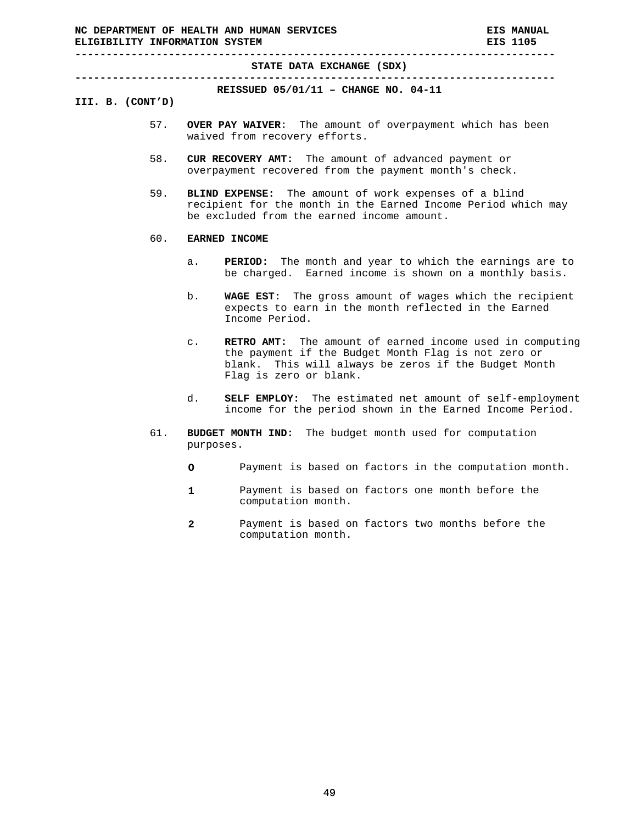**-----------------------------------------------------------------------------** 

**-----------------------------------------------------------------------------** 

**REISSUED 05/01/11 – CHANGE NO. 04-11** 

### **III. B. (CONT'D)**

- 57. **OVER PAY WAIVER**: The amount of overpayment which has been waived from recovery efforts.
- 58. **CUR RECOVERY AMT:** The amount of advanced payment or overpayment recovered from the payment month's check.
- 59. **BLIND EXPENSE:** The amount of work expenses of a blind recipient for the month in the Earned Income Period which may be excluded from the earned income amount.

#### 60. **EARNED INCOME**

- a. **PERIOD:** The month and year to which the earnings are to be charged. Earned income is shown on a monthly basis.
- b. **WAGE EST:** The gross amount of wages which the recipient expects to earn in the month reflected in the Earned Income Period.
- c. **RETRO AMT:** The amount of earned income used in computing the payment if the Budget Month Flag is not zero or blank. This will always be zeros if the Budget Month Flag is zero or blank.
- d. **SELF EMPLOY:** The estimated net amount of self-employment income for the period shown in the Earned Income Period.
- 61. **BUDGET MONTH IND:** The budget month used for computation purposes.
	- **O** Payment is based on factors in the computation month.
	- **1** Payment is based on factors one month before the computation month.
	- **2** Payment is based on factors two months before the computation month.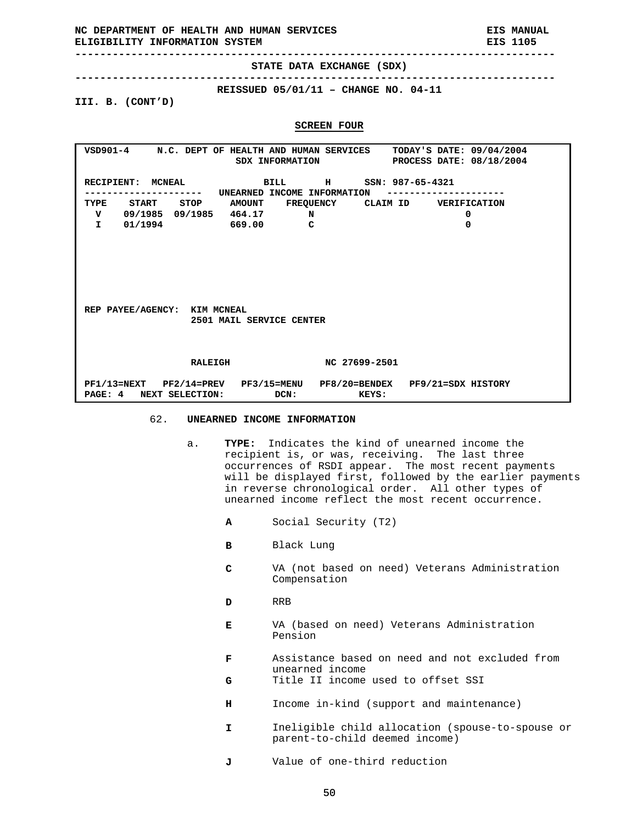**-----------------------------------------------------------------------------** 

**-----------------------------------------------------------------------------** 

**REISSUED 05/01/11 – CHANGE NO. 04-11** 

**III. B. (CONT'D)** 

#### **SCREEN FOUR**

|         |                              | VSD901-4 N.C. DEPT OF HEALTH AND HUMAN SERVICES |               | TODAY'S DATE: 09/04/2004                                             |  |
|---------|------------------------------|-------------------------------------------------|---------------|----------------------------------------------------------------------|--|
|         |                              |                                                 |               | SDX INFORMATION PROCESS DATE: 08/18/2004                             |  |
|         |                              |                                                 |               |                                                                      |  |
|         |                              | RECIPIENT: MCNEAL BILL H SSN: 987-65-4321       |               |                                                                      |  |
|         |                              | ----------------- UNEARNED INCOME INFORMATION   |               |                                                                      |  |
|         |                              |                                                 |               | TYPE START STOP AMOUNT FREQUENCY CLAIMID VERIFICATION                |  |
|         | V 09/1985 09/1985 464.17     |                                                 | N             | 0                                                                    |  |
|         | I 01/1994 669.00             |                                                 | $\mathbf{C}$  | 0                                                                    |  |
|         |                              |                                                 |               |                                                                      |  |
|         |                              |                                                 |               |                                                                      |  |
|         |                              |                                                 |               |                                                                      |  |
|         |                              |                                                 |               |                                                                      |  |
|         |                              |                                                 |               |                                                                      |  |
|         |                              |                                                 |               |                                                                      |  |
|         |                              |                                                 |               |                                                                      |  |
|         | REP PAYEE/AGENCY: KIM MCNEAL | 2501 MAIL SERVICE CENTER                        |               |                                                                      |  |
|         |                              |                                                 |               |                                                                      |  |
|         |                              |                                                 |               |                                                                      |  |
|         |                              |                                                 |               |                                                                      |  |
|         | <b>RALEIGH</b>               |                                                 | NC 27699-2501 |                                                                      |  |
|         |                              |                                                 |               |                                                                      |  |
|         |                              |                                                 |               | PF1/13=NEXT PF2/14=PREV PF3/15=MENU PF8/20=BENDEX PF9/21=SDX HISTORY |  |
| PAGE: 4 | NEXT SELECTION:              | DCN:                                            | KEYS:         |                                                                      |  |
|         |                              |                                                 |               |                                                                      |  |

#### 62. **UNEARNED INCOME INFORMATION**

- a. **TYPE:** Indicates the kind of unearned income the recipient is, or was, receiving. The last three occurrences of RSDI appear. The most recent payments will be displayed first, followed by the earlier payments in reverse chronological order. All other types of unearned income reflect the most recent occurrence.
	- **A** Social Security (T2)
	- **B** Black Lung
	- **C** VA (not based on need) Veterans Administration Compensation
	- **D** RRB
	- **E** VA (based on need) Veterans Administration Pension
	- **F** Assistance based on need and not excluded from unearned income
	- **G** Title II income used to offset SSI
	- **H** Income in-kind (support and maintenance)
	- **I** Ineligible child allocation (spouse-to-spouse or parent-to-child deemed income)
	- **J** Value of one-third reduction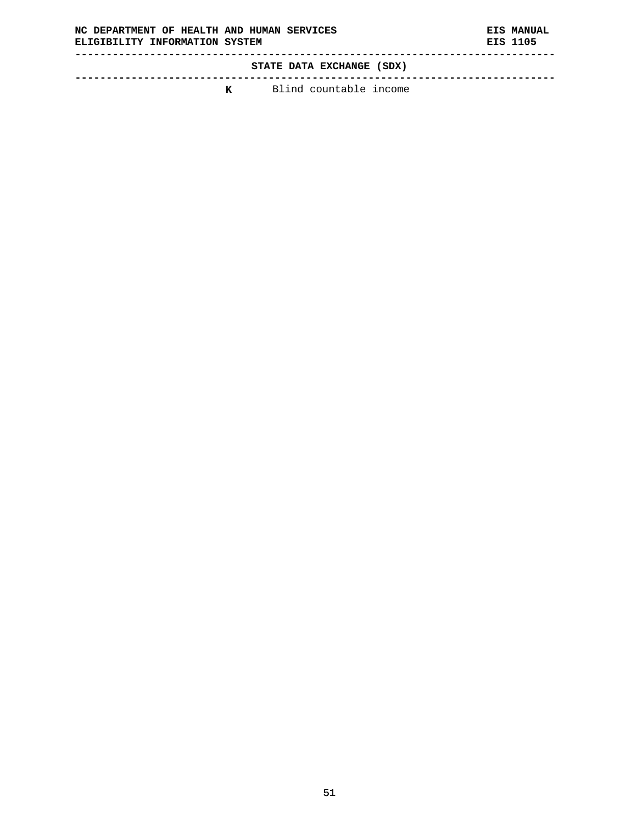**----------------------------------------------------------------------------- STATE DATA EXCHANGE (SDX) -----------------------------------------------------------------------------** 

**K** Blind countable income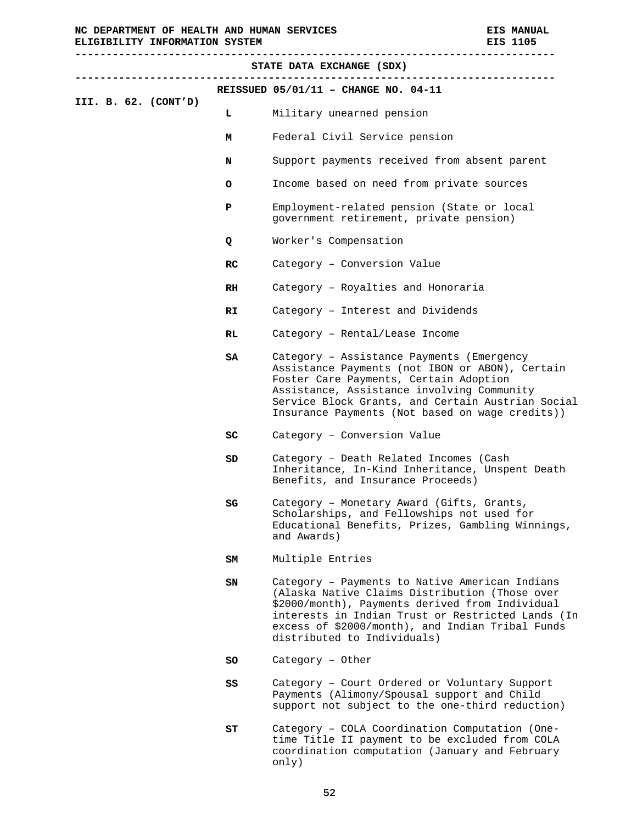|                      |              | STATE DATA EXCHANGE (SDX)                                                                                                                                                                                                                                                                    |
|----------------------|--------------|----------------------------------------------------------------------------------------------------------------------------------------------------------------------------------------------------------------------------------------------------------------------------------------------|
|                      |              | REISSUED 05/01/11 - CHANGE NO. 04-11                                                                                                                                                                                                                                                         |
| III. B. 62. (CONT'D) | L.           | Military unearned pension                                                                                                                                                                                                                                                                    |
|                      | м            | Federal Civil Service pension                                                                                                                                                                                                                                                                |
|                      | N            | Support payments received from absent parent                                                                                                                                                                                                                                                 |
|                      | $\circ$      | Income based on need from private sources                                                                                                                                                                                                                                                    |
|                      | P            | Employment-related pension (State or local<br>government retirement, private pension)                                                                                                                                                                                                        |
|                      | $\mathbf{Q}$ | Worker's Compensation                                                                                                                                                                                                                                                                        |
|                      | RC.          | Category - Conversion Value                                                                                                                                                                                                                                                                  |
|                      | RH           | Category - Royalties and Honoraria                                                                                                                                                                                                                                                           |
|                      | RI.          | Category - Interest and Dividends                                                                                                                                                                                                                                                            |
|                      | RL.          | Category - Rental/Lease Income                                                                                                                                                                                                                                                               |
|                      | SA           | Category - Assistance Payments (Emergency<br>Assistance Payments (not IBON or ABON), Certain<br>Foster Care Payments, Certain Adoption<br>Assistance, Assistance involving Community<br>Service Block Grants, and Certain Austrian Social<br>Insurance Payments (Not based on wage credits)) |
|                      | SC.          | Category - Conversion Value                                                                                                                                                                                                                                                                  |
|                      | SD           | Category - Death Related Incomes (Cash<br>Inheritance, In-Kind Inheritance, Unspent Death<br>Benefits, and Insurance Proceeds)                                                                                                                                                               |
|                      | SG           | Category - Monetary Award (Gifts, Grants,<br>Scholarships, and Fellowships not used for<br>Educational Benefits, Prizes, Gambling Winnings,<br>and Awards)                                                                                                                                   |
|                      | SM           | Multiple Entries                                                                                                                                                                                                                                                                             |
|                      | SN           | Category - Payments to Native American Indians<br>(Alaska Native Claims Distribution (Those over<br>\$2000/month), Payments derived from Individual<br>interests in Indian Trust or Restricted Lands (In<br>excess of \$2000/month), and Indian Tribal Funds<br>distributed to Individuals)  |
|                      | SO.          | Category - Other                                                                                                                                                                                                                                                                             |
|                      | SS           | Category - Court Ordered or Voluntary Support<br>Payments (Alimony/Spousal support and Child<br>support not subject to the one-third reduction)                                                                                                                                              |
|                      | SΤ           | Category - COLA Coordination Computation (One-                                                                                                                                                                                                                                               |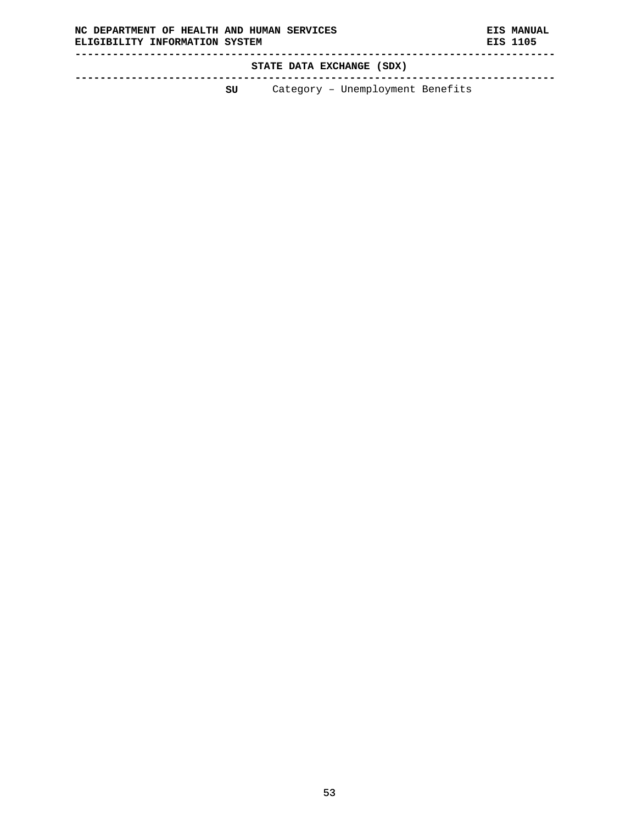**STATE DATA EXCHANGE (SDX)** 

**----------------------------------------------------------------------------- SU** Category – Unemployment Benefits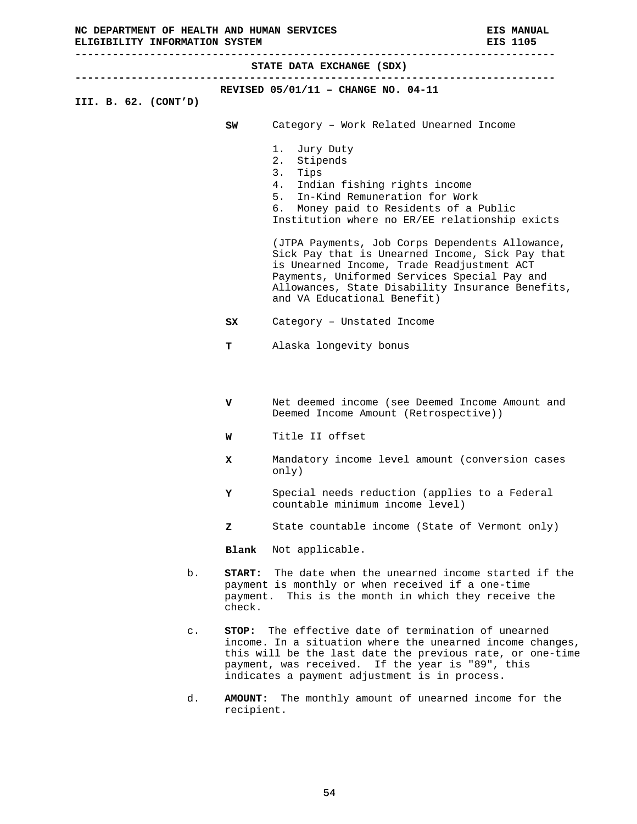|  |                      |                | ELIGIBILITY INFORMATION SYSTEM |                                                                                                                                                                                                                                                                                     | EIS 1105 |
|--|----------------------|----------------|--------------------------------|-------------------------------------------------------------------------------------------------------------------------------------------------------------------------------------------------------------------------------------------------------------------------------------|----------|
|  |                      |                | --------------------------     | STATE DATA EXCHANGE (SDX)                                                                                                                                                                                                                                                           |          |
|  | III. B. 62. (CONT'D) |                |                                | REVISED $05/01/11$ - CHANGE NO. 04-11                                                                                                                                                                                                                                               |          |
|  |                      |                | SW                             | Category - Work Related Unearned Income                                                                                                                                                                                                                                             |          |
|  |                      |                |                                | 1.<br>Jury Duty                                                                                                                                                                                                                                                                     |          |
|  |                      |                |                                | Stipends<br>2.<br>3.<br>Tips                                                                                                                                                                                                                                                        |          |
|  |                      |                |                                | 4.<br>Indian fishing rights income                                                                                                                                                                                                                                                  |          |
|  |                      |                |                                | 5. In-Kind Remuneration for Work                                                                                                                                                                                                                                                    |          |
|  |                      |                |                                | 6. Money paid to Residents of a Public<br>Institution where no ER/EE relationship exicts                                                                                                                                                                                            |          |
|  |                      |                |                                | (JTPA Payments, Job Corps Dependents Allowance,<br>Sick Pay that is Unearned Income, Sick Pay that<br>is Unearned Income, Trade Readjustment ACT<br>Payments, Uniformed Services Special Pay and<br>Allowances, State Disability Insurance Benefits,<br>and VA Educational Benefit) |          |
|  |                      |                | SX                             | Category - Unstated Income                                                                                                                                                                                                                                                          |          |
|  |                      |                | т                              | Alaska longevity bonus                                                                                                                                                                                                                                                              |          |
|  |                      |                | v<br>W                         | Net deemed income (see Deemed Income Amount and<br>Deemed Income Amount (Retrospective))<br>Title II offset                                                                                                                                                                         |          |
|  |                      |                |                                |                                                                                                                                                                                                                                                                                     |          |
|  |                      |                | x                              | Mandatory income level amount (conversion cases<br>only)                                                                                                                                                                                                                            |          |
|  |                      |                | Y                              | Special needs reduction (applies to a Federal<br>countable minimum income level)                                                                                                                                                                                                    |          |
|  |                      |                | z                              | State countable income (State of Vermont only)                                                                                                                                                                                                                                      |          |
|  |                      |                | Blank                          | Not applicable.                                                                                                                                                                                                                                                                     |          |
|  |                      | b.             | payment.<br>check.             | <b>START:</b> The date when the unearned income started if the<br>payment is monthly or when received if a one-time<br>This is the month in which they receive the                                                                                                                  |          |
|  |                      | $\mathsf{c}$ . | STOP:                          | The effective date of termination of unearned<br>income. In a situation where the unearned income changes,<br>this will be the last date the previous rate, or one-time<br>payment, was received. If the year is "89", this<br>indicates a payment adjustment is in process.        |          |
|  |                      | d.             | <b>AMOUNT :</b><br>recipient.  | The monthly amount of unearned income for the                                                                                                                                                                                                                                       |          |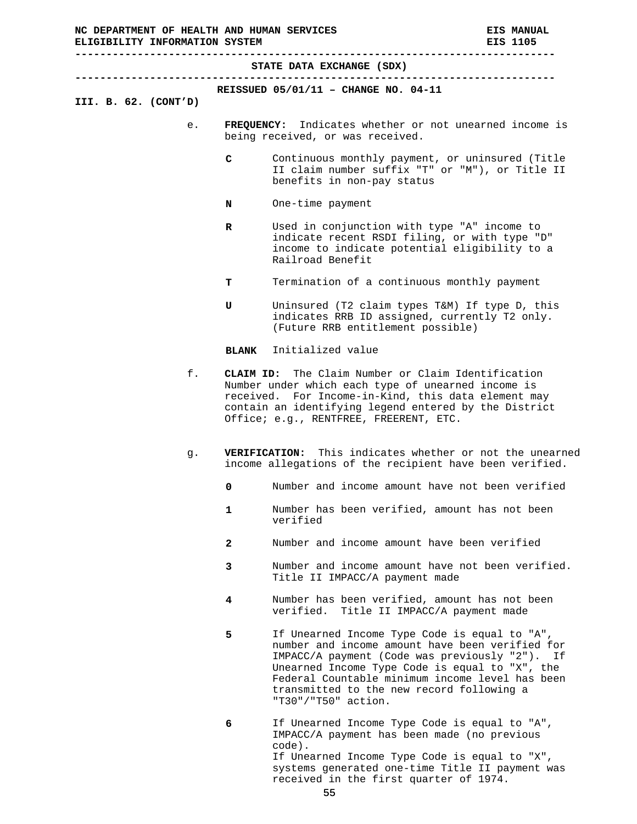**STATE DATA EXCHANGE (SDX) ----------------------------------------------------------------------------- REISSUED 05/01/11 – CHANGE NO. 04-11 III. B. 62. (CONT'D)**  e. **FREQUENCY:** Indicates whether or not unearned income is being received, or was received. **C** Continuous monthly payment, or uninsured (Title II claim number suffix "T" or "M"), or Title II benefits in non-pay status **N** One-time payment **R** Used in conjunction with type "A" income to indicate recent RSDI filing, or with type "D" income to indicate potential eligibility to a Railroad Benefit **T** Termination of a continuous monthly payment **U** Uninsured (T2 claim types T&M) If type D, this indicates RRB ID assigned, currently T2 only. (Future RRB entitlement possible) **BLANK** Initialized value f. **CLAIM ID:** The Claim Number or Claim Identification Number under which each type of unearned income is received. For Income-in-Kind, this data element may contain an identifying legend entered by the District Office; e.g., RENTFREE, FREERENT, ETC.

**-----------------------------------------------------------------------------** 

- g. **VERIFICATION:** This indicates whether or not the unearned income allegations of the recipient have been verified.
	- **0** Number and income amount have not been verified
	- **1** Number has been verified, amount has not been verified
	- **2** Number and income amount have been verified
	- **3** Number and income amount have not been verified. Title II IMPACC/A payment made
	- **4** Number has been verified, amount has not been verified. Title II IMPACC/A payment made
	- **5** If Unearned Income Type Code is equal to "A", number and income amount have been verified for IMPACC/A payment (Code was previously "2"). If Unearned Income Type Code is equal to "X", the Federal Countable minimum income level has been transmitted to the new record following a "T30"/"T50" action.
	- **6** If Unearned Income Type Code is equal to "A", IMPACC/A payment has been made (no previous code). If Unearned Income Type Code is equal to "X", systems generated one-time Title II payment was received in the first quarter of 1974.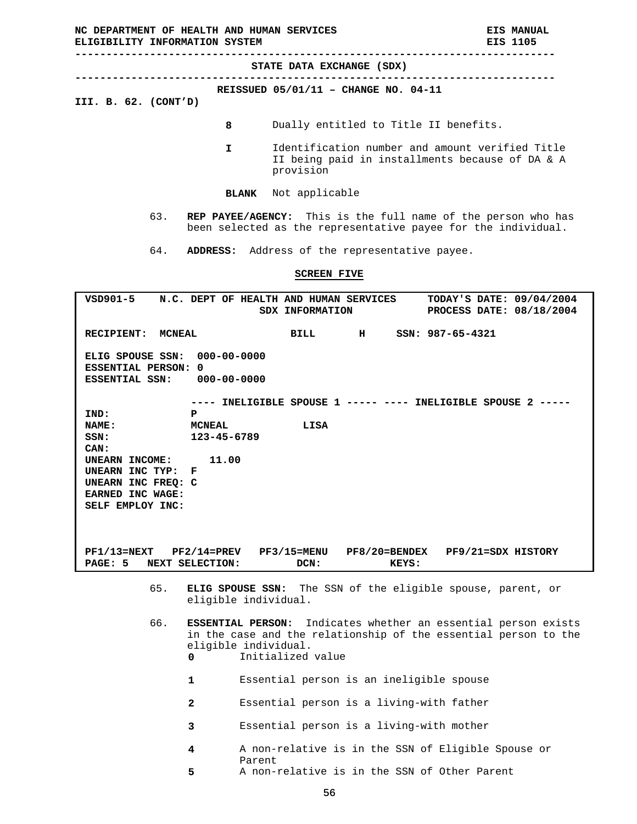**----------------------------------------------------------------------------- STATE DATA EXCHANGE (SDX)** 

**-----------------------------------------------------------------------------** 

**REISSUED 05/01/11 – CHANGE NO. 04-11** 

**III. B. 62. (CONT'D)** 

- **8** Dually entitled to Title II benefits.
- **I** Identification number and amount verified Title II being paid in installments because of DA & A provision
- **BLANK** Not applicable
- 63. **REP PAYEE/AGENCY:** This is the full name of the person who has been selected as the representative payee for the individual.
- 64. **ADDRESS:** Address of the representative payee.

#### **SCREEN FIVE**

| VSD901-5                                                | N.C. DEPT OF HEALTH AND HUMAN SERVICES      | <b>SDX INFORMATION</b> |               | TODAY'S DATE: 09/04/2004<br>PROCESS DATE: 08/18/2004 |
|---------------------------------------------------------|---------------------------------------------|------------------------|---------------|------------------------------------------------------|
| <b>RECIPIENT:</b><br><b>MCNEAL</b>                      |                                             | BILL                   | н             | SSN: 987-65-4321                                     |
| ELIG SPOUSE SSN:<br>ESSENTIAL PERSON:<br>ESSENTIAL SSN: | $000 - 00 - 0000$<br>0<br>$000 - 00 - 0000$ |                        |               |                                                      |
|                                                         | ---- INELIGIBLE SPOUSE 1                    |                        |               | ---- INELIGIBLE SPOUSE 2                             |
| IND:                                                    | P                                           |                        |               |                                                      |
| <b>NAME:</b>                                            | <b>MCNEAL</b>                               | LISA                   |               |                                                      |
| SSN:                                                    | $123 - 45 - 6789$                           |                        |               |                                                      |
| CAN:                                                    |                                             |                        |               |                                                      |
| UNEARN INCOME:                                          | 11.00                                       |                        |               |                                                      |
| UNEARN INC TYP:                                         | F                                           |                        |               |                                                      |
| UNEARN INC FREQ: C                                      |                                             |                        |               |                                                      |
| EARNED INC WAGE:                                        |                                             |                        |               |                                                      |
| SELF EMPLOY INC:                                        |                                             |                        |               |                                                      |
|                                                         |                                             |                        |               |                                                      |
|                                                         |                                             |                        |               |                                                      |
|                                                         |                                             |                        |               |                                                      |
| $PF1/13=NEXT$ $PF2/14=PREV$                             |                                             | <b>PF3/15=MENU</b>     | PF8/20=BENDEX | PF9/21=SDX HISTORY                                   |
| PAGE: 5                                                 | NEXT SELECTION:                             | DCN:                   | KEYS:         |                                                      |

- 65. **ELIG SPOUSE SSN:** The SSN of the eligible spouse, parent, or eligible individual.
- 66. **ESSENTIAL PERSON:** Indicates whether an essential person exists in the case and the relationship of the essential person to the eligible individual. **0** Initialized value
	- **1** Essential person is an ineligible spouse
	- **2** Essential person is a living-with father
	- **3** Essential person is a living-with mother
	- **4** A non-relative is in the SSN of Eligible Spouse or Parent
	- **5** A non-relative is in the SSN of Other Parent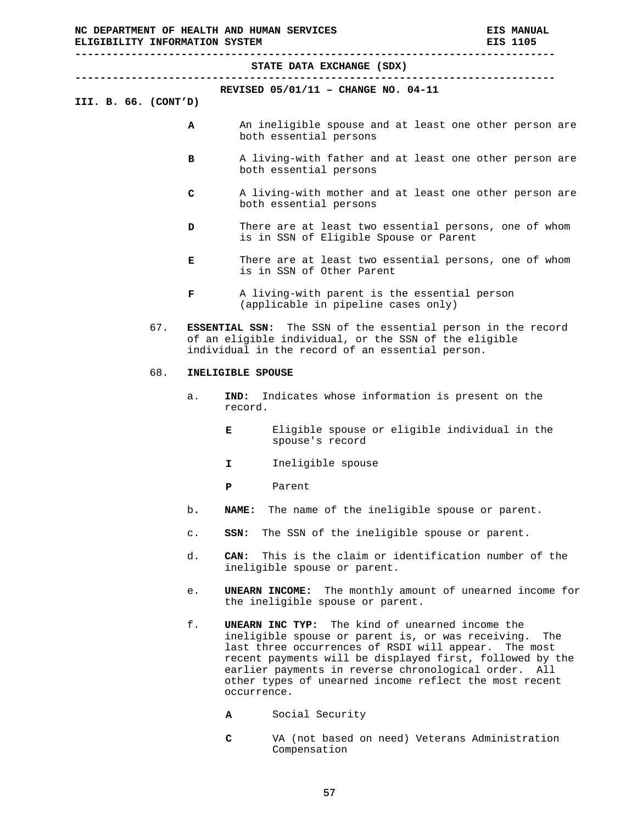**----------------------------------------------------------------------------- STATE DATA EXCHANGE (SDX) ----------------------------------------------------------------------------- REVISED 05/01/11 – CHANGE NO. 04-11 III. B. 66. (CONT'D) A** An ineligible spouse and at least one other person are both essential persons **B** A living-with father and at least one other person are both essential persons **C** A living-with mother and at least one other person are both essential persons **D** There are at least two essential persons, one of whom is in SSN of Eligible Spouse or Parent **E** There are at least two essential persons, one of whom is in SSN of Other Parent **F** A living-with parent is the essential person (applicable in pipeline cases only) 67. **ESSENTIAL SSN:** The SSN of the essential person in the record of an eligible individual, or the SSN of the eligible individual in the record of an essential person. 68. **INELIGIBLE SPOUSE** a. **IND:** Indicates whose information is present on the record. **E** Eligible spouse or eligible individual in the spouse's record **I** Ineligible spouse **P** Parent b**. NAME:** The name of the ineligible spouse or parent. c. **SSN:** The SSN of the ineligible spouse or parent. d. **CAN:** This is the claim or identification number of the ineligible spouse or parent.

- e. **UNEARN INCOME:** The monthly amount of unearned income for the ineligible spouse or parent.
- f. **UNEARN INC TYP:** The kind of unearned income the ineligible spouse or parent is, or was receiving. The last three occurrences of RSDI will appear. The most recent payments will be displayed first, followed by the earlier payments in reverse chronological order. All other types of unearned income reflect the most recent occurrence.
	- **A** Social Security
	- **C** VA (not based on need) Veterans Administration Compensation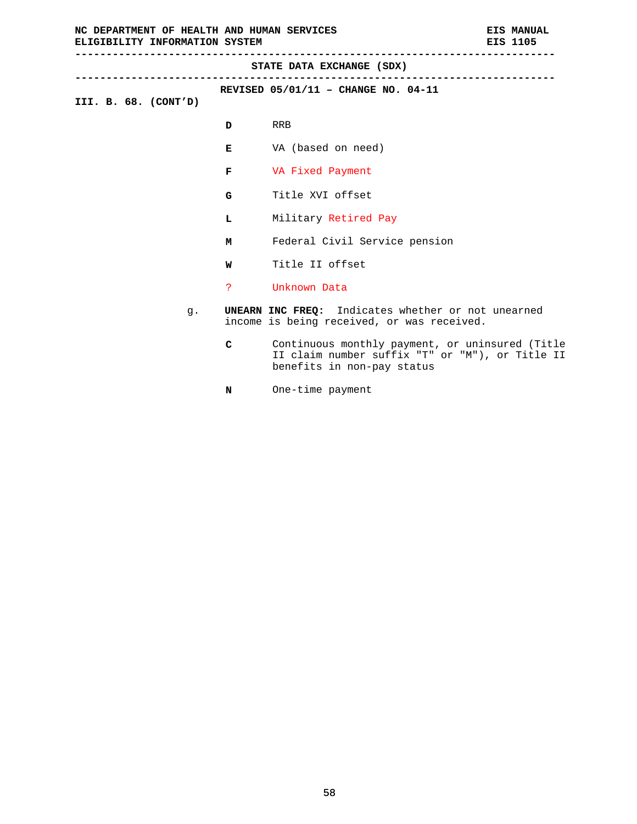**----------------------------------------------------------------------------- STATE DATA EXCHANGE (SDX) ----------------------------------------------------------------------------- REVISED 05/01/11 – CHANGE NO. 04-11 III. B. 68. (CONT'D) D** RRB **E** VA (based on need) **F** VA Fixed Payment **G** Title XVI offset **L** Military Retired Pay **M** Federal Civil Service pension **W** Title II offset ? Unknown Data g. **UNEARN INC FREQ:** Indicates whether or not unearned income is being received, or was received.

- **C** Continuous monthly payment, or uninsured (Title II claim number suffix "T" or "M"), or Title II benefits in non-pay status
- **N** One-time payment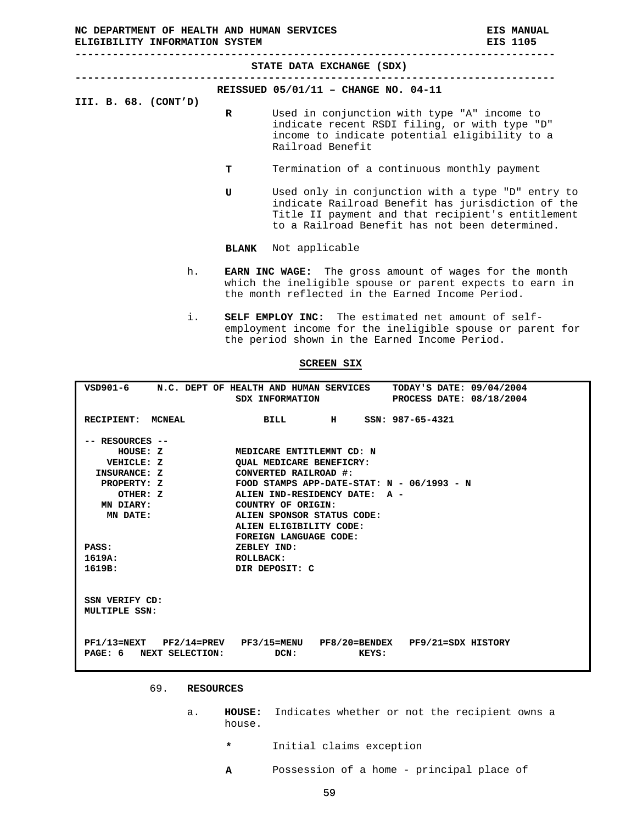**----------------------------------------------------------------------------- STATE DATA EXCHANGE (SDX) ----------------------------------------------------------------------------- REISSUED 05/01/11 – CHANGE NO. 04-11 III. B. 68. (CONT'D) R** Used in conjunction with type "A" income to indicate recent RSDI filing, or with type "D" income to indicate potential eligibility to a Railroad Benefit **T** Termination of a continuous monthly payment **U** Used only in conjunction with a type "D" entry to indicate Railroad Benefit has jurisdiction of the Title II payment and that recipient's entitlement to a Railroad Benefit has not been determined. **BLANK** Not applicable

- h. **EARN INC WAGE:** The gross amount of wages for the month which the ineligible spouse or parent expects to earn in the month reflected in the Earned Income Period.
- i. **SELF EMPLOY INC:** The estimated net amount of selfemployment income for the ineligible spouse or parent for the period shown in the Earned Income Period.

## **SCREEN SIX**

|                                    | VSD901-6 N.C. DEPT OF HEALTH AND HUMAN SERVICES TODAY'S DATE: 09/04/2004 |                  |
|------------------------------------|--------------------------------------------------------------------------|------------------|
|                                    | SDX INFORMATION PROCESS DATE: 08/18/2004                                 |                  |
| RECIPIENT: MCNEAL                  | BILL H                                                                   | SSN: 987-65-4321 |
| -- RESOURCES --                    |                                                                          |                  |
|                                    | HOUSE: Z MEDICARE ENTITLEMNT CD: N                                       |                  |
|                                    | VEHICLE: Z    QUAL MEDICARE BENEFICRY:                                   |                  |
| INSURANCE: Z CONVERTED RAILROAD #: |                                                                          |                  |
|                                    | PROPERTY: Z                 FOOD STAMPS APP-DATE-STAT: N - 06/1993 - N   |                  |
| OTHER: Z                           | ALIEN IND-RESIDENCY DATE: A -                                            |                  |
| MN DIARY:                          | COUNTRY OF ORIGIN:                                                       |                  |
| MN DATE:                           | ALIEN SPONSOR STATUS CODE:                                               |                  |
|                                    | ALIEN ELIGIBILITY CODE:                                                  |                  |
|                                    | FOREIGN LANGUAGE CODE:                                                   |                  |
| PASS:                              | ZEBLEY IND:                                                              |                  |
| 1619A:                             | ROLLBACK:                                                                |                  |
| 1619B:                             | DIR DEPOSIT: C                                                           |                  |
|                                    |                                                                          |                  |
|                                    |                                                                          |                  |
| SSN VERIFY CD:                     |                                                                          |                  |
| MULTIPLE SSN:                      |                                                                          |                  |
|                                    |                                                                          |                  |
|                                    | PF1/13=NEXT PF2/14=PREV PF3/15=MENU PF8/20=BENDEX PF9/21=SDX HISTORY     |                  |
| PAGE: 6 NEXT SELECTION: DCN:       | KEYS:                                                                    |                  |
|                                    |                                                                          |                  |

# 69. **RESOURCES**

- a. **HOUSE:** Indicates whether or not the recipient owns a house.
	- **\*** Initial claims exception
	- **A** Possession of a home principal place of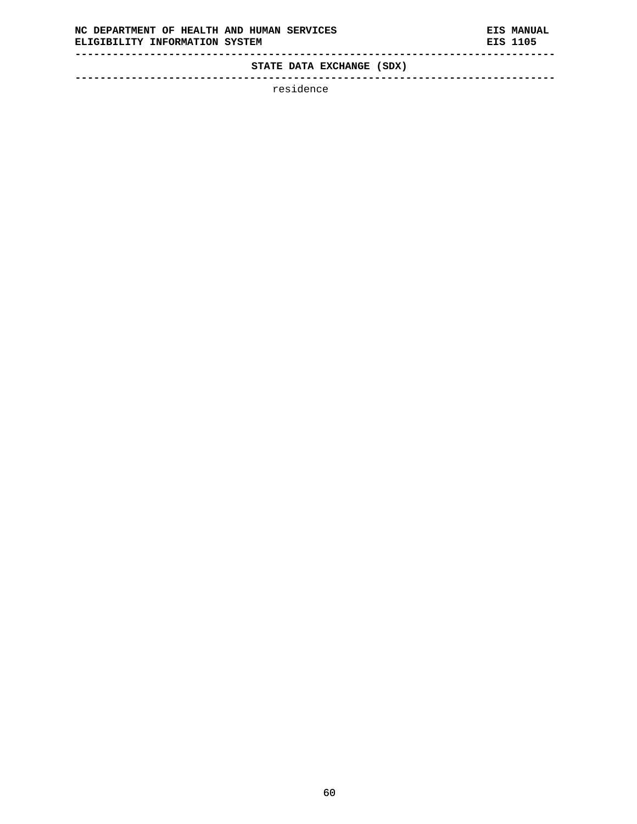**STATE DATA EXCHANGE (SDX)** 

**-----------------------------------------------------------------------------** 

residence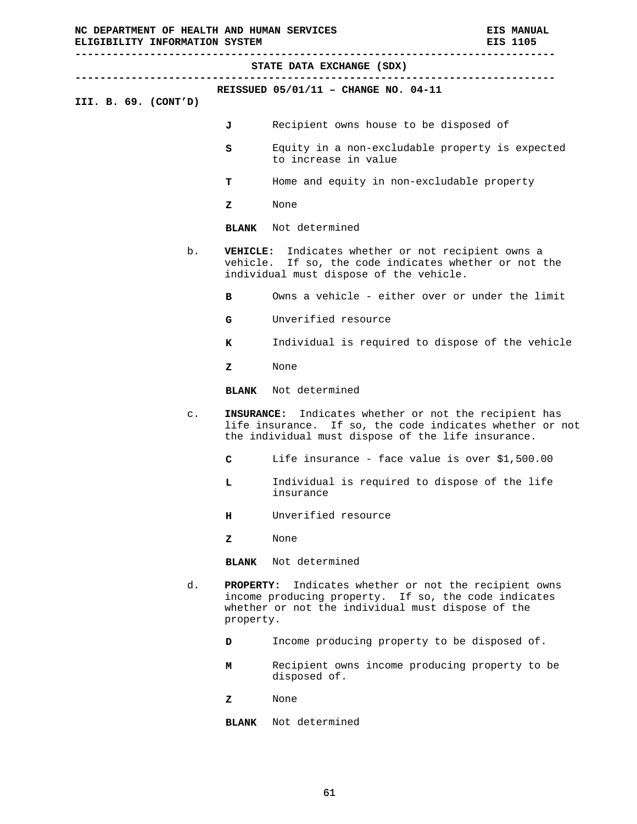**----------------------------------------------------------------------------- STATE DATA EXCHANGE (SDX) ----------------------------------------------------------------------------- REISSUED 05/01/11 – CHANGE NO. 04-11 III. B. 69. (CONT'D)**  J **Recipient owns house to be disposed of S** Equity in a non-excludable property is expected to increase in value **T** Home and equity in non-excludable property **Z** None **BLANK** Not determined b. **VEHICLE:** Indicates whether or not recipient owns a vehicle. If so, the code indicates whether or not the individual must dispose of the vehicle. **B** Owns a vehicle - either over or under the limit **G** Unverified resource **K** Individual is required to dispose of the vehicle **Z** None **BLANK** Not determined c. **INSURANCE:** Indicates whether or not the recipient has life insurance. If so, the code indicates whether or not the individual must dispose of the life insurance. **C** Life insurance - face value is over \$1,500.00 **L** Individual is required to dispose of the life insurance **H** Unverified resource **Z** None **BLANK** Not determined d. **PROPERTY:** Indicates whether or not the recipient owns income producing property. If so, the code indicates whether or not the individual must dispose of the

- property.
- **D** Income producing property to be disposed of.
- **M** Recipient owns income producing property to be disposed of.
- **Z** None
- **BLANK** Not determined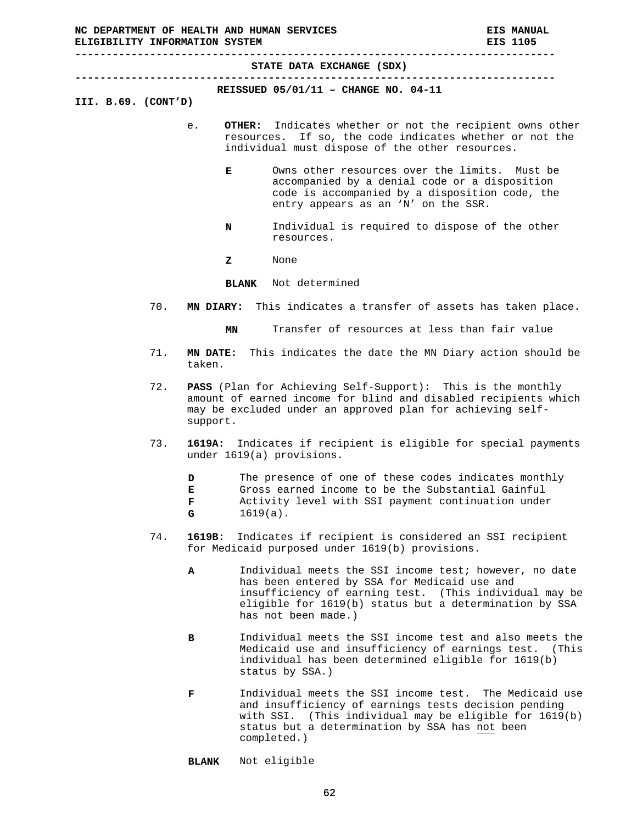**STATE DATA EXCHANGE (SDX)** 

**-----------------------------------------------------------------------------** 

**REISSUED 05/01/11 – CHANGE NO. 04-11** 

- **III. B.69. (CONT'D)** 
	- e. **OTHER:** Indicates whether or not the recipient owns other resources. If so, the code indicates whether or not the individual must dispose of the other resources.
		- **E** Owns other resources over the limits. Must be accompanied by a denial code or a disposition code is accompanied by a disposition code, the entry appears as an 'N' on the SSR.
		- **N** Individual is required to dispose of the other resources.
		- **Z** None

**BLANK** Not determined

- 70. **MN DIARY:** This indicates a transfer of assets has taken place.
	- **MN** Transfer of resources at less than fair value
- 71. **MN DATE:** This indicates the date the MN Diary action should be taken.
- 72. **PASS** (Plan for Achieving Self-Support): This is the monthly amount of earned income for blind and disabled recipients which may be excluded under an approved plan for achieving selfsupport.
- 73. **1619A:** Indicates if recipient is eligible for special payments under 1619(a) provisions.
	- **D** The presence of one of these codes indicates monthly
		-
	- **E** Gross earned income to be the Substantial Gainful **F** Activity level with SSI payment continuation under **G** 1619(a).
- 74. **1619B:** Indicates if recipient is considered an SSI recipient for Medicaid purposed under 1619(b) provisions.
	- **A** Individual meets the SSI income test; however, no date has been entered by SSA for Medicaid use and insufficiency of earning test. (This individual may be eligible for 1619(b) status but a determination by SSA has not been made.)
	- **B** Individual meets the SSI income test and also meets the Medicaid use and insufficiency of earnings test. (This individual has been determined eligible for 1619(b) status by SSA.)
	- **F** Individual meets the SSI income test. The Medicaid use and insufficiency of earnings tests decision pending with SSI. (This individual may be eligible for 1619(b) status but a determination by SSA has not been completed.)

**BLANK** Not eligible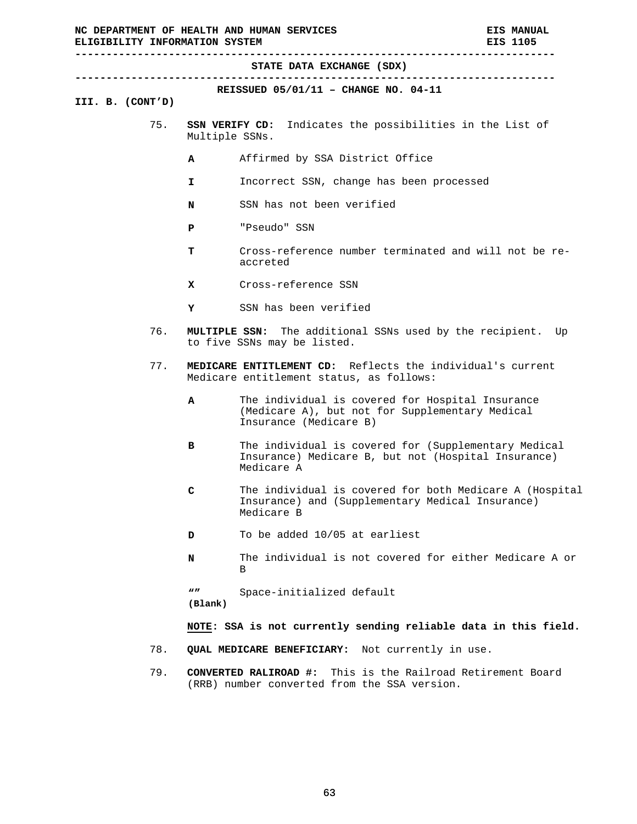| NC DEPARTMENT OF HEALTH AND HUMAN SERVICES<br>ELIGIBILITY INFORMATION SYSTEM |                 |                                                                                                                               | EIS 1105 |
|------------------------------------------------------------------------------|-----------------|-------------------------------------------------------------------------------------------------------------------------------|----------|
|                                                                              |                 | STATE DATA EXCHANGE (SDX)                                                                                                     |          |
| III. B. (CONT'D)                                                             |                 | ---------------------------------<br>REISSUED $05/01/11$ - CHANGE NO. 04-11                                                   |          |
| 75.                                                                          | Multiple SSNs.  | SSN VERIFY CD: Indicates the possibilities in the List of                                                                     |          |
|                                                                              | A               | Affirmed by SSA District Office                                                                                               |          |
|                                                                              | I.              | Incorrect SSN, change has been processed                                                                                      |          |
|                                                                              | N               | SSN has not been verified                                                                                                     |          |
|                                                                              | P               | "Pseudo" SSN                                                                                                                  |          |
|                                                                              | т               | Cross-reference number terminated and will not be re-<br>accreted                                                             |          |
|                                                                              | x               | Cross-reference SSN                                                                                                           |          |
|                                                                              | Y               | SSN has been verified                                                                                                         |          |
| 76.                                                                          |                 | <b>MULTIPLE SSN:</b> The additional SSNs used by the recipient. Up<br>to five SSNs may be listed.                             |          |
| 77.                                                                          |                 | <b>MEDICARE ENTITLEMENT CD:</b> Reflects the individual's current<br>Medicare entitlement status, as follows:                 |          |
|                                                                              | A               | The individual is covered for Hospital Insurance<br>(Medicare A), but not for Supplementary Medical<br>Insurance (Medicare B) |          |
|                                                                              | в               | The individual is covered for (Supplementary Medical<br>Insurance) Medicare B, but not (Hospital Insurance)<br>Medicare A     |          |
|                                                                              | c               | The individual is covered for both Medicare A (Hospital<br>Insurance) and (Supplementary Medical Insurance)<br>Medicare B     |          |
|                                                                              | D               | To be added 10/05 at earliest                                                                                                 |          |
|                                                                              | N               | The individual is not covered for either Medicare A or<br>B                                                                   |          |
|                                                                              | W 11<br>(Blank) | Space-initialized default                                                                                                     |          |
|                                                                              |                 | NOTE: SSA is not currently sending reliable data in this field.                                                               |          |
| 78.                                                                          |                 | QUAL MEDICARE BENEFICIARY: Not currently in use.                                                                              |          |
| 79.                                                                          |                 | CONVERTED RALIROAD #:<br>This is the Railroad Retirement Board<br>(RRB) number converted from the SSA version.                |          |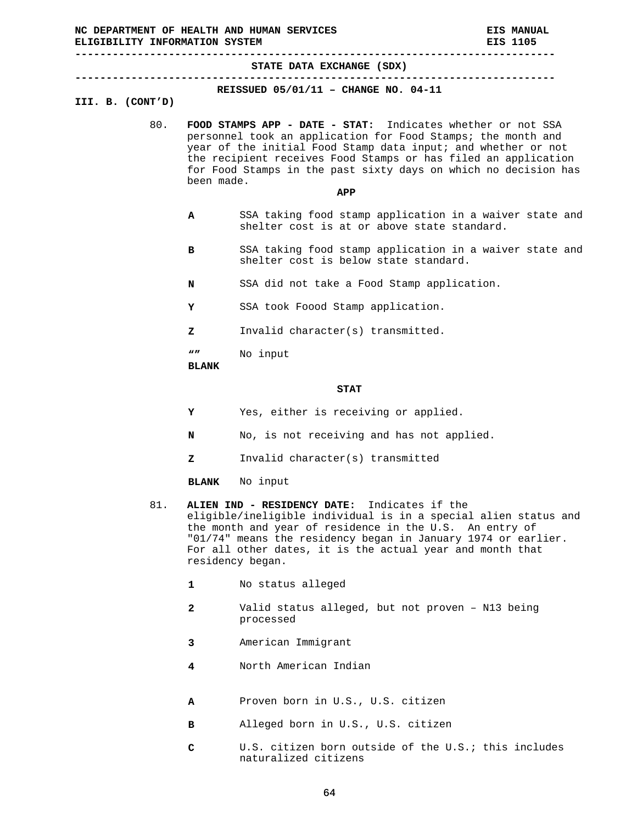| ELIGIBILITY INFORMATION SYSTEM |     |                          | NC DEPARTMENT OF HEALTH AND HUMAN SERVICES                                                                                                                                                                                                                                                                                               | <b>EIS MANUAL</b><br>EIS 1105 |
|--------------------------------|-----|--------------------------|------------------------------------------------------------------------------------------------------------------------------------------------------------------------------------------------------------------------------------------------------------------------------------------------------------------------------------------|-------------------------------|
|                                |     |                          | STATE DATA EXCHANGE (SDX)                                                                                                                                                                                                                                                                                                                |                               |
| III. B. (CONT'D)               |     |                          | REISSUED $05/01/11$ - CHANGE NO. 04-11                                                                                                                                                                                                                                                                                                   |                               |
| 80.                            |     | been made.               | FOOD STAMPS APP - DATE - STAT: Indicates whether or not SSA<br>personnel took an application for Food Stamps; the month and<br>year of the initial Food Stamp data input; and whether or not<br>the recipient receives Food Stamps or has filed an application<br>for Food Stamps in the past sixty days on which no decision has<br>APP |                               |
|                                |     | Α                        | SSA taking food stamp application in a waiver state and<br>shelter cost is at or above state standard.                                                                                                                                                                                                                                   |                               |
|                                |     | в                        | SSA taking food stamp application in a waiver state and<br>shelter cost is below state standard.                                                                                                                                                                                                                                         |                               |
|                                |     | N                        | SSA did not take a Food Stamp application.                                                                                                                                                                                                                                                                                               |                               |
|                                |     | Y                        | SSA took Foood Stamp application.                                                                                                                                                                                                                                                                                                        |                               |
|                                |     | z                        | Invalid character(s) transmitted.                                                                                                                                                                                                                                                                                                        |                               |
|                                |     | $\bf{W}$<br><b>BLANK</b> | No input                                                                                                                                                                                                                                                                                                                                 |                               |
|                                |     |                          | <b>STAT</b>                                                                                                                                                                                                                                                                                                                              |                               |
|                                |     | Y                        | Yes, either is receiving or applied.                                                                                                                                                                                                                                                                                                     |                               |
|                                |     | N                        | No, is not receiving and has not applied.                                                                                                                                                                                                                                                                                                |                               |
|                                |     | z                        | Invalid character(s) transmitted                                                                                                                                                                                                                                                                                                         |                               |
|                                |     | <b>BLANK</b>             | No input                                                                                                                                                                                                                                                                                                                                 |                               |
|                                | 81. |                          | ALIEN IND - RESIDENCY DATE: Indicates if the<br>eligible/ineligible individual is in a special alien status and<br>the month and year of residence in the U.S. An entry of<br>"01/74" means the residency began in January 1974 or earlier.<br>For all other dates, it is the actual year and month that<br>residency began.             |                               |
|                                |     | 1                        | No status alleged                                                                                                                                                                                                                                                                                                                        |                               |

- **2** Valid status alleged, but not proven N13 being processed
- **3** American Immigrant
- **4** North American Indian
- **A** Proven born in U.S., U.S. citizen
- **B** Alleged born in U.S., U.S. citizen
- **C** U.S. citizen born outside of the U.S.; this includes naturalized citizens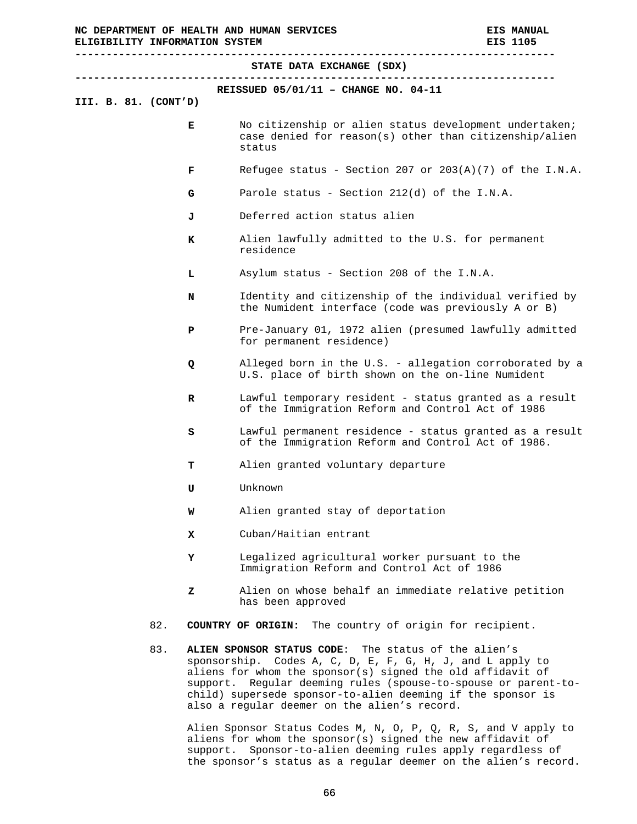|                      | STATE DATA EXCHANGE (SDX)                                                                                                  |
|----------------------|----------------------------------------------------------------------------------------------------------------------------|
| III. B. 81. (CONT'D) | REISSUED $05/01/11$ - CHANGE NO. 04-11                                                                                     |
| Е                    | No citizenship or alien status development undertaken;<br>case denied for reason(s) other than citizenship/alien<br>status |
| F                    | Refugee status - Section 207 or $203(A)(7)$ of the I.N.A.                                                                  |
| G                    | Parole status - Section $212(d)$ of the I.N.A.                                                                             |
| J                    | Deferred action status alien                                                                                               |
| к                    | Alien lawfully admitted to the U.S. for permanent<br>residence                                                             |
| L                    | Asylum status - Section 208 of the I.N.A.                                                                                  |
| N                    | Identity and citizenship of the individual verified by<br>the Numident interface (code was previously A or B)              |
| P                    | Pre-January 01, 1972 alien (presumed lawfully admitted<br>for permanent residence)                                         |
| Q                    | Alleged born in the U.S. - allegation corroborated by a<br>U.S. place of birth shown on the on-line Numident               |
| R                    | Lawful temporary resident - status granted as a result<br>of the Immigration Reform and Control Act of 1986                |
| s                    | Lawful permanent residence - status granted as a result<br>of the Immigration Reform and Control Act of 1986.              |
| т                    | Alien granted voluntary departure                                                                                          |
| U                    | Unknown                                                                                                                    |
| W                    | Alien granted stay of deportation                                                                                          |
| x                    | Cuban/Haitian entrant                                                                                                      |
| Y                    | Legalized agricultural worker pursuant to the<br>Immigration Reform and Control Act of 1986                                |
| z                    | Alien on whose behalf an immediate relative petition<br>has been approved                                                  |
| 82.                  | The country of origin for recipient.<br>COUNTRY OF ORIGIN:                                                                 |

83. **ALIEN SPONSOR STATUS CODE**: The status of the alien's sponsorship. Codes A, C, D, E, F, G, H, J, and L apply to aliens for whom the sponsor(s) signed the old affidavit of support. Regular deeming rules (spouse-to-spouse or parent-tochild) supersede sponsor-to-alien deeming if the sponsor is also a regular deemer on the alien's record.

Alien Sponsor Status Codes M, N, O, P, Q, R, S, and V apply to aliens for whom the sponsor(s) signed the new affidavit of support. Sponsor-to-alien deeming rules apply regardless of the sponsor's status as a regular deemer on the alien's record.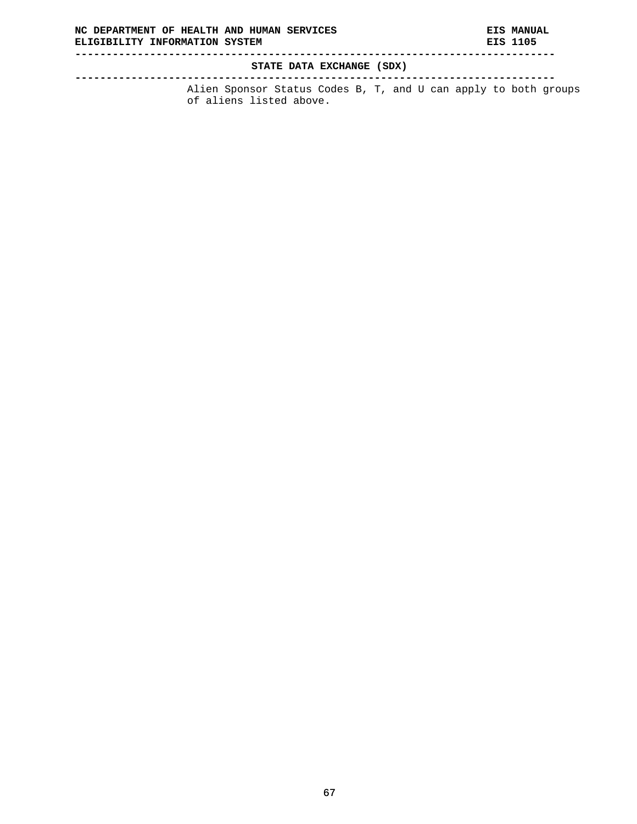**STATE DATA EXCHANGE (SDX)** 

**-----------------------------------------------------------------------------**  Alien Sponsor Status Codes B, T, and U can apply to both groups of aliens listed above.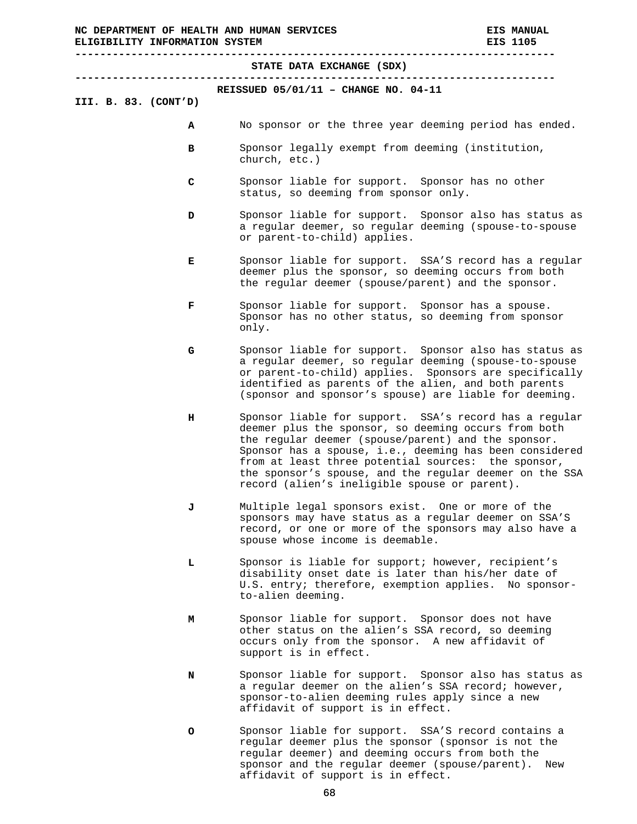|                      | STATE DATA EXCHANGE (SDX)                                                                                                                                                                                                                                                                                                                                                                           |
|----------------------|-----------------------------------------------------------------------------------------------------------------------------------------------------------------------------------------------------------------------------------------------------------------------------------------------------------------------------------------------------------------------------------------------------|
| III. B. 83. (CONT'D) | REISSUED $05/01/11$ - CHANGE NO. 04-11                                                                                                                                                                                                                                                                                                                                                              |
| А                    | No sponsor or the three year deeming period has ended.                                                                                                                                                                                                                                                                                                                                              |
| в                    | Sponsor legally exempt from deeming (institution,<br>church, etc.)                                                                                                                                                                                                                                                                                                                                  |
| C                    | Sponsor liable for support. Sponsor has no other<br>status, so deeming from sponsor only.                                                                                                                                                                                                                                                                                                           |
| D                    | Sponsor liable for support. Sponsor also has status as<br>a regular deemer, so regular deeming (spouse-to-spouse<br>or parent-to-child) applies.                                                                                                                                                                                                                                                    |
| Е                    | Sponsor liable for support. SSA'S record has a regular<br>deemer plus the sponsor, so deeming occurs from both<br>the regular deemer (spouse/parent) and the sponsor.                                                                                                                                                                                                                               |
| F                    | Sponsor liable for support. Sponsor has a spouse.<br>Sponsor has no other status, so deeming from sponsor<br>only.                                                                                                                                                                                                                                                                                  |
| G                    | Sponsor liable for support. Sponsor also has status as<br>a regular deemer, so regular deeming (spouse-to-spouse<br>or parent-to-child) applies. Sponsors are specifically<br>identified as parents of the alien, and both parents<br>(sponsor and sponsor's spouse) are liable for deeming.                                                                                                        |
| н                    | Sponsor liable for support. SSA's record has a regular<br>deemer plus the sponsor, so deeming occurs from both<br>the regular deemer (spouse/parent) and the sponsor.<br>Sponsor has a spouse, i.e., deeming has been considered<br>from at least three potential sources: the sponsor,<br>the sponsor's spouse, and the regular deemer on the SSA<br>record (alien's ineligible spouse or parent). |
| J                    | Multiple legal sponsors exist. One or more of the<br>sponsors may have status as a regular deemer on SSA'S<br>record, or one or more of the sponsors may also have a<br>spouse whose income is deemable.                                                                                                                                                                                            |
| L.                   | Sponsor is liable for support; however, recipient's<br>disability onset date is later than his/her date of<br>U.S. entry; therefore, exemption applies. No sponsor-<br>to-alien deeming.                                                                                                                                                                                                            |
| м                    | Sponsor liable for support. Sponsor does not have<br>other status on the alien's SSA record, so deeming<br>occurs only from the sponsor. A new affidavit of<br>support is in effect.                                                                                                                                                                                                                |
| N                    | Sponsor liable for support. Sponsor also has status as<br>a regular deemer on the alien's SSA record; however,<br>sponsor-to-alien deeming rules apply since a new<br>affidavit of support is in effect.                                                                                                                                                                                            |

**O** Sponsor liable for support. SSA'S record contains a regular deemer plus the sponsor (sponsor is not the regular deemer) and deeming occurs from both the sponsor and the regular deemer (spouse/parent). New affidavit of support is in effect.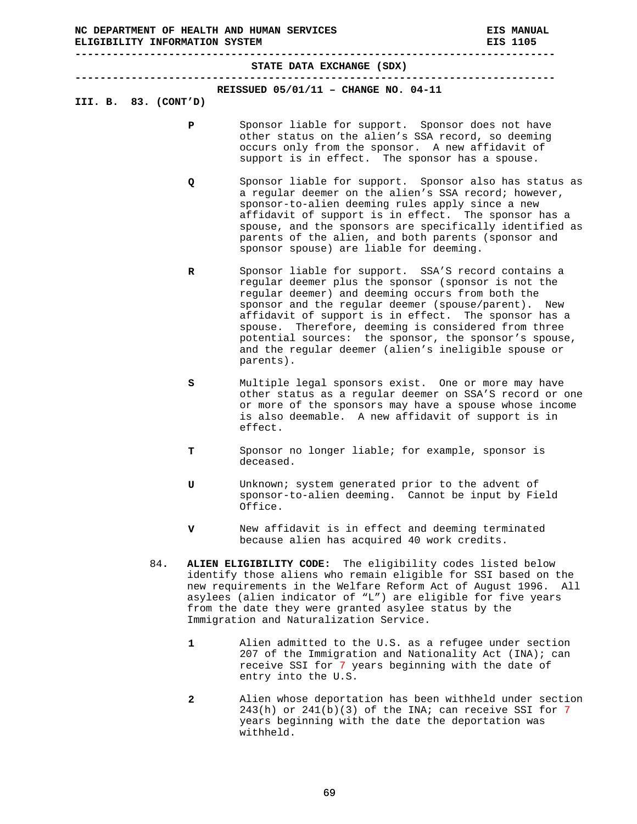**STATE DATA EXCHANGE (SDX) ----------------------------------------------------------------------------- REISSUED 05/01/11 – CHANGE NO. 04-11 III. B. 83. (CONT'D) P** Sponsor liable for support. Sponsor does not have other status on the alien's SSA record, so deeming occurs only from the sponsor. A new affidavit of support is in effect. The sponsor has a spouse. **Q** Sponsor liable for support. Sponsor also has status as a regular deemer on the alien's SSA record; however, sponsor-to-alien deeming rules apply since a new affidavit of support is in effect. The sponsor has a spouse, and the sponsors are specifically identified as parents of the alien, and both parents (sponsor and sponsor spouse) are liable for deeming. **R** Sponsor liable for support. SSA'S record contains a regular deemer plus the sponsor (sponsor is not the regular deemer) and deeming occurs from both the sponsor and the regular deemer (spouse/parent). New affidavit of support is in effect. The sponsor has a spouse. Therefore, deeming is considered from three potential sources: the sponsor, the sponsor's spouse, and the regular deemer (alien's ineligible spouse or parents).

**-----------------------------------------------------------------------------** 

- **S** Multiple legal sponsors exist. One or more may have other status as a regular deemer on SSA'S record or one or more of the sponsors may have a spouse whose income is also deemable. A new affidavit of support is in effect.
- **T** Sponsor no longer liable; for example, sponsor is deceased.
- **U** Unknown; system generated prior to the advent of sponsor-to-alien deeming. Cannot be input by Field Office.
- **V** New affidavit is in effect and deeming terminated because alien has acquired 40 work credits.
- 84**. ALIEN ELIGIBILITY CODE:** The eligibility codes listed below identify those aliens who remain eligible for SSI based on the new requirements in the Welfare Reform Act of August 1996. All asylees (alien indicator of "L") are eligible for five years from the date they were granted asylee status by the Immigration and Naturalization Service.
	- **1** Alien admitted to the U.S. as a refugee under section 207 of the Immigration and Nationality Act (INA); can receive SSI for 7 years beginning with the date of entry into the U.S.
	- **2** Alien whose deportation has been withheld under section  $243(h)$  or  $241(b)(3)$  of the INA; can receive SSI for 7 years beginning with the date the deportation was withheld.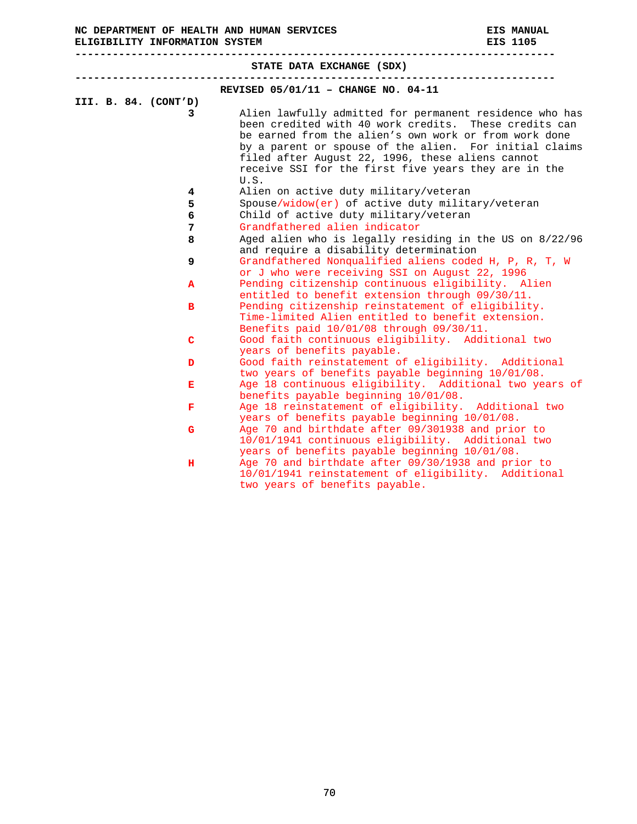| NC DEPARTMENT OF HEALTH AND HUMAN SERVICES<br>ELIGIBILITY INFORMATION SYSTEM |                                                                                                                                                                                              | EIS MANUAL<br><b>EIS 1105</b>                                                                                                                                                                                                       |  |  |
|------------------------------------------------------------------------------|----------------------------------------------------------------------------------------------------------------------------------------------------------------------------------------------|-------------------------------------------------------------------------------------------------------------------------------------------------------------------------------------------------------------------------------------|--|--|
| ----------------------------<br>STATE DATA EXCHANGE (SDX)                    |                                                                                                                                                                                              |                                                                                                                                                                                                                                     |  |  |
| III. B. 84. (CONT'D)                                                         | REVISED 05/01/11 - CHANGE NO. 04-11                                                                                                                                                          |                                                                                                                                                                                                                                     |  |  |
| 3                                                                            | filed after August 22, 1996, these aliens cannot                                                                                                                                             | Alien lawfully admitted for permanent residence who has<br>been credited with 40 work credits. These credits can<br>be earned from the alien's own work or from work done<br>by a parent or spouse of the alien. For initial claims |  |  |
|                                                                              | receive SSI for the first five years they are in the<br>U.S.                                                                                                                                 |                                                                                                                                                                                                                                     |  |  |
| 4<br>5<br>6                                                                  | Alien on active duty military/veteran<br>Spouse/widow(er) of active duty military/veteran<br>Child of active duty military/veteran                                                           |                                                                                                                                                                                                                                     |  |  |
| 7<br>8                                                                       | Grandfathered alien indicator                                                                                                                                                                | Aged alien who is legally residing in the US on 8/22/96                                                                                                                                                                             |  |  |
| 9                                                                            | and require a disability determination<br>or J who were receiving SSI on August 22, 1996                                                                                                     | Grandfathered Nonqualified aliens coded H, P, R, T, W                                                                                                                                                                               |  |  |
| A                                                                            | Pending citizenship continuous eligibility. Alien<br>entitled to benefit extension through 09/30/11.<br>Pending citizenship reinstatement of eligibility.                                    |                                                                                                                                                                                                                                     |  |  |
| в                                                                            | Time-limited Alien entitled to benefit extension.<br>Benefits paid 10/01/08 through 09/30/11.                                                                                                |                                                                                                                                                                                                                                     |  |  |
| c                                                                            | Good faith continuous eligibility. Additional two<br>years of benefits payable.                                                                                                              |                                                                                                                                                                                                                                     |  |  |
| D<br>Е                                                                       | Good faith reinstatement of eligibility. Additional<br>two years of benefits payable beginning 10/01/08.                                                                                     | Age 18 continuous eligibility. Additional two years of                                                                                                                                                                              |  |  |
| F                                                                            | benefits payable beginning 10/01/08.<br>Age 18 reinstatement of eligibility. Additional two                                                                                                  |                                                                                                                                                                                                                                     |  |  |
| G                                                                            | years of benefits payable beginning 10/01/08.<br>Age 70 and birthdate after 09/301938 and prior to<br>10/01/1941 continuous eligibility. Additional two                                      |                                                                                                                                                                                                                                     |  |  |
| н                                                                            | years of benefits payable beginning 10/01/08.<br>Age 70 and birthdate after 09/30/1938 and prior to<br>10/01/1941 reinstatement of eligibility. Additional<br>two years of benefits payable. |                                                                                                                                                                                                                                     |  |  |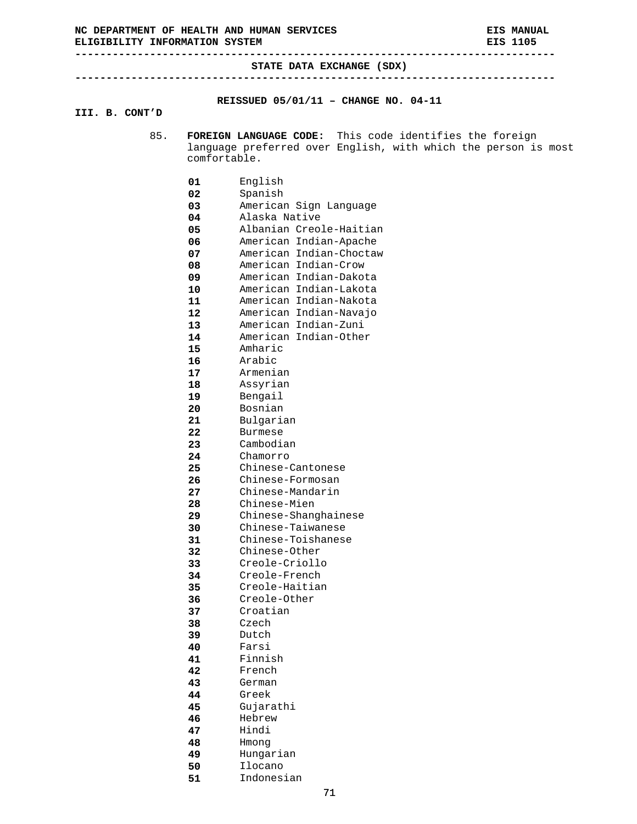|                | NC DEPARTMENT OF HEALTH AND HUMAN SERVICES<br>ELIGIBILITY INFORMATION SYSTEM |                                                                                                                                           |  |
|----------------|------------------------------------------------------------------------------|-------------------------------------------------------------------------------------------------------------------------------------------|--|
|                |                                                                              | STATE DATA EXCHANGE (SDX)                                                                                                                 |  |
|                |                                                                              |                                                                                                                                           |  |
|                |                                                                              | REISSUED $05/01/11$ - CHANGE NO. 04-11                                                                                                    |  |
| III. B. CONT'D |                                                                              |                                                                                                                                           |  |
| 85.            |                                                                              | FOREIGN LANGUAGE CODE: This code identifies the foreign<br>language preferred over English, with which the person is most<br>comfortable. |  |
|                | 01                                                                           | English                                                                                                                                   |  |
|                | 02                                                                           | Spanish                                                                                                                                   |  |
|                | 03                                                                           | American Sign Language                                                                                                                    |  |
|                | 04                                                                           | Alaska Native                                                                                                                             |  |
|                | 05                                                                           | Albanian Creole-Haitian                                                                                                                   |  |
|                | 06                                                                           | American Indian-Apache                                                                                                                    |  |
|                | 07                                                                           | American Indian-Choctaw                                                                                                                   |  |
|                | 08                                                                           | American Indian-Crow                                                                                                                      |  |
|                | 09                                                                           | American Indian-Dakota                                                                                                                    |  |
|                | 10                                                                           | American Indian-Lakota                                                                                                                    |  |
|                | 11                                                                           | American Indian-Nakota                                                                                                                    |  |
|                | 12 <sup>2</sup>                                                              | American Indian-Navajo                                                                                                                    |  |
|                | 13<br>14                                                                     | American Indian-Zuni<br>American Indian-Other                                                                                             |  |
|                | 15                                                                           | Amharic                                                                                                                                   |  |
|                | 16                                                                           | Arabic                                                                                                                                    |  |
|                | 17                                                                           | Armenian                                                                                                                                  |  |
|                | 18                                                                           | Assyrian                                                                                                                                  |  |
|                | 19                                                                           | Bengail                                                                                                                                   |  |
|                | 20                                                                           | Bosnian                                                                                                                                   |  |
|                | 21                                                                           | Bulgarian                                                                                                                                 |  |
|                | 22                                                                           | <b>Burmese</b>                                                                                                                            |  |
|                | 23                                                                           | Cambodian                                                                                                                                 |  |
|                | 24                                                                           | Chamorro                                                                                                                                  |  |
|                | 25                                                                           | Chinese-Cantonese                                                                                                                         |  |
|                | 26                                                                           | Chinese-Formosan                                                                                                                          |  |
|                | 27                                                                           | Chinese-Mandarin                                                                                                                          |  |
|                | 28                                                                           | Chinese-Mien                                                                                                                              |  |
|                | 29                                                                           | Chinese-Shanghainese                                                                                                                      |  |
|                | 30                                                                           | Chinese-Taiwanese                                                                                                                         |  |
|                | 31                                                                           | Chinese-Toishanese                                                                                                                        |  |
|                | 32                                                                           | Chinese-Other                                                                                                                             |  |
|                | 33                                                                           | Creole-Criollo                                                                                                                            |  |
|                | 34                                                                           | Creole-French                                                                                                                             |  |
|                | 35                                                                           | Creole-Haitian                                                                                                                            |  |
|                | 36                                                                           | Creole-Other                                                                                                                              |  |
|                | 37                                                                           | Croatian                                                                                                                                  |  |
|                | 38                                                                           | Czech                                                                                                                                     |  |
|                | 39                                                                           | Dutch                                                                                                                                     |  |
|                | 40                                                                           | Farsi                                                                                                                                     |  |
|                | 41                                                                           | Finnish                                                                                                                                   |  |
|                | 42                                                                           | French                                                                                                                                    |  |
|                | 43                                                                           | German                                                                                                                                    |  |
|                | 44                                                                           | Greek                                                                                                                                     |  |
|                | 45                                                                           | Gujarathi                                                                                                                                 |  |
|                | 46                                                                           | Hebrew                                                                                                                                    |  |
|                | 47                                                                           | Hindi                                                                                                                                     |  |
|                | 48                                                                           | Hmong                                                                                                                                     |  |
|                | 49                                                                           | Hungarian                                                                                                                                 |  |
|                | 50                                                                           | Ilocano                                                                                                                                   |  |
|                | 51                                                                           | Indonesian                                                                                                                                |  |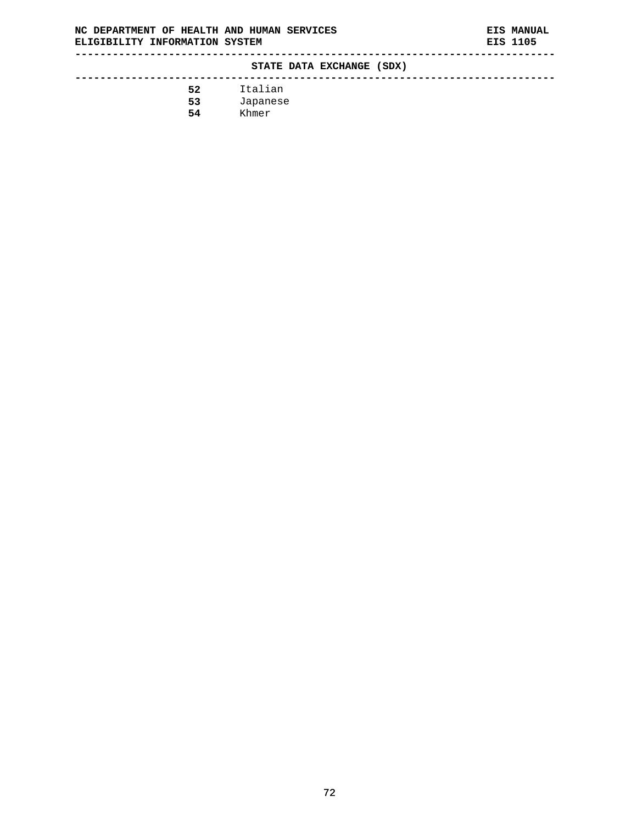**STATE DATA EXCHANGE (SDX)** 

| 52 | Italian  |
|----|----------|
| 53 | Japanese |

**54** Khmer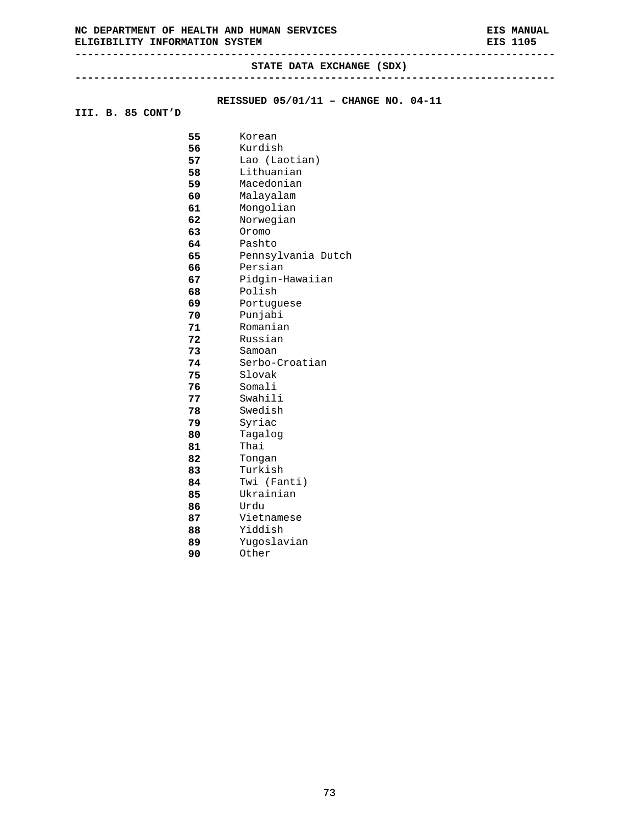**-----------------------------------------------------------------------------** 

**STATE DATA EXCHANGE (SDX) -----------------------------------------------------------------------------** 

# **REISSUED 05/01/11 – CHANGE NO. 04-11**

**III. B. 85 CONT'D** 

- Korean Kurdish
	- Lao (Laotian)
- Lithuanian
- Macedonian
- Malayalam Mongolian
- Norwegian
	-
- Oromo Pashto
- Pennsylvania Dutch
- Persian
- Pidgin-Hawaiian
- Polish
- Portuguese
- Punjabi
- Romanian
- Russian
- Samoan
- Serbo-Croatian
- Slovak
- Somali
- Swahili
- Swedish
- Syriac
- Tagalog
- Thai
- Tongan
- Turkish
- Twi (Fanti)
- Ukrainian
- Urdu
- Vietnamese
- Yiddish
- Yugoslavian
- Other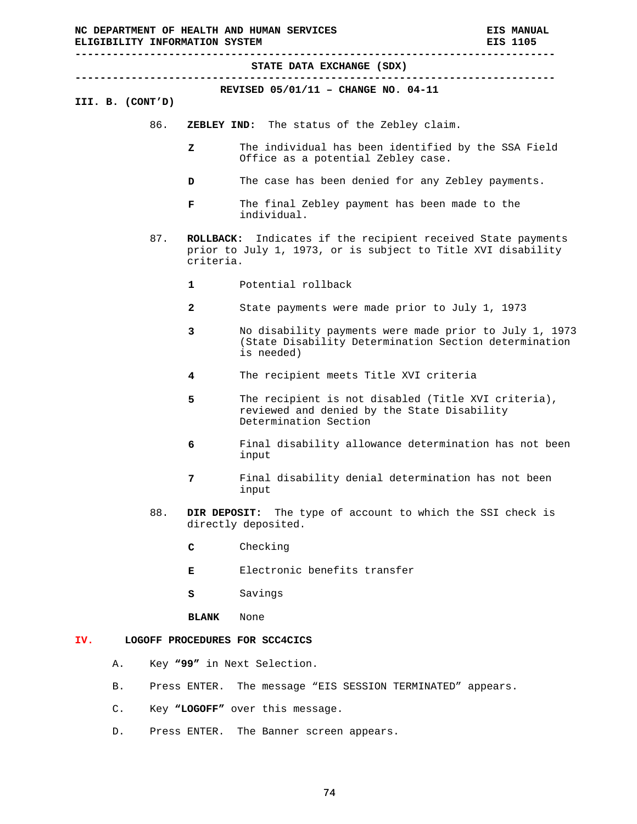|                                                           |     | ELIGIBILITY INFORMATION SYSTEM                 |                                                                                                                               | <b>EIS 1105</b> |  |  |  |
|-----------------------------------------------------------|-----|------------------------------------------------|-------------------------------------------------------------------------------------------------------------------------------|-----------------|--|--|--|
|                                                           |     |                                                | STATE DATA EXCHANGE (SDX)                                                                                                     |                 |  |  |  |
| REVISED $05/01/11$ - CHANGE NO. 04-11<br>III. B. (CONT'D) |     |                                                |                                                                                                                               |                 |  |  |  |
|                                                           | 86. | ZEBLEY IND:<br>The status of the Zebley claim. |                                                                                                                               |                 |  |  |  |
|                                                           |     | z                                              | The individual has been identified by the SSA Field<br>Office as a potential Zebley case.                                     |                 |  |  |  |
|                                                           |     | D                                              | The case has been denied for any Zebley payments.                                                                             |                 |  |  |  |
|                                                           |     | F                                              | The final Zebley payment has been made to the<br>individual.                                                                  |                 |  |  |  |
|                                                           | 87. | <b>ROLLBACK:</b><br>criteria.                  | Indicates if the recipient received State payments<br>prior to July 1, 1973, or is subject to Title XVI disability            |                 |  |  |  |
|                                                           |     | $\mathbf{1}$                                   | Potential rollback                                                                                                            |                 |  |  |  |
|                                                           |     | 2                                              | State payments were made prior to July 1, 1973                                                                                |                 |  |  |  |
|                                                           |     | 3                                              | No disability payments were made prior to July 1, 1973<br>(State Disability Determination Section determination<br>is needed) |                 |  |  |  |
|                                                           |     | 4                                              | The recipient meets Title XVI criteria                                                                                        |                 |  |  |  |
|                                                           |     | 5                                              | The recipient is not disabled (Title XVI criteria),<br>reviewed and denied by the State Disability<br>Determination Section   |                 |  |  |  |
|                                                           |     | 6                                              | Final disability allowance determination has not been<br>input                                                                |                 |  |  |  |
|                                                           |     | 7                                              | Final disability denial determination has not been<br>input                                                                   |                 |  |  |  |
|                                                           | 88. |                                                | DIR DEPOSIT: The type of account to which the SSI check is<br>directly deposited.                                             |                 |  |  |  |
|                                                           |     | $\mathbf{C}$                                   | Checking                                                                                                                      |                 |  |  |  |
|                                                           |     | Е                                              | Electronic benefits transfer                                                                                                  |                 |  |  |  |
|                                                           |     | s                                              | Savings                                                                                                                       |                 |  |  |  |
|                                                           |     | <b>BLANK</b>                                   | None                                                                                                                          |                 |  |  |  |
| IV.                                                       |     |                                                | LOGOFF PROCEDURES FOR SCC4CICS                                                                                                |                 |  |  |  |
| Α.                                                        |     |                                                | Key "99" in Next Selection.                                                                                                   |                 |  |  |  |
| В.                                                        |     | Press ENTER.                                   | The message "EIS SESSION TERMINATED" appears.                                                                                 |                 |  |  |  |
| $\mathsf{C}$ .                                            |     |                                                | Key "LOGOFF" over this message.                                                                                               |                 |  |  |  |
| D.                                                        |     |                                                | Press ENTER. The Banner screen appears.                                                                                       |                 |  |  |  |

**NC DEPARTMENT OF HEALTH AND HUMAN SERVICES EIS MANUAL**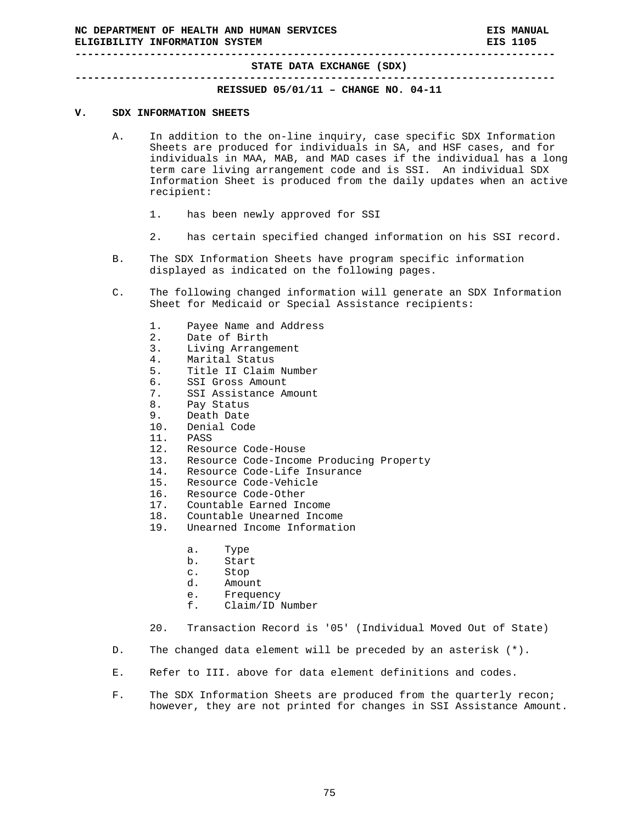**-----------------------------------------------------------------------------** 

**-----------------------------------------------------------------------------** 

**REISSUED 05/01/11 – CHANGE NO. 04-11** 

#### **V. SDX INFORMATION SHEETS**

- A. In addition to the on-line inquiry, case specific SDX Information Sheets are produced for individuals in SA, and HSF cases, and for individuals in MAA, MAB, and MAD cases if the individual has a long term care living arrangement code and is SSI. An individual SDX Information Sheet is produced from the daily updates when an active recipient:
	- 1. has been newly approved for SSI
	- 2. has certain specified changed information on his SSI record.
- B. The SDX Information Sheets have program specific information displayed as indicated on the following pages.
- C. The following changed information will generate an SDX Information Sheet for Medicaid or Special Assistance recipients:
	- 1. Payee Name and Address
	- 2. Date of Birth
	- 3. Living Arrangement
	- 4. Marital Status
	- 5. Title II Claim Number<br>6. SSI Gross Amount
	- 6. SSI Gross Amount<br>7. SSI Assistance Am
	- 7. SSI Assistance Amount
	- 8. Pay Status
	- 9. Death Date
	- 10. Denial Code
	- 11. PASS
	- 12. Resource Code-House
	- 13. Resource Code-Income Producing Property
	- 14. Resource Code-Life Insurance
	- 15. Resource Code-Vehicle
	- 16. Resource Code-Other
	- 17. Countable Earned Income
	- 18. Countable Unearned Income<br>19. Unearned Income Informati
	- Unearned Income Information
		- a. Type<br>b. Start
		- Start
		- c. Stop
		- d. Amount
		-
		- e. Frequency<br>f. Claim/ID I Claim/ID Number
	- 20. Transaction Record is '05' (Individual Moved Out of State)
- D. The changed data element will be preceded by an asterisk (\*).
- E. Refer to III. above for data element definitions and codes.
- F. The SDX Information Sheets are produced from the quarterly recon; however, they are not printed for changes in SSI Assistance Amount.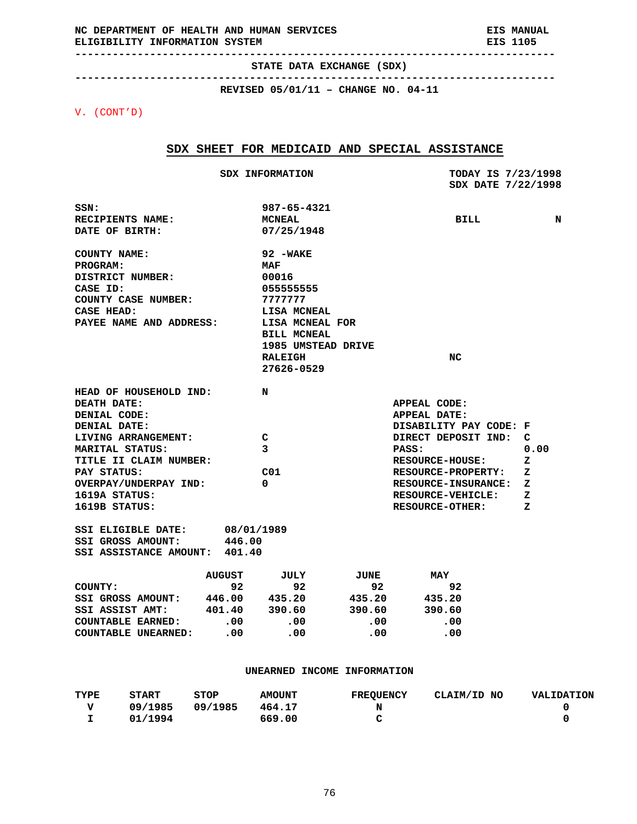**-----------------------------------------------------------------------------** 

**-----------------------------------------------------------------------------** 

**REVISED 05/01/11 – CHANGE NO. 04-11** 

V. (CONT'D)

# **SDX SHEET FOR MEDICAID AND SPECIAL ASSISTANCE**

|                               |               | <b>SDX INFORMATION</b>  |                    |          | TODAY IS 7/23/1998<br>SDX DATE 7/22/1998 |      |
|-------------------------------|---------------|-------------------------|--------------------|----------|------------------------------------------|------|
| SSN:                          |               |                         | 987-65-4321        |          |                                          |      |
| RECIPIENTS NAME:              |               | <b>MCNEAL</b>           |                    |          | <b>BILL</b>                              | N    |
| DATE OF BIRTH:                |               |                         | 07/25/1948         |          |                                          |      |
| COUNTY NAME:                  |               | 92 - WAKE               |                    |          |                                          |      |
| PROGRAM:                      |               | MAF                     |                    |          |                                          |      |
| DISTRICT NUMBER:              |               | 00016                   |                    |          |                                          |      |
| CASE ID:                      |               | 055555555               |                    |          |                                          |      |
| COUNTY CASE NUMBER:           |               | 7777777                 |                    |          |                                          |      |
| CASE HEAD:                    |               |                         | LISA MCNEAL        |          |                                          |      |
| PAYEE NAME AND ADDRESS:       |               |                         | LISA MCNEAL FOR    |          |                                          |      |
|                               |               |                         | <b>BILL MCNEAL</b> |          |                                          |      |
|                               |               |                         | 1985 UMSTEAD DRIVE |          |                                          |      |
|                               |               | <b>RALEIGH</b>          |                    |          | NC                                       |      |
|                               |               |                         | 27626-0529         |          |                                          |      |
| HEAD OF HOUSEHOLD IND:        |               | N                       |                    |          |                                          |      |
| DEATH DATE:                   |               |                         |                    |          | APPEAL CODE:                             |      |
| DENIAL CODE:                  |               |                         |                    |          | APPEAL DATE:                             |      |
| DENIAL DATE:                  |               |                         |                    |          | DISABILITY PAY CODE: F                   |      |
| LIVING ARRANGEMENT:           |               | c                       |                    |          | DIRECT DEPOSIT IND:                      | C    |
| MARITAL STATUS:               |               | $\overline{\mathbf{3}}$ |                    |          | PASS:                                    | 0.00 |
| TITLE II CLAIM NUMBER:        |               |                         |                    |          | <b>RESOURCE-HOUSE:</b>                   | z    |
| PAY STATUS:                   |               | C <sub>01</sub>         |                    |          | <b>RESOURCE-PROPERTY:</b>                | z    |
| <b>OVERPAY/UNDERPAY IND:</b>  |               | 0                       |                    |          | <b>RESOURCE-INSURANCE:</b>               | z    |
| 1619A STATUS:                 |               |                         |                    |          | <b>RESOURCE-VEHICLE:</b>                 | z    |
| 1619B STATUS:                 |               |                         |                    |          | <b>RESOURCE-OTHER:</b>                   | z    |
| SSI ELIGIBLE DATE:            |               | 08/01/1989              |                    |          |                                          |      |
| SSI GROSS AMOUNT:             | 446.00        |                         |                    |          |                                          |      |
| SSI ASSISTANCE AMOUNT: 401.40 |               |                         |                    |          |                                          |      |
|                               | <b>AUGUST</b> |                         | JULY               | JUNE     | <b>MAY</b>                               |      |
| COUNTY:                       | 92            |                         | 92                 | 92       | 92                                       |      |
| SSI GROSS AMOUNT:             | 446.00        | 435.20                  |                    | 435.20   | 435.20                                   |      |
| SSI ASSIST AMT:               | 401.40        | 390.60                  |                    | 390.60   | 390.60                                   |      |
| <b>COUNTABLE EARNED:</b>      | $.00 \,$      |                         | $.00 \,$           | $.00 \,$ | .00                                      |      |
| <b>COUNTABLE UNEARNED:</b>    | $.00 \times$  |                         | .00                | .00      | .00                                      |      |

# **UNEARNED INCOME INFORMATION**

| TYPE | <b>START</b> | STOP    | <b>AMOUNT</b> | <b>FREQUENCY</b> | CLAIM/ID NO | <b>VALIDATION</b> |
|------|--------------|---------|---------------|------------------|-------------|-------------------|
| T7   | 09/1985      | 09/1985 | 464.17        | N                |             |                   |
|      | 01/1994      |         | 669.00        |                  |             |                   |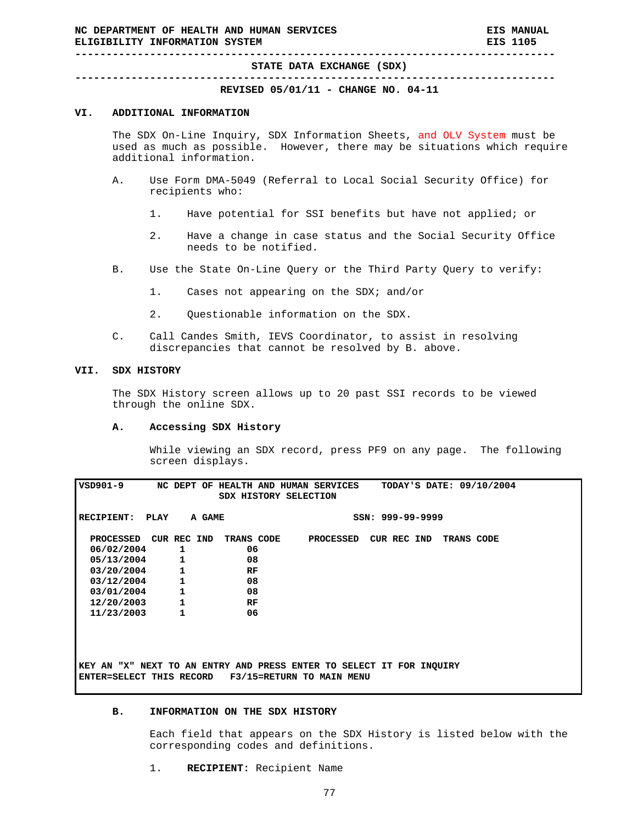**-----------------------------------------------------------------------------** 

**-----------------------------------------------------------------------------** 

**REVISED 05/01/11 - CHANGE NO. 04-11** 

#### **VI. ADDITIONAL INFORMATION**

The SDX On-Line Inquiry, SDX Information Sheets, and OLV System must be used as much as possible. However, there may be situations which require additional information.

- A. Use Form DMA-5049 (Referral to Local Social Security Office) for recipients who:
	- 1. Have potential for SSI benefits but have not applied; or
	- 2. Have a change in case status and the Social Security Office needs to be notified.
- B. Use the State On-Line Query or the Third Party Query to verify:
	- 1. Cases not appearing on the SDX; and/or
	- 2. Questionable information on the SDX.
- C. Call Candes Smith, IEVS Coordinator, to assist in resolving discrepancies that cannot be resolved by B. above.

#### **VII. SDX HISTORY**

The SDX History screen allows up to 20 past SSI records to be viewed through the online SDX.

# **A. Accessing SDX History**

While viewing an SDX record, press PF9 on any page. The following screen displays.

| VSD901-9                                                                                                                             |              | NC DEPT OF HEALTH AND HUMAN SERVICES | SDX HISTORY SELECTION |                             |                  | TODAY'S DATE: 09/10/2004 |  |
|--------------------------------------------------------------------------------------------------------------------------------------|--------------|--------------------------------------|-----------------------|-----------------------------|------------------|--------------------------|--|
| <b>RECIPIENT:</b>                                                                                                                    | PLAY         | A GAME                               |                       |                             | SSN: 999-99-9999 |                          |  |
| PROCESSED CUR REC IND                                                                                                                |              |                                      |                       | <b>TRANS CODE PROCESSED</b> | CUR REC IND      | TRANS CODE               |  |
| 06/02/2004                                                                                                                           |              | 06                                   |                       |                             |                  |                          |  |
| 05/13/2004                                                                                                                           |              | 08                                   |                       |                             |                  |                          |  |
| 03/20/2004                                                                                                                           | $\mathbf{1}$ | RF                                   |                       |                             |                  |                          |  |
| 03/12/2004                                                                                                                           | $\mathbf{1}$ | 08                                   |                       |                             |                  |                          |  |
| 03/01/2004                                                                                                                           | $\mathbf{1}$ | 08                                   |                       |                             |                  |                          |  |
| 12/20/2003                                                                                                                           | $\mathbf{1}$ | RF                                   |                       |                             |                  |                          |  |
| 11/23/2003                                                                                                                           | $\mathbf{1}$ | 06                                   |                       |                             |                  |                          |  |
|                                                                                                                                      |              |                                      |                       |                             |                  |                          |  |
|                                                                                                                                      |              |                                      |                       |                             |                  |                          |  |
|                                                                                                                                      |              |                                      |                       |                             |                  |                          |  |
| KEY AN "X" NEXT TO AN ENTRY AND PRESS ENTER TO SELECT IT FOR INQUIRY<br><b>ENTER=SELECT THIS RECORD</b><br>F3/15=RETURN TO MAIN MENU |              |                                      |                       |                             |                  |                          |  |

# **B. INFORMATION ON THE SDX HISTORY**

Each field that appears on the SDX History is listed below with the corresponding codes and definitions.

1. **RECIPIENT:** Recipient Name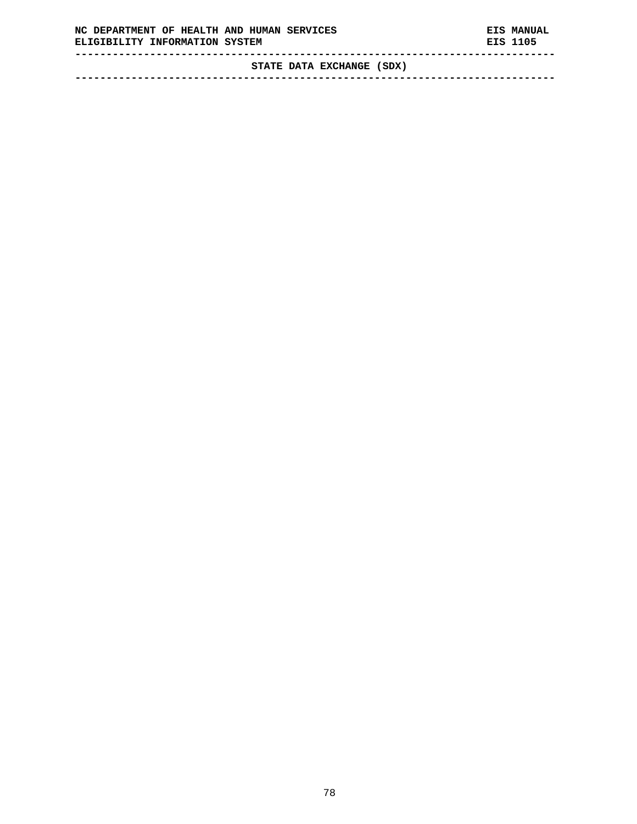**-----------------------------------------------------------------------------** 

**STATE DATA EXCHANGE (SDX) -----------------------------------------------------------------------------**